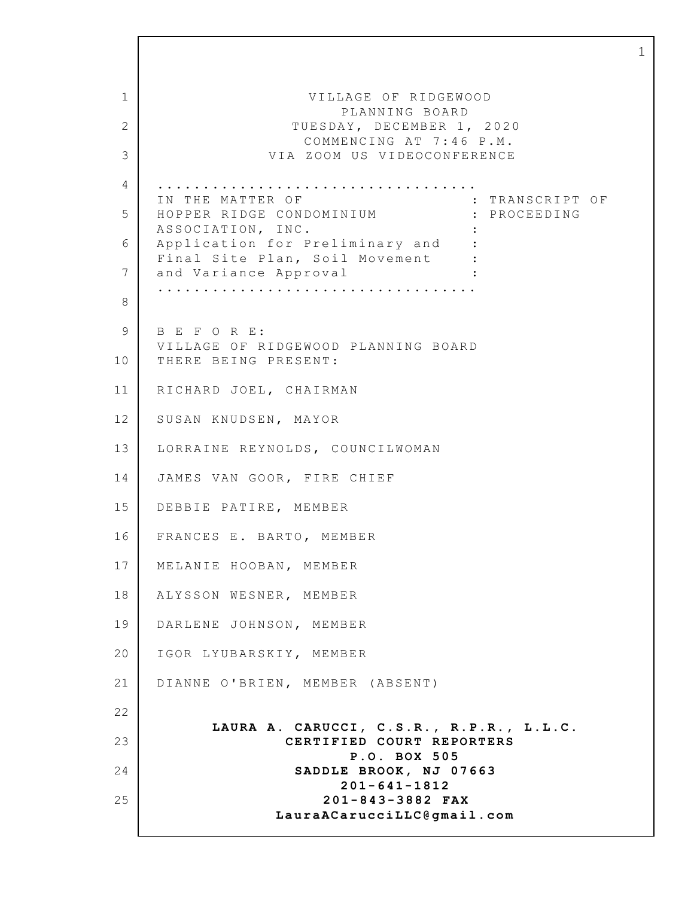1 2 3 4 5 6 7 8 9 10 11 12 13 14 15 16 17 18 19 20 21 22 23 24 25 VILLAGE OF RIDGEWOOD PLANNING BOARD TUESDAY, DECEMBER 1, 2020 COMMENCING AT 7:46 P.M. VIA ZOOM US VIDEOCONFERENCE ................................... IN THE MATTER OF  $\qquad \qquad : \qquad$  TRANSCRIPT OF HOPPER RIDGE CONDOMINIUM : PROCEEDING ASSOCIATION, INC. : Application for Preliminary and : Final Site Plan, Soil Movement : and Variance Approval : ................................... B E F O R E: VILLAGE OF RIDGEWOOD PLANNING BOARD THERE BEING PRESENT: RICHARD JOEL, CHAIRMAN SUSAN KNUDSEN, MAYOR LORRAINE REYNOLDS, COUNCILWOMAN JAMES VAN GOOR, FIRE CHIEF DEBBIE PATIRE, MEMBER FRANCES E. BARTO, MEMBER MELANIE HOOBAN, MEMBER ALYSSON WESNER, MEMBER DARLENE JOHNSON, MEMBER IGOR LYUBARSKIY, MEMBER DIANNE O'BRIEN, MEMBER (ABSENT) **LAURA A. CARUCCI, C.S.R., R.P.R., L.L.C. CERTIFIED COURT REPORTERS P.O. BOX 505** SADDLE **BROOK, NJ 07663 201-641-1812 201-843-3882 FAX LauraACarucciLLC@gmail.com**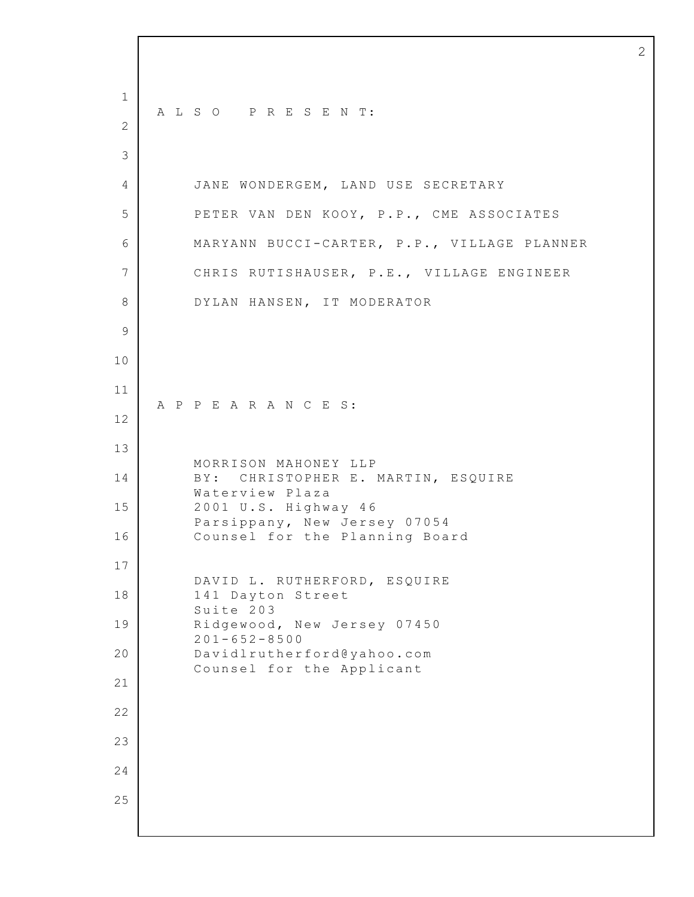A L S O P R E S E N T: JANE WONDERGEM, LAND USE SECRETARY PETER VAN DEN KOOY, P.P., CME ASSOCIATES MARYANN BUCCI-CARTER, P.P., VILLAGE PLANNER CHRIS RUTISHAUSER, P.E., VILLAGE ENGINEER DYLAN HANSEN, IT MODERATOR A P P E A R A N C E S: MORRISON MAHONEY LLP B Y: CHRISTOPHER E. MARTIN, ESQUIRE Waterview Plaza U.S. Highway 4 6 Parsippany, New Jersey 07054 Counsel for the Planning Board DAVID L. RUTHERFORD, ESQUIRE Dayton Street Suite 203 Ridgewood, New Jersey 07450 201-652-8500 Davidlrutherford@yahoo.com Counsel for the Applicant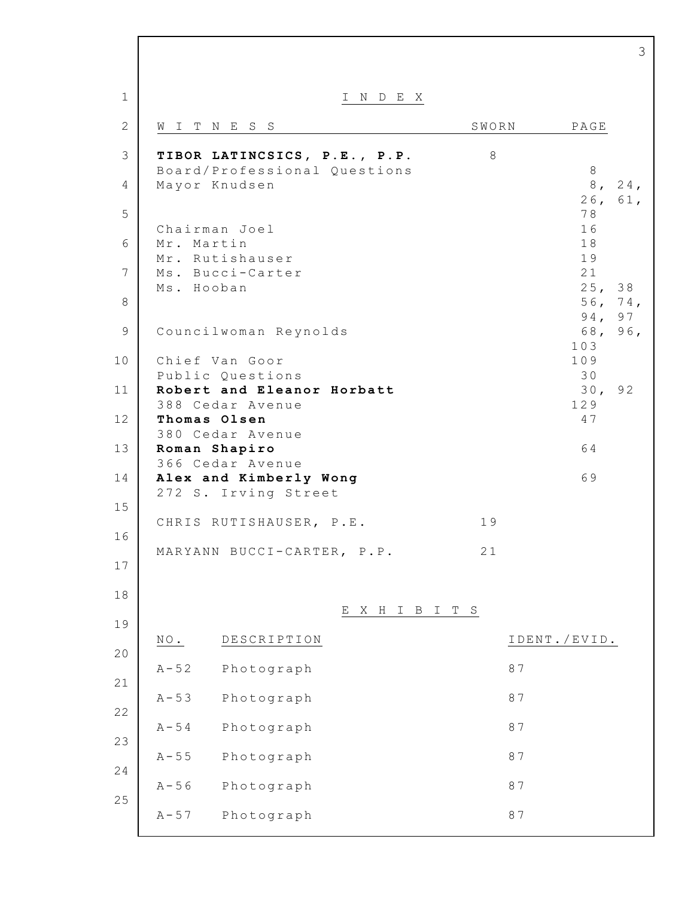|                |                                                      | 3                            |
|----------------|------------------------------------------------------|------------------------------|
| $\mathbf 1$    | I N D E X                                            |                              |
| $\mathbf{2}$   | SWORN<br>WITNESS                                     | PAGE                         |
| 3              | TIBOR LATINCSICS, P.E., P.P.<br>$8\,$                |                              |
| 4              | Board/Professional Questions<br>Mayor Knudsen        | 8<br>8 <sub>1</sub><br>24,   |
| 5              |                                                      | 26 <sub>1</sub><br>61,<br>78 |
| 6              | Chairman Joel<br>Mr. Martin                          | 16<br>18                     |
| $7\phantom{.}$ | Mr. Rutishauser<br>Ms. Bucci-Carter                  | 19<br>21                     |
| 8              | Ms. Hooban                                           | 25, 38<br>56,<br>74,         |
| 9              | Councilwoman Reynolds                                | 94,<br>97<br>68, 96,         |
| 10             | Chief Van Goor                                       | 103<br>109                   |
| 11             | Public Questions<br>Robert and Eleanor Horbatt       | 30<br>30 <sub>1</sub><br>92  |
| 12             | 388 Cedar Avenue<br>Thomas Olsen<br>380 Cedar Avenue | 129<br>47                    |
| 13             | Roman Shapiro<br>366 Cedar Avenue                    | 64                           |
| 14             | Alex and Kimberly Wong<br>272 S. Irving Street       | 69                           |
| 15             | 19<br>CHRIS RUTISHAUSER, P.E.                        |                              |
| 16             | 21<br>MARYANN BUCCI-CARTER,<br>$P$ . $P$ .           |                              |
| 17             |                                                      |                              |
| 18             | X H I B I T S<br>Е                                   |                              |
| 19             | NO.<br>DESCRIPTION                                   | IDENT./EVID.                 |
| 20             | $A - 52$<br>Photograph                               | 87                           |
| 21             | $A - 53$<br>Photograph                               | 87                           |
| 22             | $A - 54$<br>Photograph                               | 87                           |
| 23             | $A - 55$<br>Photograph                               | 87                           |
| 24             | $A - 56$<br>Photograph                               | 87                           |
| 25             | $A - 57$<br>Photograph                               | 87                           |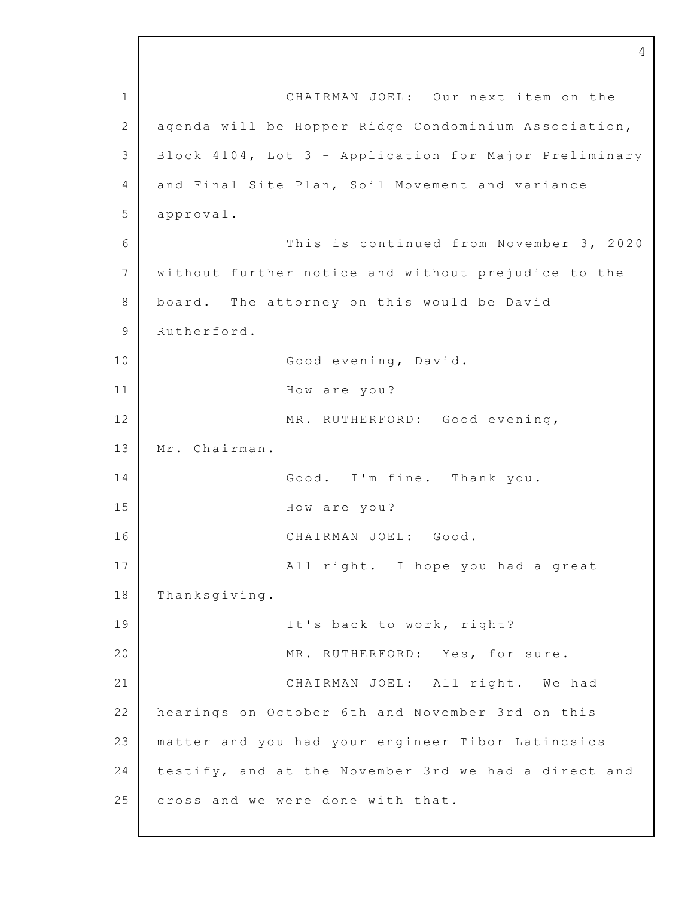1 2 3 4 5 6 7 8 9 10 11 12 13 14 15 16 17 18 19 20 21 22 23 24 25 CHAIRMAN JOEL: Our next item on the agenda will be Hopper Ridge Condominium Association, Block 4104, Lot 3 - Application for Major Preliminary and Final Site Plan, Soil Movement and variance approval. This is continued from November 3, 2020 without further notice and without prejudice to the board. The attorney on this would be David Rutherford. Good evening, David. How are you? MR. RUTHERFORD: Good evening, Mr. Chairman. Good. I'm fine. Thank you. How are you? CHAIRMAN JOEL: Good. All right. I hope you had a great Thanksgiving. It's back to work, right? MR. RUTHERFORD: Yes, for sure. CHAIRMAN JOEL: All right. We had hearings on October 6th and November 3rd on this matter and you had your engineer Tibor Latincsics testify, and at the November 3rd we had a direct and cross and we were done with that.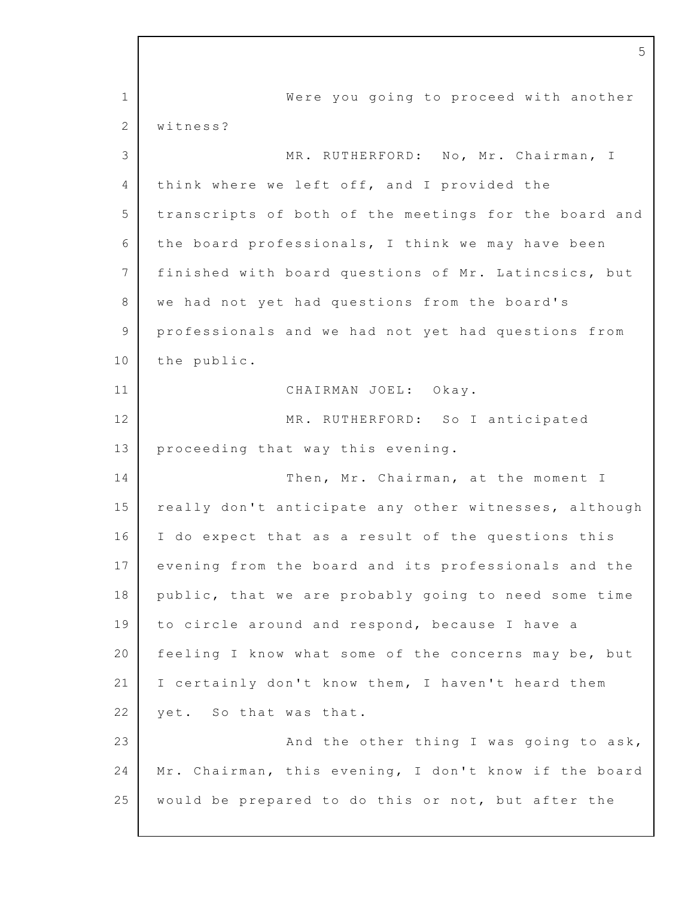1 2 3 4 5 6 7 8 9 10 11 12 13 14 15 16 17 18 19 20 21 22 23 24 25 Were you going to proceed with another witness? MR. RUTHERFORD: No, Mr. Chairman, I think where we left off, and I provided the transcripts of both of the meetings for the board and the board professionals, I think we may have been finished with board questions of Mr. Latincsics, but we had not yet had questions from the board's professionals and we had not yet had questions from the public. CHAIRMAN JOEL: Okay. MR. RUTHERFORD: So I anticipated proceeding that way this evening. Then, Mr. Chairman, at the moment I really don't anticipate any other witnesses, although I do expect that as a result of the questions this evening from the board and its professionals and the public, that we are probably going to need some time to circle around and respond, because I have a feeling I know what some of the concerns may be, but I certainly don't know them, I haven't heard them yet. So that was that. And the other thing I was going to ask, Mr. Chairman, this evening, I don't know if the board would be prepared to do this or not, but after the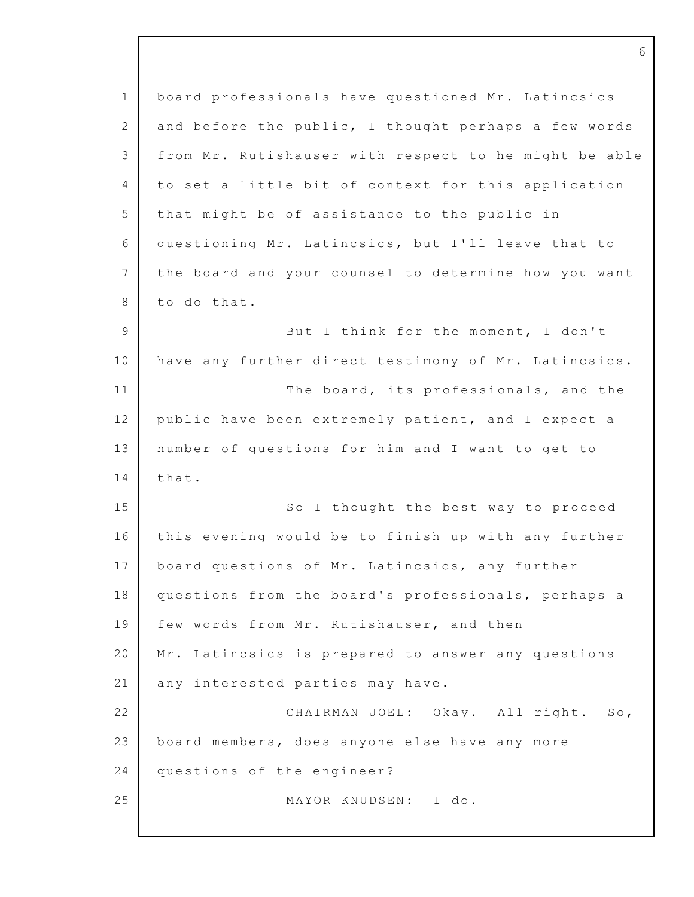| $\mathbf 1$     | board professionals have questioned Mr. Latincsics    |
|-----------------|-------------------------------------------------------|
| $\mathbf{2}$    | and before the public, I thought perhaps a few words  |
| 3               | from Mr. Rutishauser with respect to he might be able |
| 4               | to set a little bit of context for this application   |
| 5               | that might be of assistance to the public in          |
| 6               | questioning Mr. Latincsics, but I'll leave that to    |
| $7\phantom{.0}$ | the board and your counsel to determine how you want  |
| 8               | to do that.                                           |
| 9               | But I think for the moment, I don't                   |
| 10              | have any further direct testimony of Mr. Latincsics.  |
| 11              | The board, its professionals, and the                 |
| 12              | public have been extremely patient, and I expect a    |
| 13              | number of questions for him and I want to get to      |
| 14              | that.                                                 |
| 15              | So I thought the best way to proceed                  |
| 16              | this evening would be to finish up with any further   |
| 17              | board questions of Mr. Latincsics, any further        |
| 18              | questions from the board's professionals, perhaps a   |
| 19              | few words from Mr. Rutishauser, and then              |
| 20              | Mr. Latincsics is prepared to answer any questions    |
| 21              | any interested parties may have.                      |
| 22              | CHAIRMAN JOEL: Okay. All right. So,                   |
| 23              | board members, does anyone else have any more         |
| 24              | questions of the engineer?                            |
| 25              | MAYOR KNUDSEN: I do.                                  |
|                 |                                                       |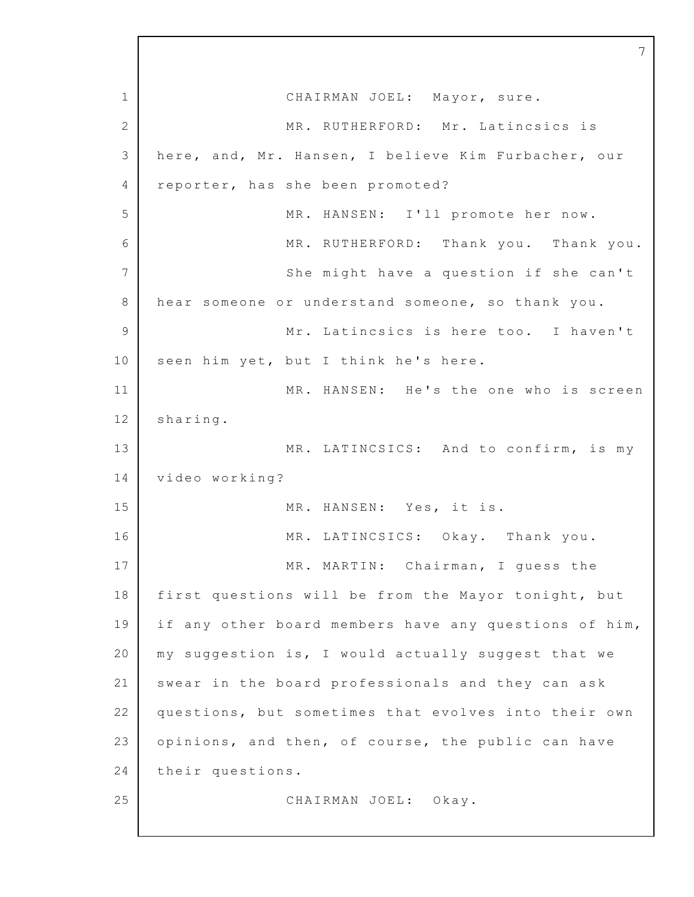1 2 3 4 5 6 7 8 9 10 11 12 13 14 15 16 17 18 19 20 21 22 23 24 25 CHAIRMAN JOEL: Mayor, sure. MR. RUTHERFORD: Mr. Latincsics is here, and, Mr. Hansen, I believe Kim Furbacher, our reporter, has she been promoted? MR. HANSEN: I'll promote her now. MR. RUTHERFORD: Thank you. Thank you. She might have a question if she can't hear someone or understand someone, so thank you. Mr. Latincsics is here too. I haven't seen him yet, but I think he's here. MR. HANSEN: He's the one who is screen sharing. MR. LATINCSICS: And to confirm, is my video working? MR. HANSEN: Yes, it is. MR. LATINCSICS: Okay. Thank you. MR. MARTIN: Chairman, I guess the first questions will be from the Mayor tonight, but if any other board members have any questions of him, my suggestion is, I would actually suggest that we swear in the board professionals and they can ask questions, but sometimes that evolves into their own opinions, and then, of course, the public can have their questions. CHAIRMAN JOEL: Okay.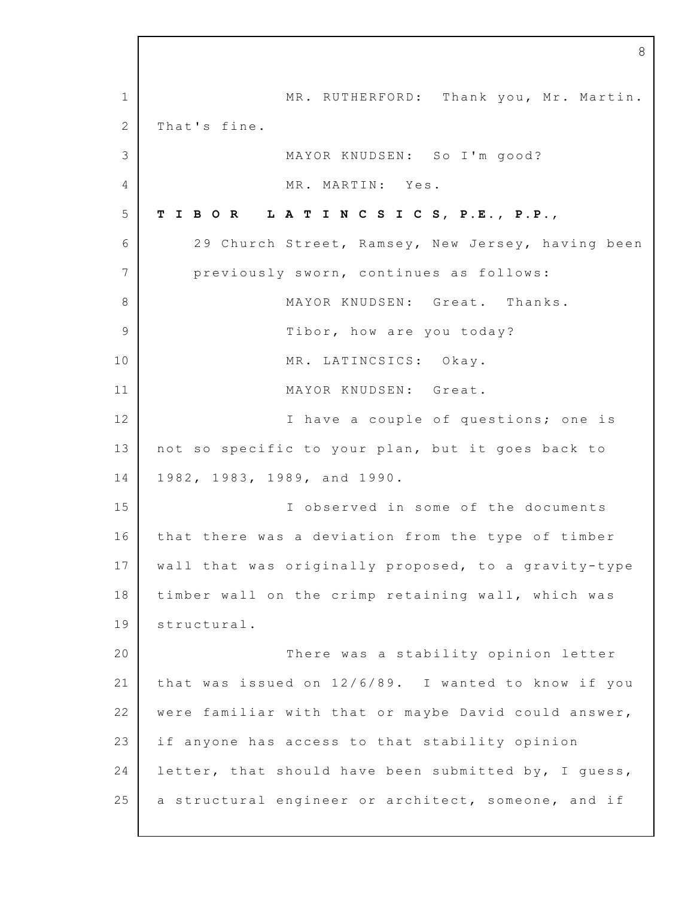1 2 3 4 5 6 7 8 9 10 11 12 13 14 15 16 17 18 19 20 21 22 23 24 25 MR. RUTHERFORD: Thank you, Mr. Martin. That's fine. MAYOR KNUDSEN: So I'm good? MR. MARTIN: Yes. **T I B O R L A T I N C S I C S, P.E., P.P.**, 29 Church Street, Ramsey, New Jersey, having been previously sworn, continues as follows: MAYOR KNUDSEN: Great. Thanks. Tibor, how are you today? MR. LATINCSICS: Okay. MAYOR KNUDSEN: Great. I have a couple of questions; one is not so specific to your plan, but it goes back to 1982, 1983, 1989, and 1990. I observed in some of the documents that there was a deviation from the type of timber wall that was originally proposed, to a gravity-type timber wall on the crimp retaining wall, which was structural. There was a stability opinion letter that was issued on  $12/6/89$ . I wanted to know if you were familiar with that or maybe David could answer, if anyone has access to that stability opinion letter, that should have been submitted by, I quess, a structural engineer or architect, someone, and if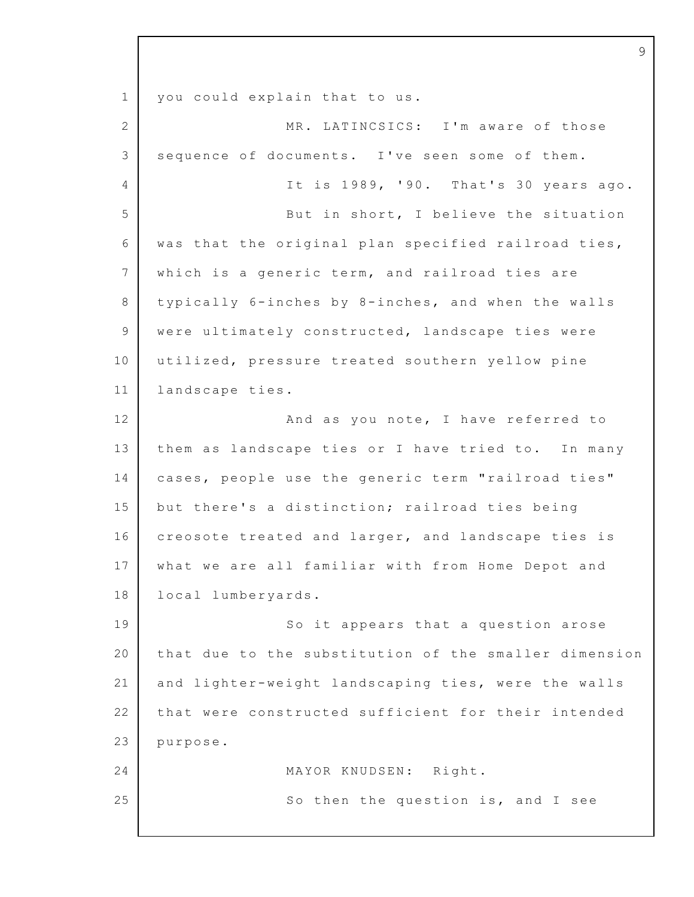1 2 3 4 5 6 7 8 9 10 11 12 13 14 15 16 17 18 19 20 21 22 23 24 25 you could explain that to us. MR. LATINCSICS: I'm aware of those sequence of documents. I've seen some of them. It is  $1989$ , '90. That's 30 years ago. But in short, I believe the situation was that the original plan specified railroad ties, which is a generic term, and railroad ties are typically 6-inches by 8-inches, and when the walls were ultimately constructed, landscape ties were utilized, pressure treated southern yellow pine landscape ties. And as you note, I have referred to them as landscape ties or I have tried to. In many cases, people use the generic term "railroad ties" but there's a distinction; railroad ties being creosote treated and larger, and landscape ties is what we are all familiar with from Home Depot and local lumberyards. So it appears that a question arose that due to the substitution of the smaller dimension and lighter-weight landscaping ties, were the walls that were constructed sufficient for their intended purpose. MAYOR KNUDSEN: Right. So then the question is, and I see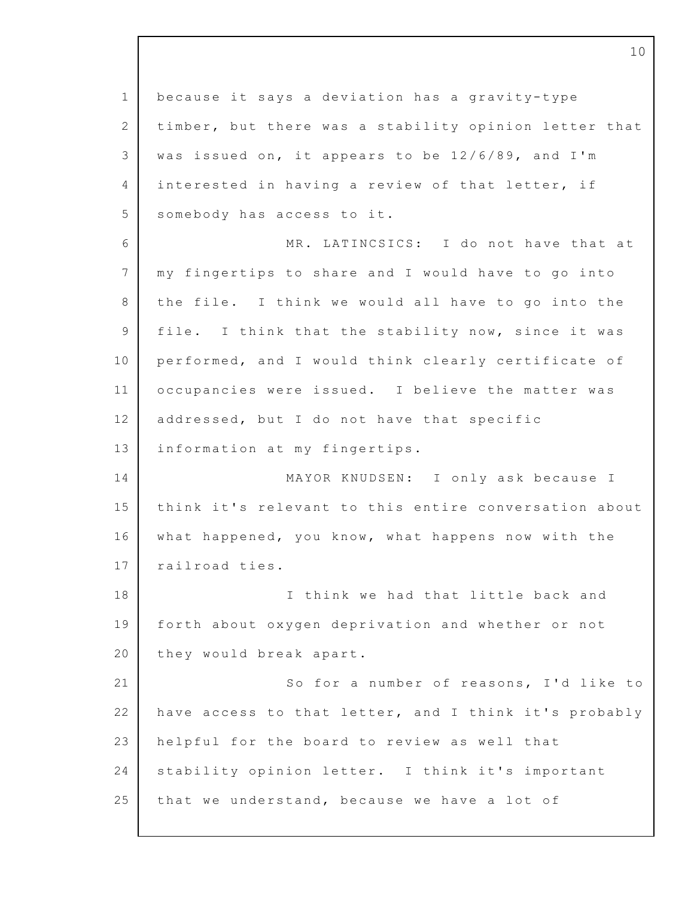1 2 3 4 5 6 7 8 9 10 11 12 13 14 15 16 17 18 19 20 21 22 23 24 25 because it says a deviation has a gravity-type timber, but there was a stability opinion letter that was issued on, it appears to be  $12/6/89$ , and I'm interested in having a review of that letter, if somebody has access to it. MR. LATINCSICS: I do not have that at my fingertips to share and I would have to go into the file. I think we would all have to go into the file. I think that the stability now, since it was performed, and I would think clearly certificate of occupancies were issued. I believe the matter was addressed, but I do not have that specific information at my fingertips. MAYOR KNUDSEN: I only ask because I think it's relevant to this entire conversation about what happened, you know, what happens now with the railroad ties. I think we had that little back and forth about oxygen deprivation and whether or not they would break apart. So for a number of reasons, I'd like to have access to that letter, and I think it's probably helpful for the board to review as well that stability opinion letter. I think it's important that we understand, because we have a lot of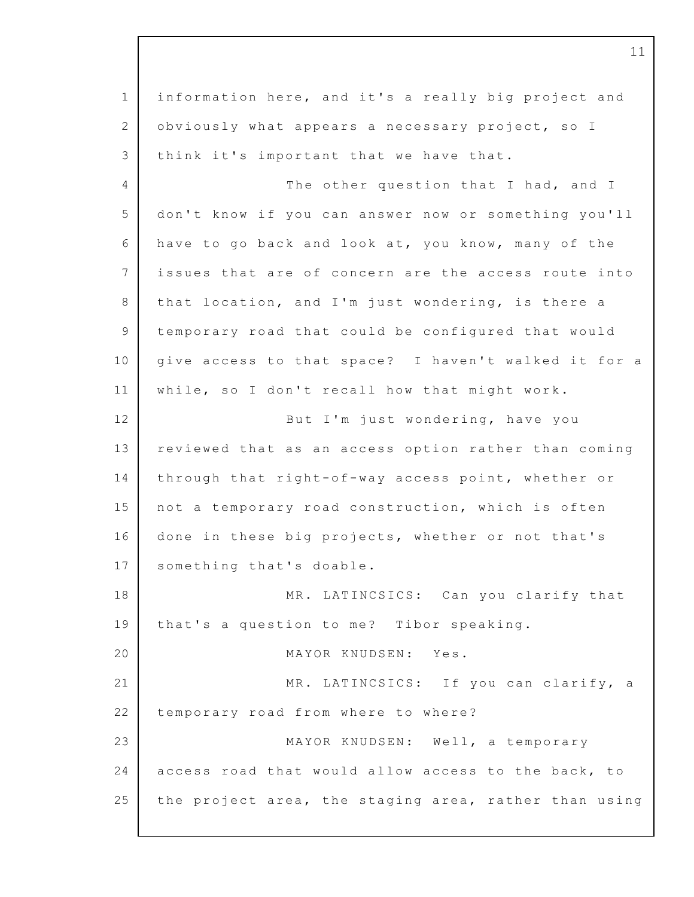1 2 3 4 5 6 7 8 9 10 11 12 13 14 15 16 17 18 19 20 21 22 23 24 25 information here, and it's a really big project and obviously what appears a necessary project, so  $I$ think it's important that we have that. The other question that I had, and I don't know if you can answer now or something you'll have to go back and look at, you know, many of the issues that are of concern are the access route into that location, and I'm just wondering, is there a temporary road that could be configured that would give access to that space? I haven't walked it for a while, so I don't recall how that might work. But I'm just wondering, have you reviewed that as an access option rather than coming through that right-of-way access point, whether or not a temporary road construction, which is often done in these big projects, whether or not that's something that's doable. MR. LATINCSICS: Can you clarify that that's a question to me? Tibor speaking. MAYOR KNUDSEN: Yes. MR. LATINCSICS: If you can clarify, a temporary road from where to where? MAYOR KNUDSEN: Well, a temporary access road that would allow access to the back, to the project area, the staging area, rather than using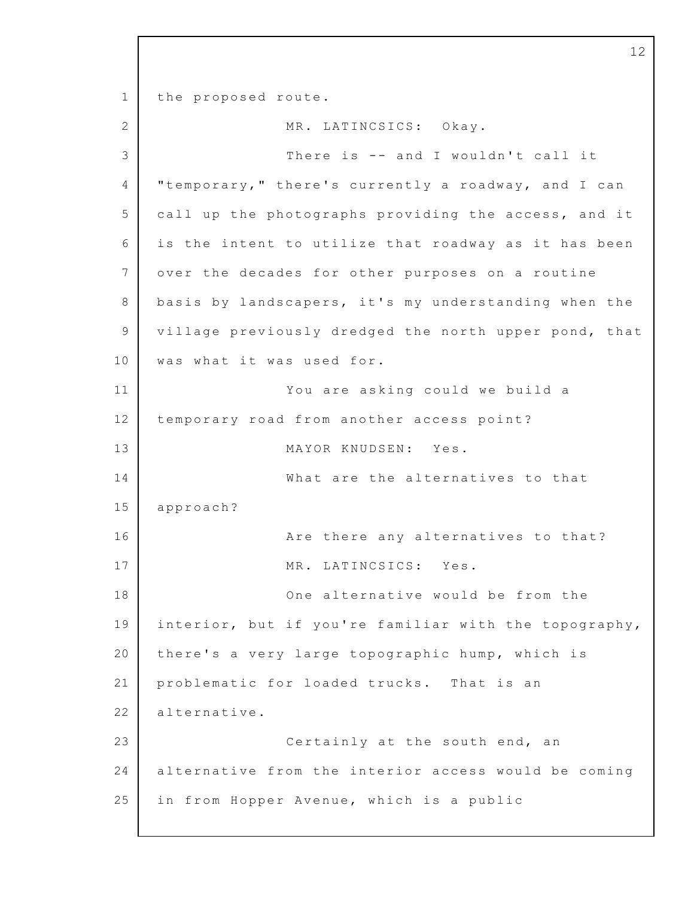1 2 3 4 5 6 7 8 9 10 11 12 13 14 15 16 17 18 19 20 21 22 23 24 25 the proposed route. MR. LATINCSICS: Okav. There is -- and I wouldn't call it "temporary," there's currently a roadway, and I can call up the photographs providing the access, and it is the intent to utilize that roadway as it has been over the decades for other purposes on a routine basis by landscapers, it's my understanding when the village previously dredged the north upper pond, that was what it was used for. You are asking could we build a temporary road from another access point? MAYOR KNUDSEN: Yes. What are the alternatives to that approach? Are there any alternatives to that? MR. LATINCSICS: Yes. One alternative would be from the interior, but if you're familiar with the topography, there's a very large topographic hump, which is problematic for loaded trucks. That is an alternative. Certainly at the south end, an alternative from the interior access would be coming in from Hopper Avenue, which is a public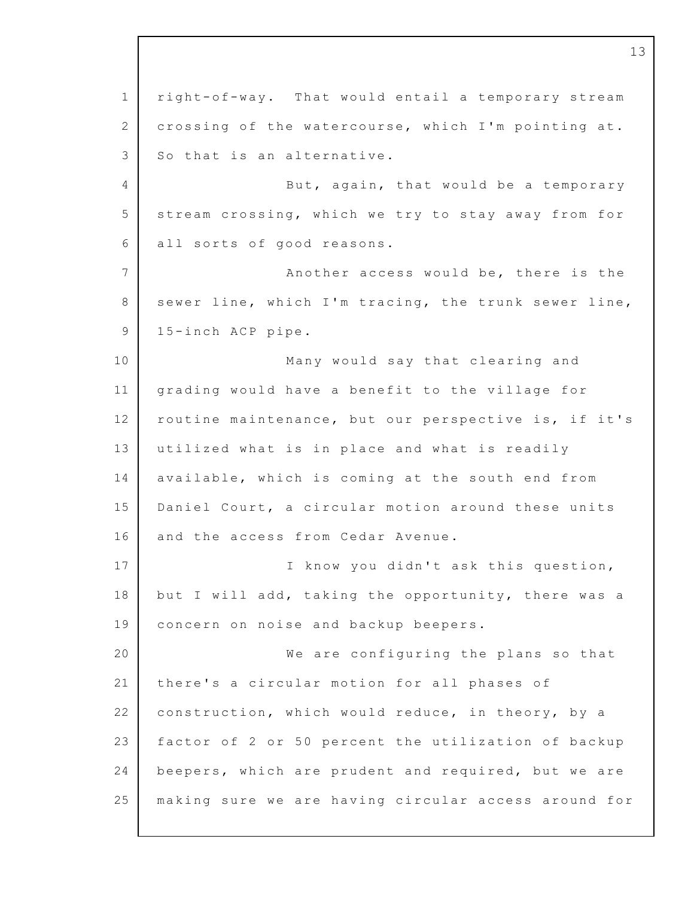1 2 3 4 5 6 7 8 9 10 11 12 13 14 15 16 17 18 19 20 21 22 23 24 25 right-o f-way. That would entail a temporary stream crossing of the watercourse, which I'm pointing at. So that is an alternative. But, again, that would be a temporary stream crossing, which we try to stay away from for all sorts of good reasons. Another access would be, there is the sewer line, which I'm tracing, the trunk sewer line, 1 5-inch ACP pipe. Many would say that clearing and grading would have a benefit to the village for routine maintenance, but our perspective is, if it's utilized what is in place and what is readily available, which is coming at the south end from Daniel Court, a circular motion around these units and the access from Cedar Avenue. I know you didn't ask this question, but I will add, taking the opportunity, there was a concern on noise and backup beepers. We are configuring the plans so that there's a circular motion for all phases of construction, which would reduce, in theory, by a factor of 2 or 50 percent the utilization of backup beepers, which are prudent and required, but we are making sure we are having circular access around for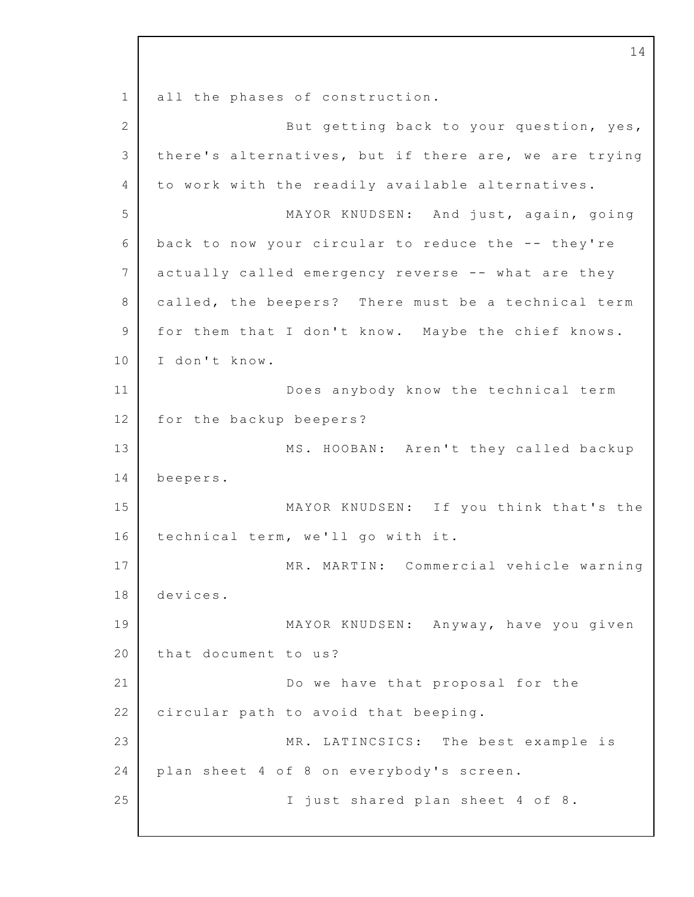1 2 3 4 5 6 7 8 9 10 11 12 13 14 15 16 17 18 19 20 21 22 23 24 25 all the phases of construction. But getting back to your question, yes, there's alternatives, but if there are, we are trying to work with the readily available alternatives. MAYOR KNUDSEN: And just, again, going back to now your circular to reduce the  $-$ - they're actually called emergency reverse -- what are they called, the beepers? There must be a technical term for them that I don't know. Maybe the chief knows. I don't know. Does anybody know the technical term for the backup beepers? MS. HOOBAN: Aren't they called backup beepers. MAYOR KNUDSEN: If you think that's the technical term, we'll go with it. MR. MARTIN: Commercial vehicle warning devices. MAYOR KNUDSEN: Anyway, have you given that document to us? Do we have that proposal for the circular path to avoid that beeping. MR. LATINCSICS: The best example is plan sheet 4 of 8 on everybody's screen. I just shared plan sheet 4 of 8.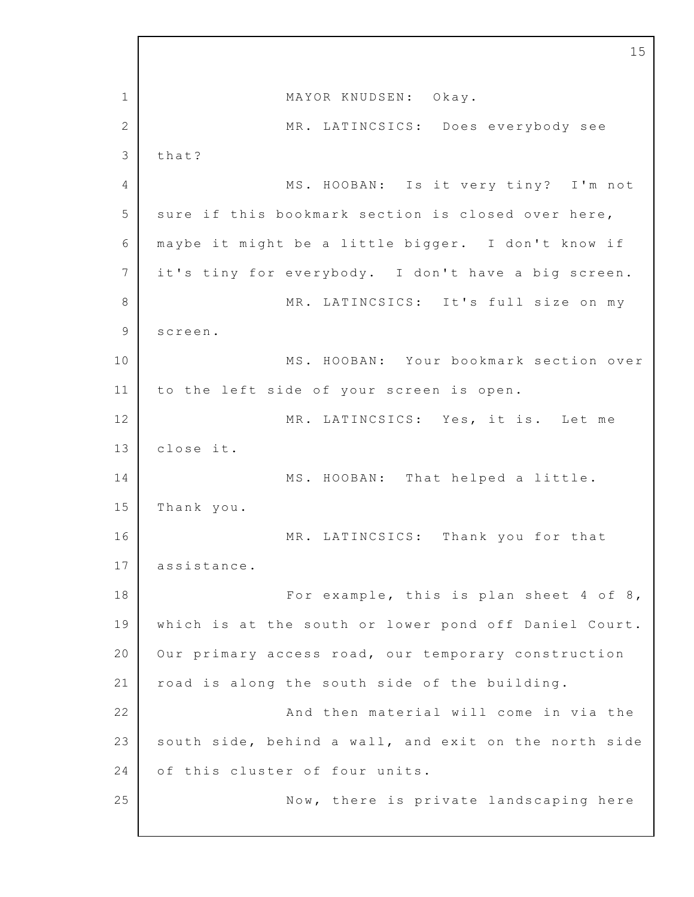1 2 3 4 5 6 7 8 9 10 11 12 13 14 15 16 17 18 19 20 21 22 23 24 25 15 MAYOR KNUDSEN: Okay. MR. LATINCSICS: Does everybody see that? MS. HOOBAN: Is it very tiny? I'm not sure if this bookmark section is closed over here, maybe it might be a little bigger. I don't know if it's tiny for everybody. I don't have a big screen. MR. LATINCSICS: It's full size on my screen. MS. HOOBAN: Your bookmark section over to the left side of your screen is open. MR. LATINCSICS: Yes, it is. Let me close it. MS. HOOBAN: That helped a little. Thank you. MR. LATINCSICS: Thank you for that assistance. For example, this is plan sheet  $4$  of  $8$ , which is at the south or lower pond off Daniel Court. Our primary access road, our temporary construction road is along the south side of the building. And then material will come in via the south side, behind a wall, and exit on the north side of this cluster of four units. Now, there is private landscaping here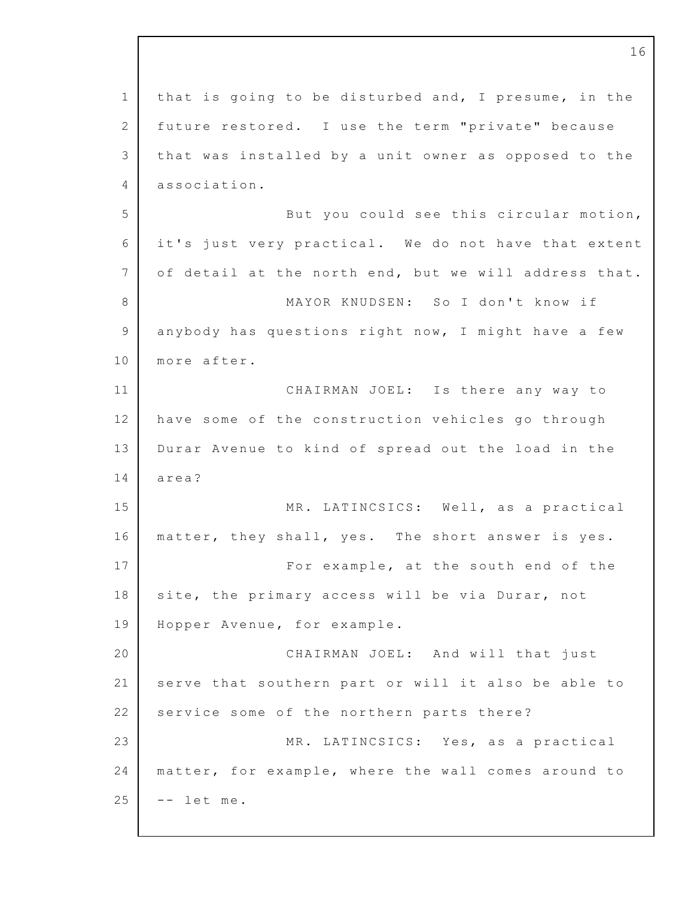| $\mathbf 1$    | that is going to be disturbed and, I presume, in the  |
|----------------|-------------------------------------------------------|
| $\mathbf{2}$   | future restored. I use the term "private" because     |
| 3              | that was installed by a unit owner as opposed to the  |
| 4              | association.                                          |
| 5              | But you could see this circular motion,               |
| 6              | it's just very practical. We do not have that extent  |
| 7              | of detail at the north end, but we will address that. |
| 8              | MAYOR KNUDSEN: So I don't know if                     |
| $\overline{9}$ | anybody has questions right now, I might have a few   |
| 10             | more after.                                           |
| 11             | CHAIRMAN JOEL: Is there any way to                    |
| 12             | have some of the construction vehicles go through     |
| 13             | Durar Avenue to kind of spread out the load in the    |
| 14             | area?                                                 |
| 15             | MR. LATINCSICS: Well, as a practical                  |
| 16             | matter, they shall, yes. The short answer is yes.     |
| 17             | For example, at the south end of the                  |
| 18             | site, the primary access will be via Durar, not       |
| 19             | Hopper Avenue, for example.                           |
| 20             | CHAIRMAN JOEL: And will that just                     |
| 21             | serve that southern part or will it also be able to   |
| 22             | service some of the northern parts there?             |
| 23             | MR. LATINCSICS: Yes, as a practical                   |
| 24             | matter, for example, where the wall comes around to   |
| 25             | let me.                                               |
|                |                                                       |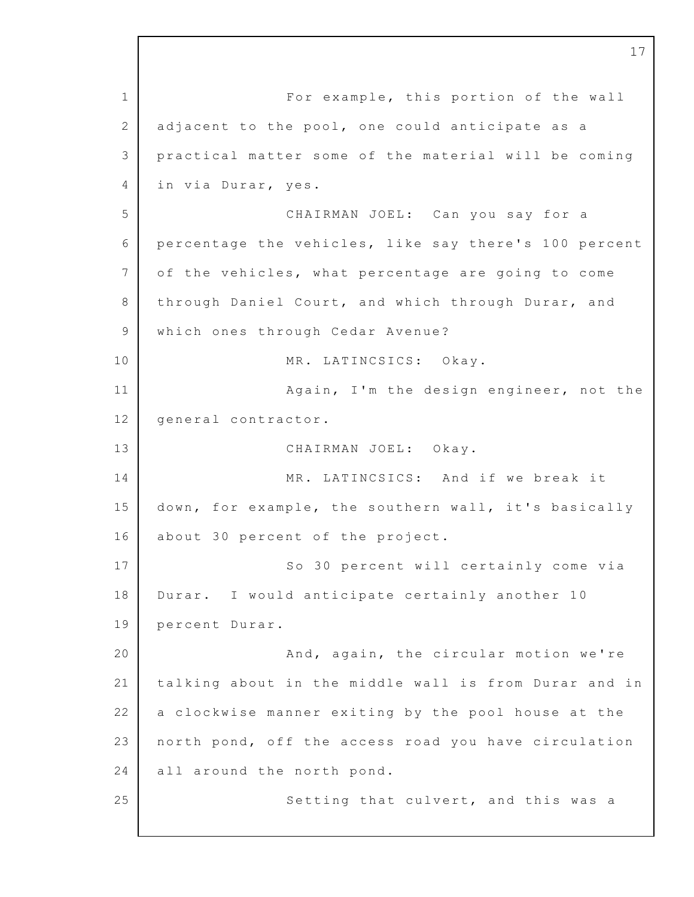1 2 3 4 5 6 7 8 9 10 11 12 13 14 15 16 17 18 19 20 21 22 23 24 25 For example, this portion of the wall adjacent to the pool, one could anticipate as a practical matter some of the material will be coming in via Durar, yes. CHAIRMAN JOEL: Can you say for a percentage the vehicles, like say there's 100 percent of the vehicles, what percentage are going to come through Daniel Court, and which through Durar, and which ones through Cedar Avenue? MR. LATINCSICS: Okay. Again, I'm the design engineer, not the general contractor. CHAIRMAN JOEL: Okay. MR. LATINCSICS: And if we break it down, for example, the southern wall, it's basically about 30 percent of the project. So 30 percent will certainly come via Durar. I would anticipate certainly another 10 percent Durar. And, again, the circular motion we're talking about in the middle wall is from Durar and in a clockwise manner exiting by the pool house at the north pond, off the access road you have circulation all around the north pond. Setting that culvert, and this was a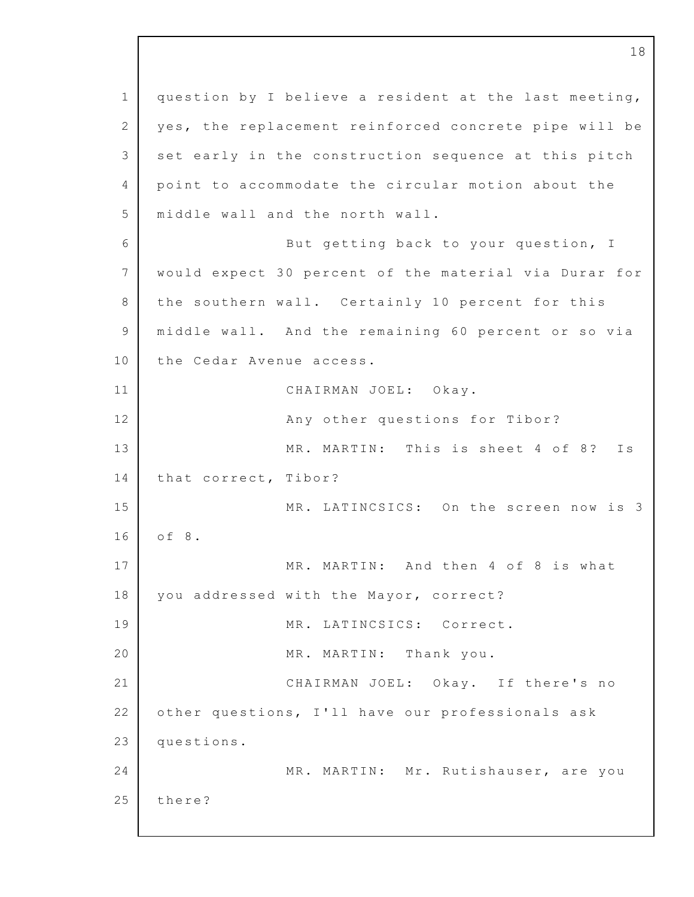1 2 3 4 5 6 7 8 9 10 11 12 13 14 15 16 17 18 19 20 21 22 23 24 25 question by I believe a resident at the last meeting, yes, the replacement reinforced concrete pipe will be set early in the construction sequence at this pitch point to accommodate the circular motion about the middle wall and the north wall. But getting back to your question, I would expect 30 percent of the material via Durar for the southern wall. Certainly 10 percent for this middle wall. And the remaining 60 percent or so via the Cedar Avenue access. CHAIRMAN JOEL: Okay. Any other questions for Tibor? MR. MARTIN: This is sheet 4 of 8? Is that correct, Tibor? MR. LATINCSICS: On the screen now is 3 o f 8. MR. MARTIN: And then 4 of 8 is what you addressed with the Mayor, correct? MR. LATINCSICS: Correct. MR. MARTIN: Thank you. CHAIRMAN JOEL: Okay. If there's no other questions, I'll have our professionals ask questions. MR. MARTIN: Mr. Rutishauser, are you there?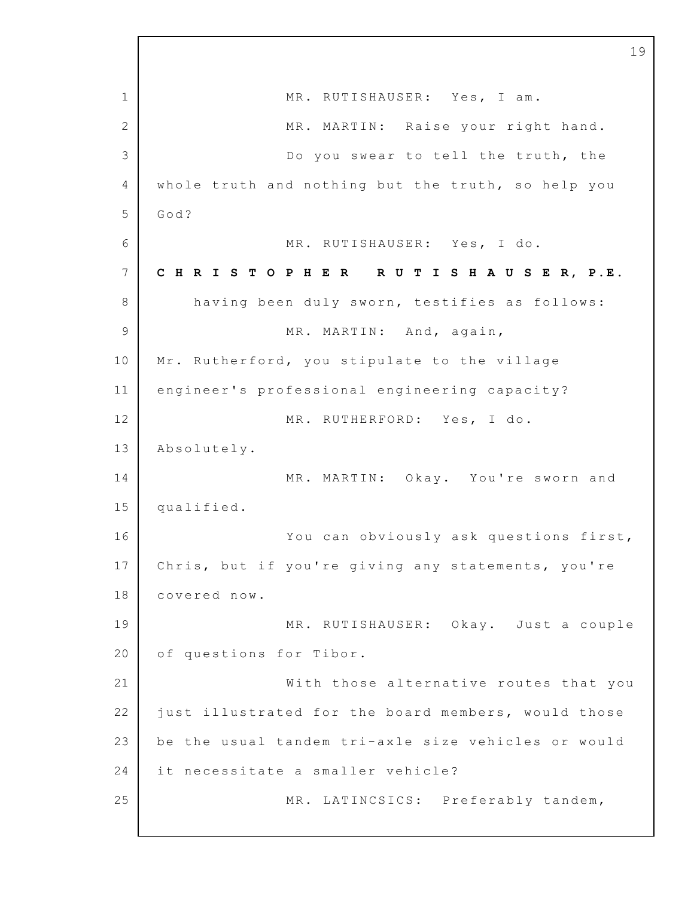1 2 3 4 5 6 7 8 9 10 11 12 13 14 15 16 17 18 19 20 21 22 23 24 25 MR. RUTISHAUSER: Yes, I am. MR. MARTIN: Raise your right hand. Do you swear to tell the truth, the whole truth and nothing but the truth, so help you God? MR. RUTISHAUSER: Yes, I do. **C H R I S T O P H E R R U T I S H A U S E R, P.E.** having been duly sworn, testifies as follows: MR. MARTIN: And, again, Mr. Rutherford, you stipulate to the village engineer's professional engineering capacity? MR. RUTHERFORD: Yes, I do. Absolutely. MR. MARTIN: Okay. You're sworn and qualified. You can obviously ask questions first, Chris, but if you're giving any statements, you're covered now. MR. RUTISHAUSER: Okay. Just a couple of questions for Tibor. With those alternative routes that you just illustrated for the board members, would those be the usual tandem tri-axle size vehicles or would it necessitate a smaller vehicle? MR. LATINCSICS: Preferably tandem,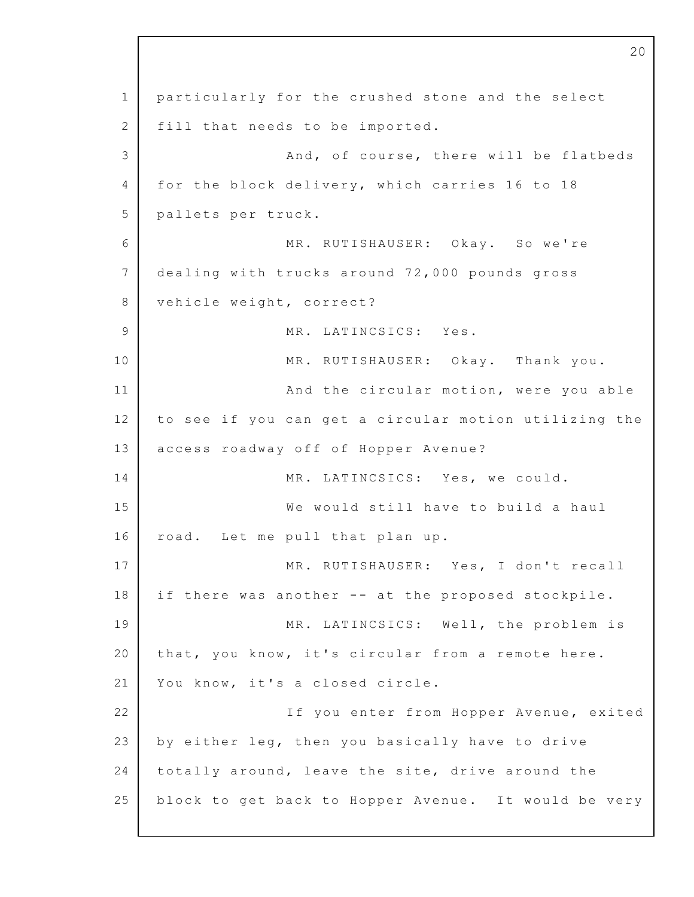1 2 3 4 5 6 7 8 9 10 11 12 13 14 15 16 17 18 19 20 21 22 23 24 25 particularly for the crushed stone and the select fill that needs to be imported. And, of course, there will be flatbeds for the block delivery, which carries 16 to 18 pallets per truck. MR. RUTISHAUSER: Okay. So we're dealing with trucks around 72,000 pounds gross vehicle weight, correct? MR. LATINCSICS: Yes. MR. RUTISHAUSER: Okay. Thank you. And the circular motion, were you able to see if you can get a circular motion utilizing the access roadway off of Hopper Avenue? MR. LATINCSICS: Yes, we could. We would still have to build a haul road. Let me pull that plan up. MR. RUTISHAUSER: Yes, I don't recall if there was another -- at the proposed stockpile. MR. LATINCSICS: Well, the problem is that, you know, it's circular from a remote here. You know, it's a closed circle. If you enter from Hopper Avenue, exited by either leg, then you basically have to drive totally around, leave the site, drive around the block to get back to Hopper Avenue. It would be very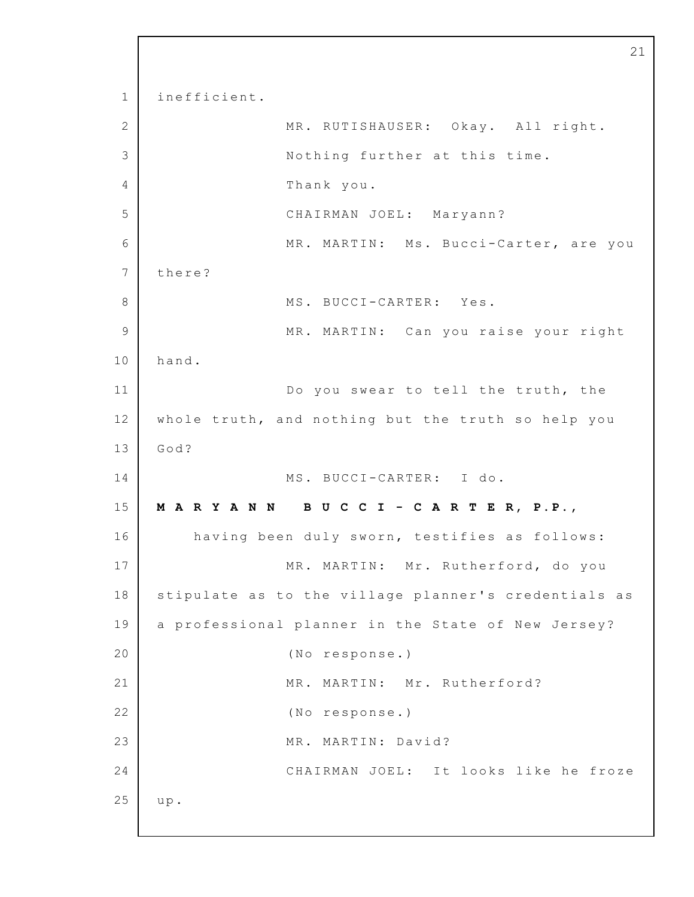1 2 3 4 5 6 7 8 9 10 11 12 13 14 15 16 17 18 19 20 21 22 23 24 25 i nefficient. MR. RUTISHAUSER: Okay. All right. Nothing further at this time. Thank you. CHAIRMAN JOEL: Maryann? MR. MARTIN: Ms. Bucci-Carter, are you there? MS. BUCCI-CARTER: Yes. MR. MARTIN: Can you raise your right hand. Do you swear to tell the truth, the whole truth, and nothing but the truth so help you God? MS. BUCCI-CARTER: I do. **M A R Y A N N B U C C I - C A R T E R, P.P.,** having been duly sworn, testifies as follows: MR. MARTIN: Mr. Rutherford, do you stipulate as to the village planner's credentials as a professional planner in the State of New Jersey? (No response.) MR. MARTIN: Mr. Rutherford? (No response.) MR. MARTIN: David? CHAIRMAN JOEL: It looks like he froze u p.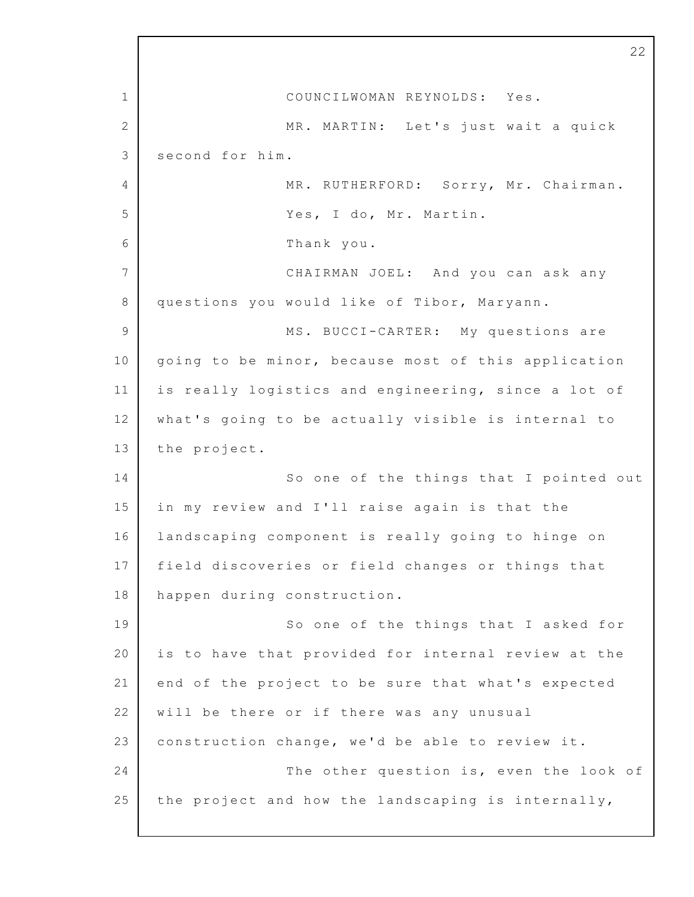1 2 3  $\Delta$ 5 6 7 8 9 10 11 12 13 14 15 16 17 18 19 20 21 22 23 24 25 22 COUNCILWOMAN REYNOLDS: Yes. MR. MARTIN: Let's just wait a quick second for him. MR. RUTHERFORD: Sorry, Mr. Chairman. Yes, I do, Mr. Martin. Thank you. CHAIRMAN JOEL: And you can ask any questions you would like of Tibor, Maryann. MS. BUCCI-CARTER: My questions are going to be minor, because most of this application is really logistics and engineering, since a lot of what's going to be actually visible is internal to the project. So one of the things that I pointed out in my review and I'll raise again is that the landscaping component is really going to hinge on field discoveries or field changes or things that happen during construction. So one of the things that I asked for is to have that provided for internal review at the end of the project to be sure that what's expected will be there or if there was any unusual construction change, we'd be able to review it. The other question is, even the look of the project and how the landscaping is internally,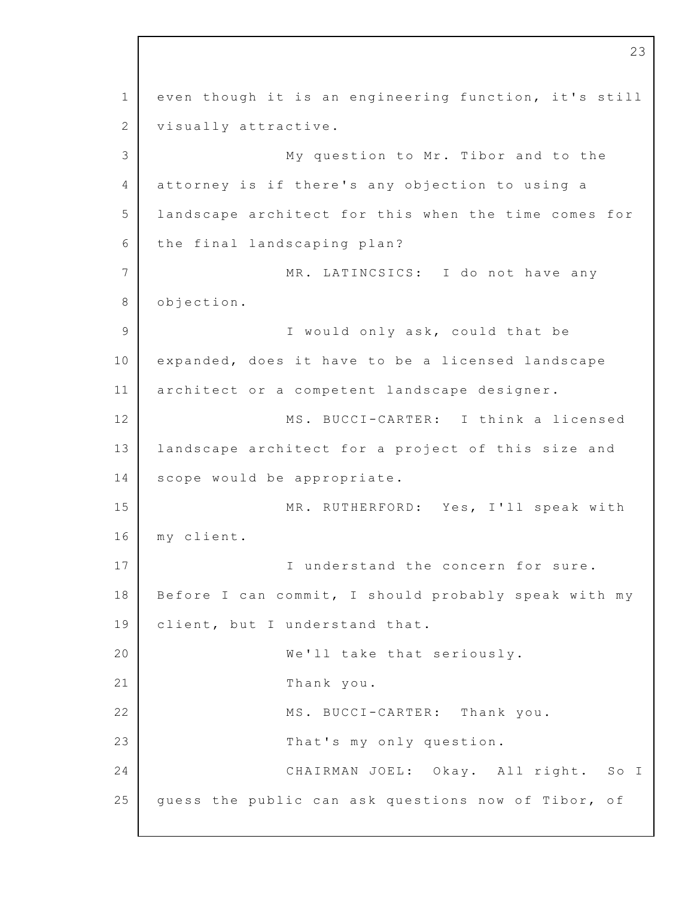1 2 3 4 5 6 7 8 9 10 11 12 13 14 15 16 17 18 19 20 21 22 23 24 25 even though it is an engineering function, it's still visually attractive. My question to Mr. Tibor and to the attorney is if there's any objection to using a landscape architect for this when the time comes for the final landscaping plan? MR. LATINCSICS: I do not have any objection. I would only ask, could that be expanded, does it have to be a licensed landscape architect or a competent landscape designer. MS. BUCCI-CARTER: I think a licensed landscape architect for a project of this size and scope would be appropriate. MR. RUTHERFORD: Yes, I'll speak with m y client. I understand the concern for sure. Before I can commit, I should probably speak with my client, but I understand that. We'll take that seriously. Thank you. MS. BUCCI-CARTER: Thank you. That's my only question. CHAIRMAN JOEL: Okay. All right. So I guess the public can ask questions now of Tibor, of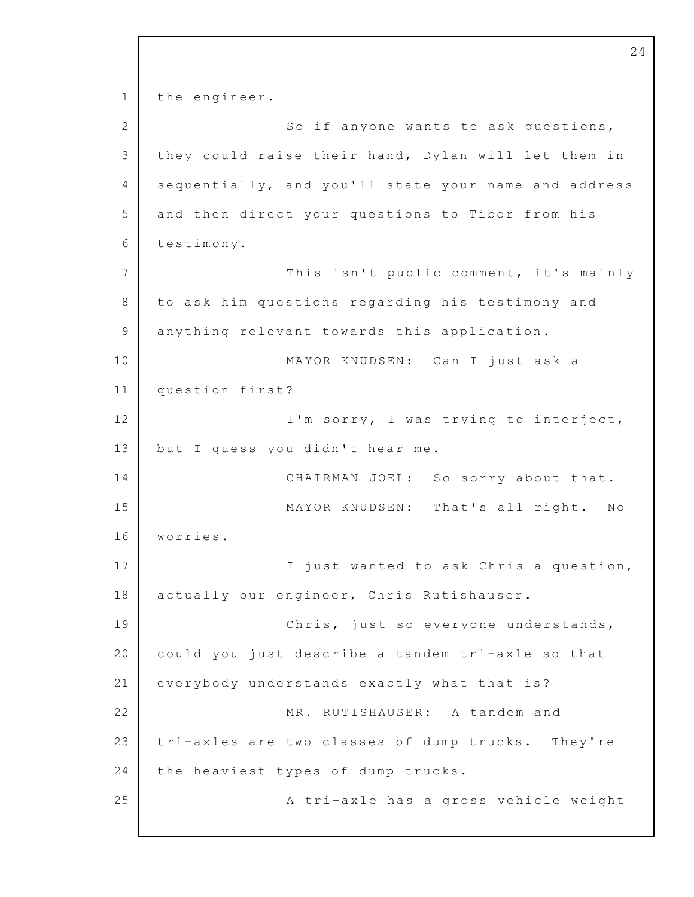1 2 3 4 5 6 7 8 9 10 11 12 13 14 15 16 17 18 19 20 21 22 23 24 25 the engineer. So if anyone wants to ask questions, they could raise their hand, Dylan will let them in sequentially, and you'll state your name and address and then direct your questions to Tibor from his testimony. This isn't public comment, it's mainly to ask him questions regarding his testimony and anything relevant towards this application. MAYOR KNUDSEN: Can I just ask a question first? I'm sorry, I was trying to interject, but I guess you didn't hear me. CHAIRMAN JOEL: So sorry about that. MAYOR KNUDSEN: That's all right. No worries. I just wanted to ask Chris a question, actually our engineer, Chris Rutishauser. Chris, just so everyone understands, could you just describe a tandem tri-axle so that everybody understands exactly what that is? MR. RUTISHAUSER: A tandem and tri-axles are two classes of dump trucks. They're the heaviest types of dump trucks. A tri-axle has a gross vehicle weight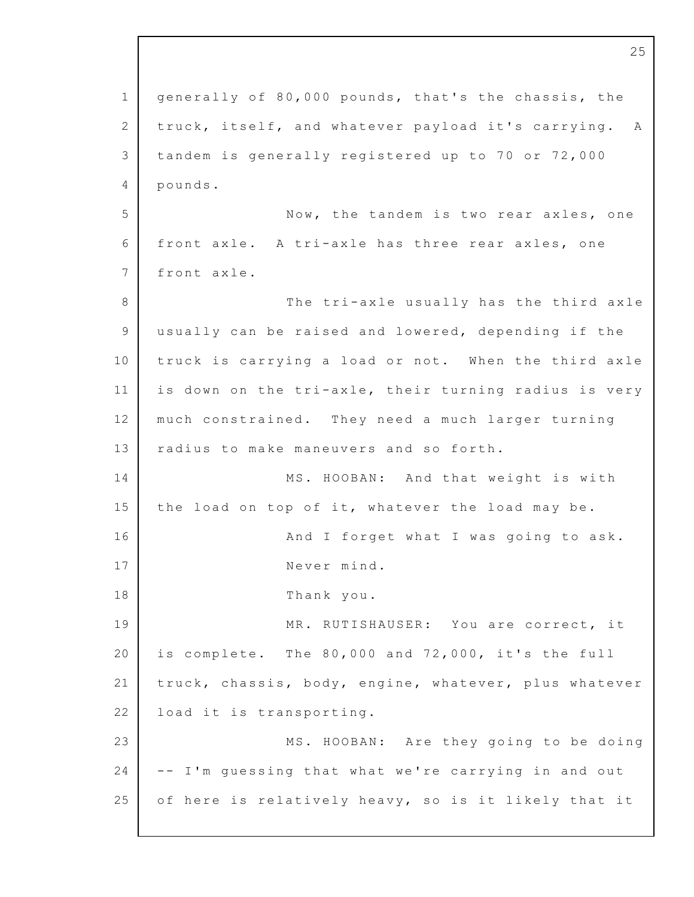1 2 3 4 5 6 7 8 9 10 11 12 13 14 15 16 17 18 19 20 21 22 23 24 25 25 generally of 80,000 pounds, that's the chassis, the truck, itself, and whatever payload it's carrying. A tandem is generally registered up to 70 or  $72,000$ pounds. Now, the tandem is two rear axles, one front axle. A tri-axle has three rear axles, one front axle. The tri-axle usually has the third axle usually can be raised and lowered, depending if the truck is carrying a load or not. When the third axle is down on the tri-axle, their turning radius is very much constrained. They need a much larger turning radius to make maneuvers and so forth. MS. HOOBAN: And that weight is with the load on top of it, whatever the load may be. And I forget what I was going to ask. Never mind. Thank you. MR. RUTISHAUSER: You are correct, it is complete. The  $80,000$  and  $72,000$ , it's the full truck, chassis, body, engine, whatever, plus whatever load it is transporting. MS. HOOBAN: Are they going to be doing -- I'm guessing that what we're carrying in and out of here is relatively heavy, so is it likely that it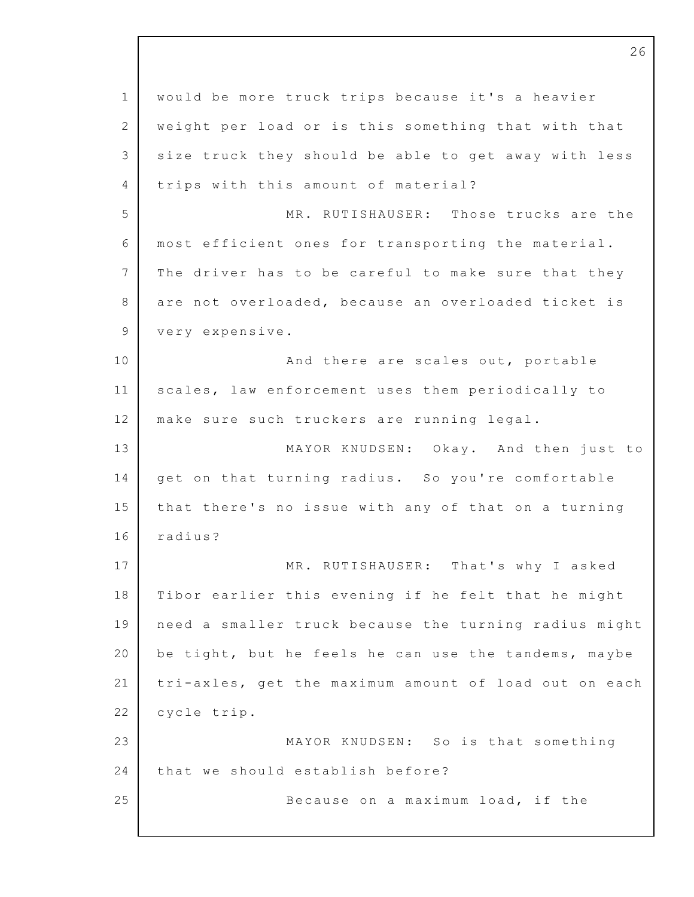1 2 3 4 5 6 7 8 9 10 11 12 13 14 15 16 17 18 19 20 21 22 23 24 25 would be more truck trips because it's a heavier weight per load or is this something that with that size truck they should be able to get away with less trips with this amount of material? MR. RUTISHAUSER: Those trucks are the most efficient ones for transporting the material. The driver has to be careful to make sure that they are not overloaded, because an overloaded ticket is very expensive. And there are scales out, portable scales, law enforcement uses them periodically to make sure such truckers are running legal. MAYOR KNUDSEN: Okay. And then just to get on that turning radius. So you're comfortable that there's no issue with any of that on a turning radius? MR. RUTISHAUSER: That's why I asked Tibor earlier this evening if he felt that he might need a smaller truck because the turning radius might be tight, but he feels he can use the tandems, maybe tri-axles, get the maximum amount of load out on each cycle trip. MAYOR KNUDSEN: So is that something that we should establish before? Because on a maximum load, if the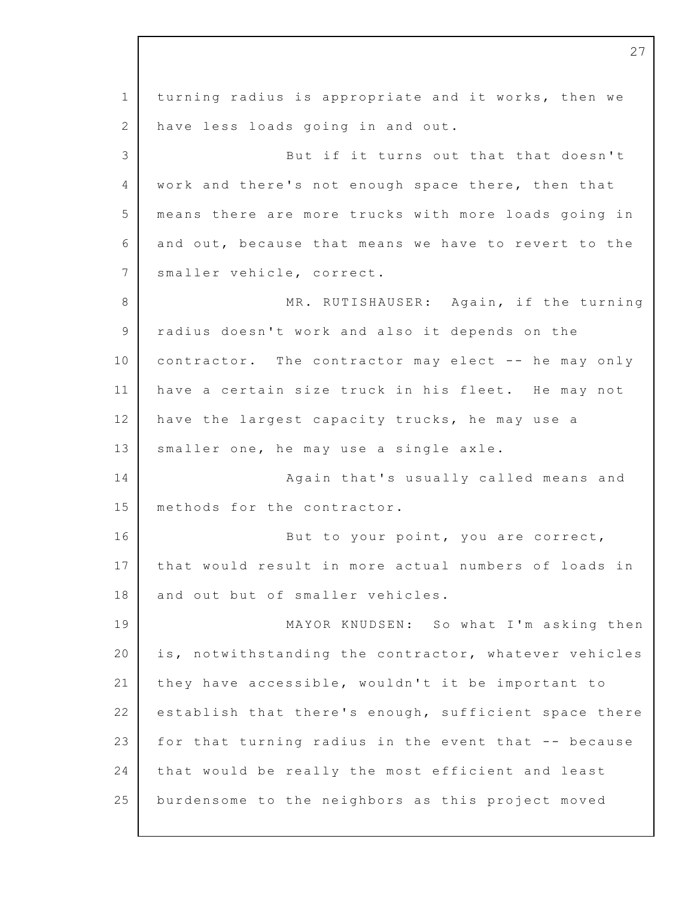1 2 3 4 5 6 7 8 9 10 11 12 13 14 15 16 17 18 19 20 21 22 23 24 25 turning radius is appropriate and it works, then we have less loads going in and out. But if it turns out that that doesn't work and there's not enough space there, then that means there are more trucks with more loads going in and out, because that means we have to revert to the smaller vehicle, correct. MR. RUTISHAUSER: Again, if the turning radius doesn't work and also it depends on the contractor. The contractor may elect  $-$ - he may only have a certain size truck in his fleet. He may not have the largest capacity trucks, he may use a smaller one, he may use a single axle. Again that's usually called means and methods for the contractor. But to your point, you are correct, that would result in more actual numbers of loads in and out but of smaller vehicles. MAYOR KNUDSEN: So what I'm asking then is, notwithstanding the contractor, whatever vehicles they have accessible, wouldn't it be important to establish that there's enough, sufficient space there for that turning radius in the event that -- because that would be really the most efficient and least burdensome to the neighbors as this project moved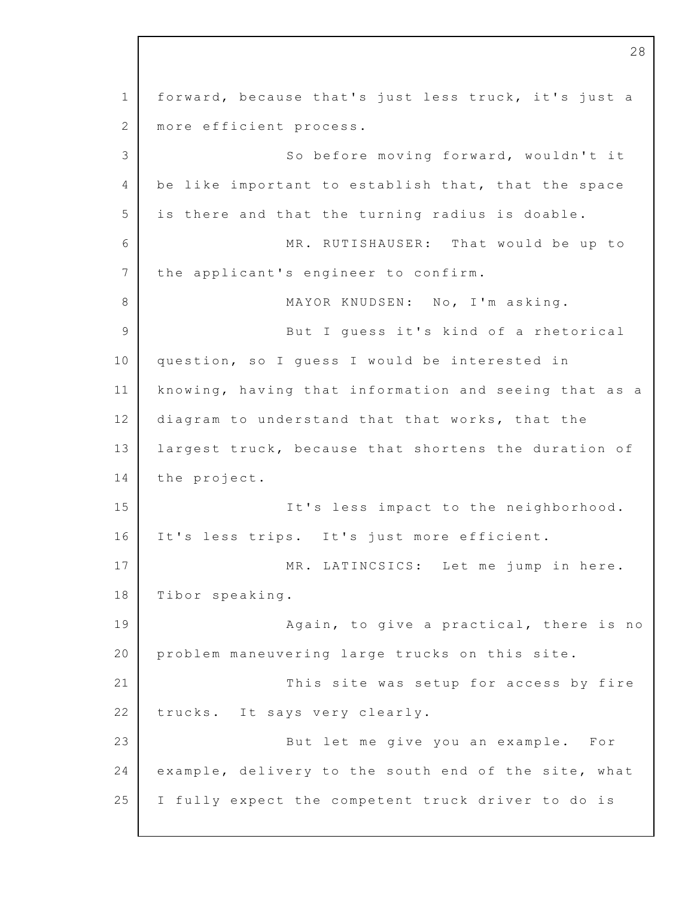1 2 3 4 5 6 7 8 9 10 11 12 13 14 15 16 17 18 19 20 21 22 23 24 25 forward, because that's just less truck, it's just a more efficient process. So before moving forward, wouldn't it be like important to establish that, that the space is there and that the turning radius is doable. MR. RUTISHAUSER: That would be up to the applicant's engineer to confirm. MAYOR KNUDSEN: No, I'm asking. But I quess it's kind of a rhetorical question, so I quess I would be interested in knowing, having that information and seeing that as a diagram to understand that that works, that the largest truck, because that shortens the duration of the project. It's less impact to the neighborhood. It's less trips. It's just more efficient. MR. LATINCSICS: Let me jump in here. Tibor speaking. Again, to give a practical, there is no problem maneuvering large trucks on this site. This site was setup for access by fire trucks. It says very clearly. But let me give you an example. For example, delivery to the south end of the site, what I fully expect the competent truck driver to do is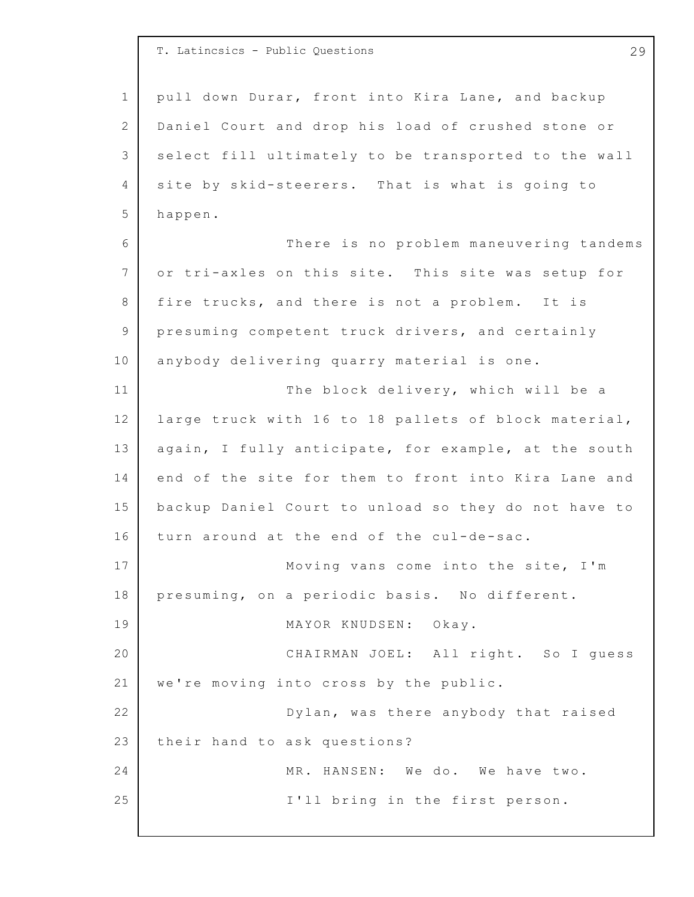1 2 3 4 5 6 7 8 9 10 11 12 13 14 15 16 17 18 19 20 21 22 23 24 25 T. Latincsics - Public Questions 29 pull down Durar, front into Kira Lane, and backup Daniel Court and drop his load of crushed stone or select fill ultimately to be transported to the wall site by skid-steerers. That is what is going to happen. There is no problem maneuvering tandems or tri-axles on this site. This site was setup for fire trucks, and there is not a problem. It is presuming competent truck drivers, and certainly anybody delivering quarry material is one. The block delivery, which will be a large truck with 16 to 18 pallets of block material, again, I fully anticipate, for example, at the south end of the site for them to front into Kira Lane and backup Daniel Court to unload so they do not have to turn around at the end of the cul-de-sac. Moving vans come into the site, I'm presuming, on a periodic basis. No different. MAYOR KNUDSEN: Okay. CHAIRMAN JOEL: All right. So I guess we're moving into cross by the public. Dylan, was there anybody that raised their hand to ask questions? MR. HANSEN: We do. We have two. I'll bring in the first person.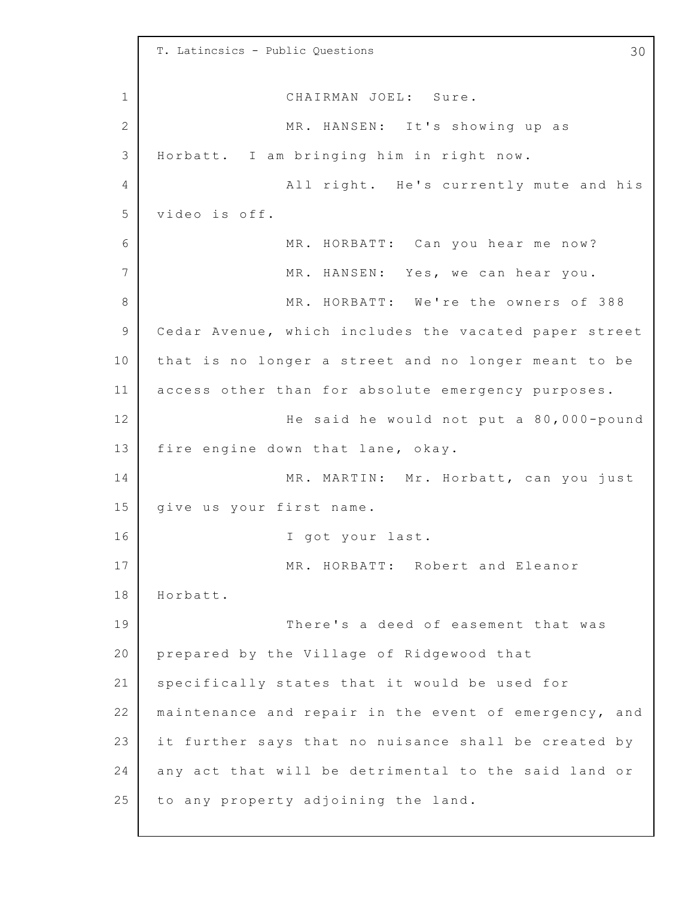1 2 3 4 5 6 7 8 9 10 11 12 13 14 15 16 17 18 19 20 21 22 23 24 25 T. Latincsics - Public Questions 30 CHAIRMAN JOEL: Sure. MR. HANSEN: It's showing up as Horbatt. I am bringing him in right now. All right. He's currently mute and his video is off. MR. HORBATT: Can you hear me now? MR. HANSEN: Yes, we can hear you. MR. HORBATT: We're the owners of 388 Cedar Avenue, which includes the vacated paper street that is no longer a street and no longer meant to be access other than for absolute emergency purposes. He said he would not put a 80,000-pound fire engine down that lane, okay. MR. MARTIN: Mr. Horbatt, can you just give us your first name. I got your last. MR. HORBATT: Robert and Eleanor Horbatt. There's a deed of easement that was prepared by the Village of Ridgewood that specifically states that it would be used for maintenance and repair in the event of emergency, and it further says that no nuisance shall be created by any act that will be detrimental to the said land or to any property adjoining the land.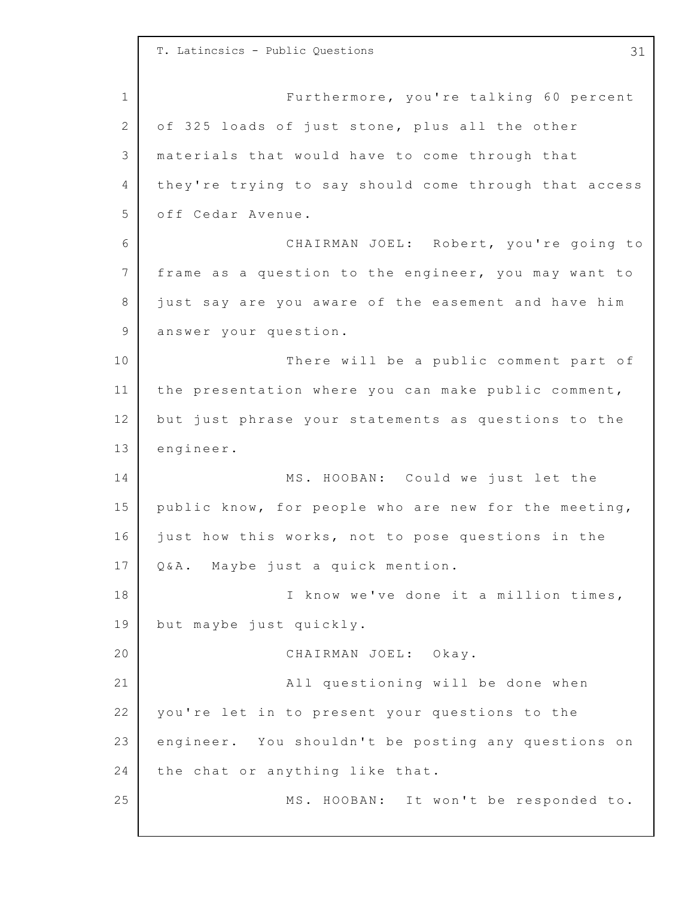1 2 3 4 5 6 7 8 9 10 11 12 13 14 15 16 17 18 19 20 21 22 23 24 25 T. Latincsics - Public Questions 31 Furthermore, you're talking 60 percent of 325 loads of just stone, plus all the other materials that would have to come through that they're trying to say should come through that access off Cedar Avenue. CHAIRMAN JOEL: Robert, you're going to frame as a question to the engineer, you may want to just say are you aware of the easement and have him answer your question. There will be a public comment part of the presentation where you can make public comment, but just phrase your statements as questions to the engineer. MS. HOOBAN: Could we just let the public know, for people who are new for the meeting, just how this works, not to pose questions in the Q&A. Maybe just a quick mention. I know we've done it a million times, but maybe just quickly. CHAIRMAN JOEL: Okay. All questioning will be done when you're let in to present your questions to the engineer. You shouldn't be posting any questions on the chat or anything like that. MS. HOOBAN: It won't be responded to.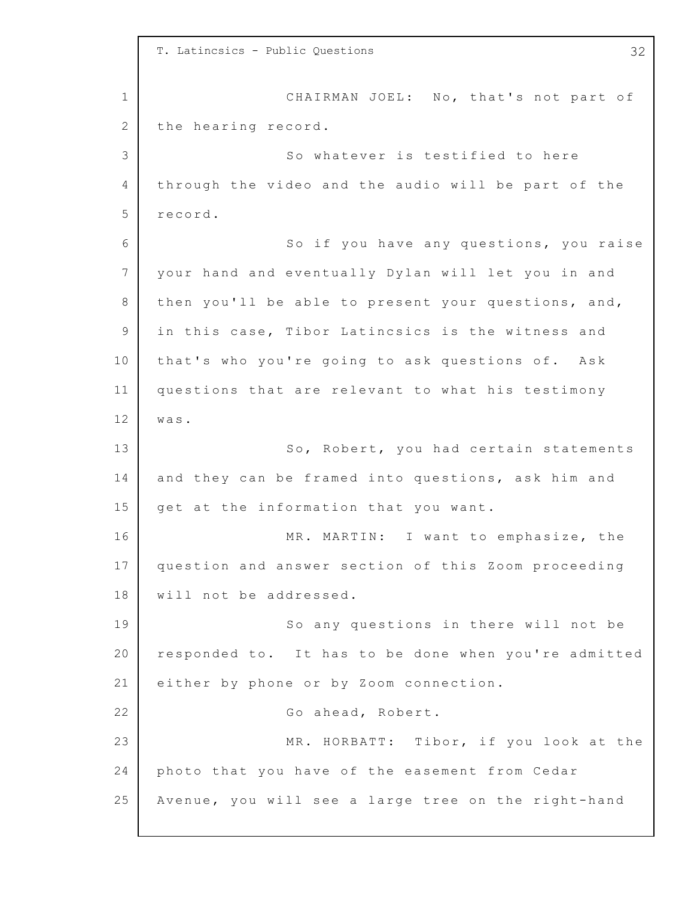1 2 3 4 5 6 7 8 9 10 11 12 13 14 15 16 17 18 19 20 21 22 23 24 25 T. Latincsics - Public Questions 32 CHAIRMAN JOEL: No, that's not part of the hearing record. So whatever is testified to here through the video and the audio will be part of the record. So if you have any questions, you raise your hand and eventually Dylan will let you in and then you'll be able to present your questions, and, in this case, Tibor Latincsics is the witness and that's who you're going to ask questions of. Ask questions that are relevant to what his testimony was. So, Robert, you had certain statements and they can be framed into questions, ask him and get at the information that you want. MR. MARTIN: I want to emphasize, the question and answer section of this Zoom proceeding will not be addressed. So any questions in there will not be responded to. It has to be done when you're admitted either by phone or by Zoom connection. Go ahead, Robert. MR. HORBATT: Tibor, if you look at the photo that you have of the easement from Cedar Avenue, you will see a large tree on the right-hand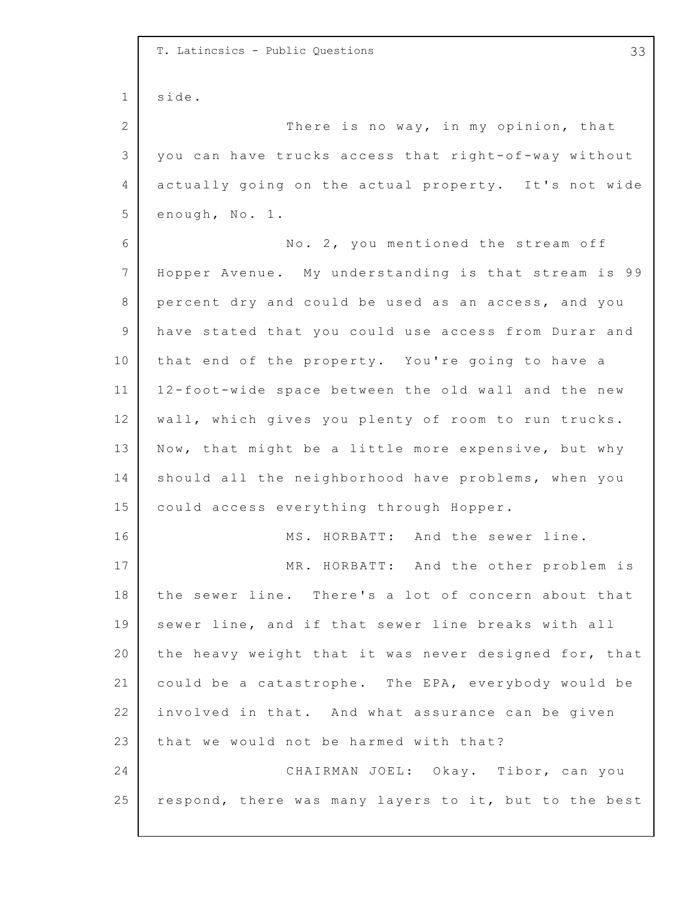1 2 3 4 5 6 7 8 9 10 11 12 13 14 15 16 17 18 19 20 21 22 23 24 25 T. Latincsics - Public Questions 33 side. There is no way, in my opinion, that you can have trucks access that right-of-way without actually going on the actual property. It's not wide enough, No. 1. No. 2, you mentioned the stream off Hopper Avenue. My understanding is that stream is 99 percent dry and could be used as an access, and you have stated that you could use access from Durar and that end of the property. You're going to have a 1 2-foot-wide space between the old wall and the new wall, which gives you plenty of room to run trucks. Now, that might be a little more expensive, but why should all the neighborhood have problems, when you could access everything through Hopper. MS. HORBATT: And the sewer line. MR. HORBATT: And the other problem is the sewer line. There's a lot of concern about that sewer line, and if that sewer line breaks with all the heavy weight that it was never designed for, that could be a catastrophe. The EPA, everybody would be involved in that. And what assurance can be given that we would not be harmed with that? CHAIRMAN JOEL: Okay. Tibor, can you respond, there was many layers to it, but to the best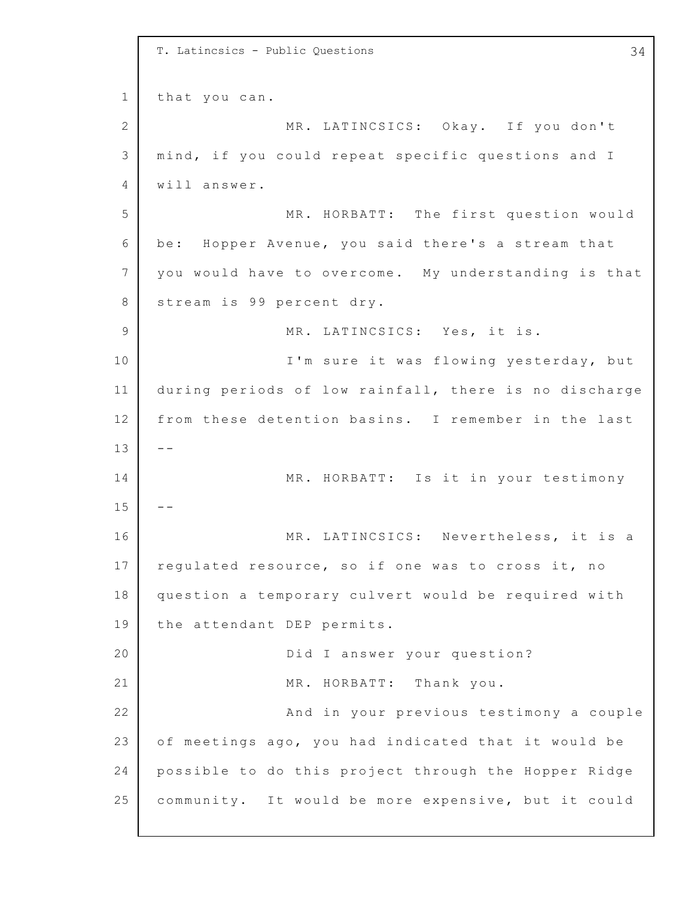1 2 3 4 5 6 7 8 9 10 11 12 13 14 15 16 17 18 19 20 21 22 23 24 25 T. Latincsics - Public Questions 34 that you can. MR. LATINCSICS: Okay. If you don't mind, if you could repeat specific questions and I will answer. MR. HORBATT: The first question would be: Hopper Avenue, you said there's a stream that you would have to overcome. My understanding is that stream is 99 percent dry. MR. LATINCSICS: Yes, it is. I'm sure it was flowing yesterday, but during periods of low rainfall, there is no discharge from these detention basins. I remember in the last  $- -$ MR. HORBATT: Is it in your testimony -- MR. LATINCSICS: Nevertheless, it is a regulated resource, so if one was to cross it, no question a temporary culvert would be required with the attendant DEP permits. Did I answer your question? MR. HORBATT: Thank you. And in your previous testimony a couple of meetings ago, you had indicated that it would be possible to do this project through the Hopper Ridge community. It would be more expensive, but it could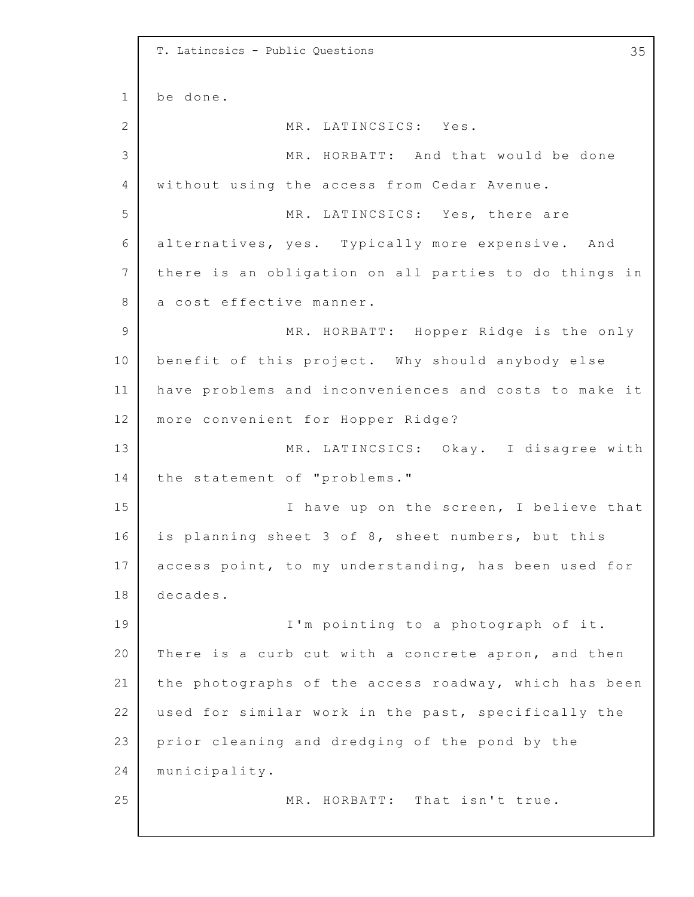```
1
2
3
4
5
6
7
8
9
10
11
12
13
14
15
16
17
18
19
20
21
22
23
24
25
    T. Latincsics - Public Questions 35
    be done.
                  MR. LATINCSICS: Yes.
                  MR. HORBATT: And that would be done
    without using the access from Cedar Avenue.
                  MR. LATINCSICS: Yes, there are
    alternatives, yes. Typically more expensive. And
    there is an obligation on all parties to do things in
    a cost effective manner.
                  MR. HORBATT: Hopper Ridge is the only
    benefit of this project. Why should anybody else
    have problems and inconveniences and costs to make it
    more convenient for Hopper Ridge?
                  MR. LATINCSICS: Okay. I disagree with
    the statement of "problems."
                  I have up on the screen, I believe that
    is planning sheet 3 of 8, sheet numbers, but this
    access point, to my understanding, has been used for
    decades.
                  I'm pointing to a photograph of it.
    There is a curb cut with a concrete apron, and then
    the photographs of the access roadway, which has been
    used for similar work in the past, specifically the
    prior cleaning and dredging of the pond by the
    municipality.
                  MR. HORBATT: That isn't true.
```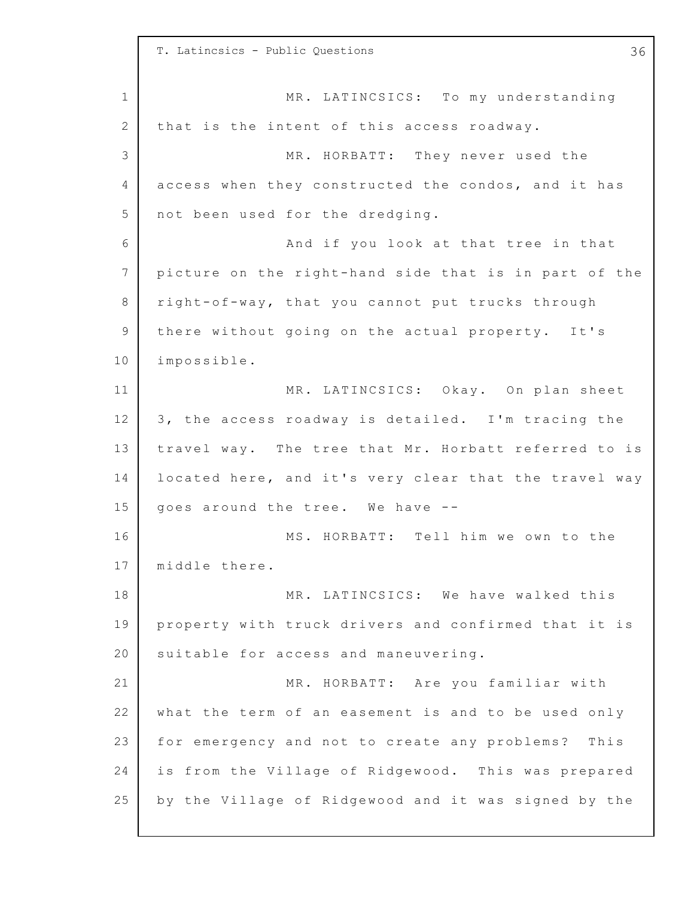1 2 3 4 5 6 7 8 9 10 11 12 13 14 15 16 17 18 19 20 21 22 23 24 25 T. Latincsics - Public Questions 36 MR. LATINCSICS: To my understanding that is the intent of this access roadway. MR. HORBATT: They never used the access when they constructed the condos, and it has not been used for the dredging. And if you look at that tree in that picture on the right-hand side that is in part of the right-o f-way, that you cannot put trucks through there without going on the actual property. It's impossible. MR. LATINCSICS: Okay. On plan sheet 3, the access roadway is detailed. I'm tracing the travel way. The tree that Mr. Horbatt referred to is located here, and it's very clear that the travel way goes around the tree. We have  $-$ -MS. HORBATT: Tell him we own to the middle there. MR. LATINCSICS: We have walked this property with truck drivers and confirmed that it is suitable for access and maneuvering. MR. HORBATT: Are you familiar with what the term of an easement is and to be used only for emergency and not to create any problems? This is from the Village of Ridgewood. This was prepared by the Village of Ridgewood and it was signed by the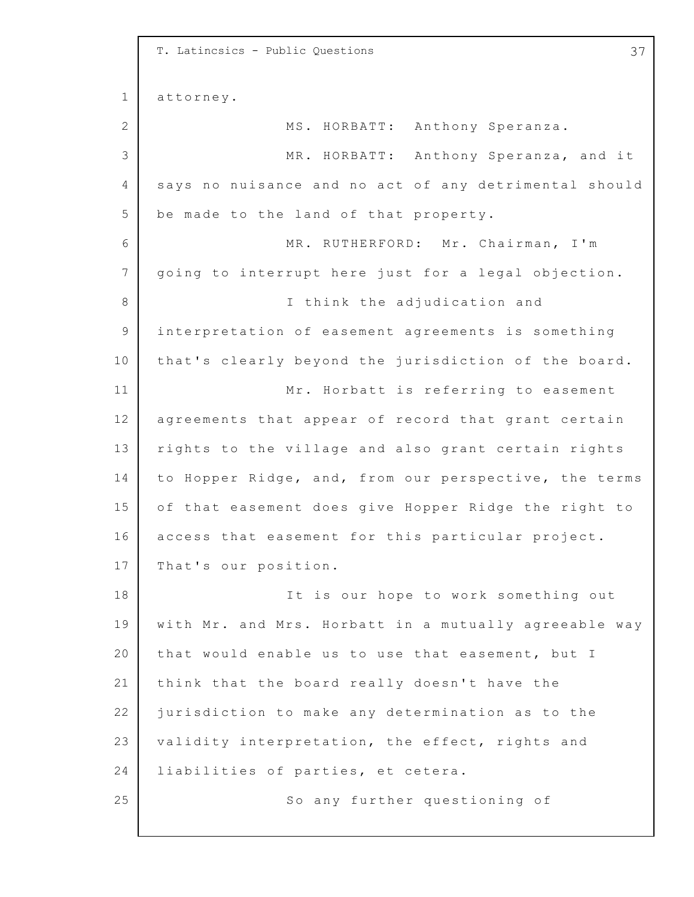1 2 3 4 5 6 7 8 9 10 11 12 13 14 15 16 17 18 19 20 21 22 23 24 25 T. Latincsics - Public Questions 37 attorney. MS. HORBATT: Anthony Speranza. MR. HORBATT: Anthony Speranza, and it says no nuisance and no act of any detrimental should be made to the land of that property. MR. RUTHERFORD: Mr. Chairman, I'm going to interrupt here just for a legal objection. I think the adjudication and interpretation of easement agreements is something that's clearly beyond the jurisdiction of the board. Mr. Horbatt is referring to easement agreements that appear of record that grant certain rights to the village and also grant certain rights to Hopper Ridge, and, from our perspective, the terms of that easement does give Hopper Ridge the right to access that easement for this particular project. That's our position. It is our hope to work something out with Mr. and Mrs. Horbatt in a mutually agreeable way that would enable us to use that easement, but I think that the board really doesn't have the jurisdiction to make any determination as to the validity interpretation, the effect, rights and liabilities of parties, et cetera. So any further questioning of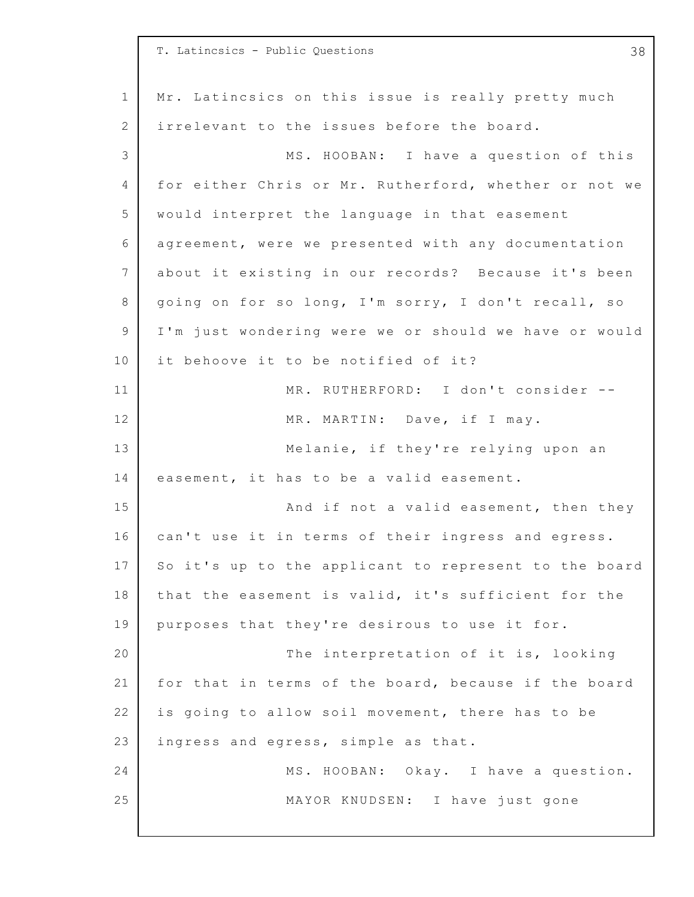|             | T. Latincsics - Public Questions<br>38                |
|-------------|-------------------------------------------------------|
| $\mathbf 1$ | Mr. Latincsics on this issue is really pretty much    |
| 2           | irrelevant to the issues before the board.            |
| 3           | MS. HOOBAN: I have a question of this                 |
| 4           | for either Chris or Mr. Rutherford, whether or not we |
| 5           | would interpret the language in that easement         |
| 6           | agreement, were we presented with any documentation   |
| 7           | about it existing in our records? Because it's been   |
| 8           | going on for so long, I'm sorry, I don't recall, so   |
| 9           | I'm just wondering were we or should we have or would |
| 10          | it behoove it to be notified of it?                   |
| 11          | MR. RUTHERFORD: I don't consider --                   |
| 12          | MR. MARTIN: Dave, if I may.                           |
| 13          | Melanie, if they're relying upon an                   |
| 14          | easement, it has to be a valid easement.              |
| 15          | And if not a valid easement, then they                |
| 16          | can't use it in terms of their ingress and egress.    |
| 17          | So it's up to the applicant to represent to the board |
| 18          | that the easement is valid, it's sufficient for the   |
| 19          | purposes that they're desirous to use it for.         |
| 20          | The interpretation of it is, looking                  |
| 21          | for that in terms of the board, because if the board  |
| 22          | is going to allow soil movement, there has to be      |
| 23          | ingress and egress, simple as that.                   |
| 24          | MS. HOOBAN: Okay. I have a question.                  |
| 25          | MAYOR KNUDSEN: I have just gone                       |
|             |                                                       |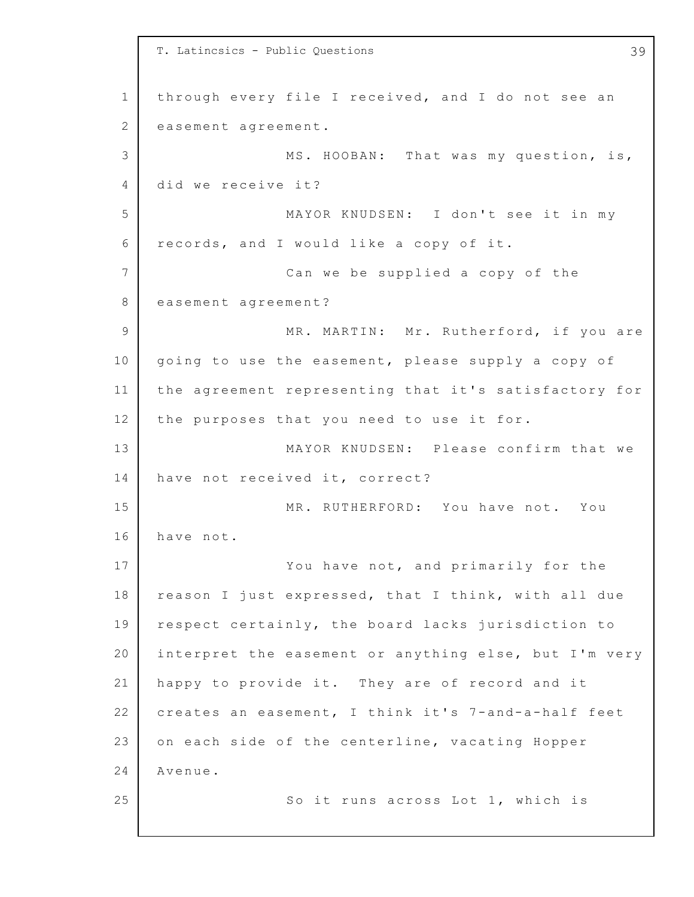1 2 3 4 5 6 7 8 9 10 11 12 13 14 15 16 17 18 19 20 21 22 23 24 25 T. Latincsics - Public Questions 39 through every file I received, and I do not see an easement agreement. MS. HOOBAN: That was my question, is, did we receive it? MAYOR KNUDSEN: I don't see it in my records, and I would like a copy of it. Can we be supplied a copy of the easement agreement? MR. MARTIN: Mr. Rutherford, if you are going to use the easement, please supply a copy of the agreement representing that it's satisfactory for the purposes that you need to use it for. MAYOR KNUDSEN: Please confirm that we have not received it, correct? MR. RUTHERFORD: You have not. You have not. You have not, and primarily for the reason I just expressed, that I think, with all due respect certainly, the board lacks jurisdiction to interpret the easement or anything else, but I'm very happy to provide it. They are of record and it creates an easement, I think it's 7-and-a-half feet on each side of the centerline, vacating Hopper Avenue. So it runs across Lot 1, which is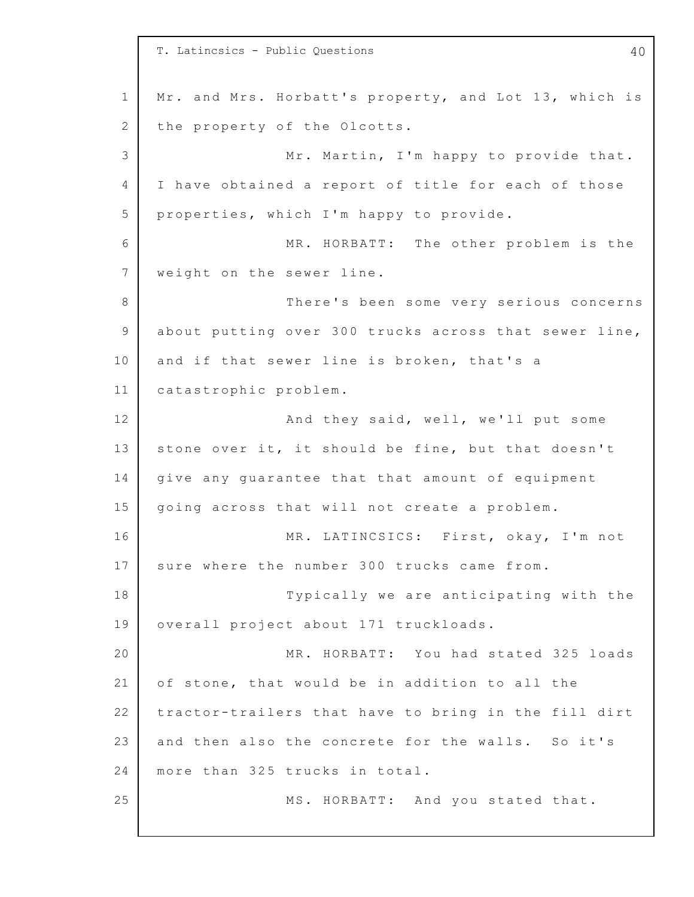1 2 3 4 5 6 7 8 9 10 11 12 13 14 15 16 17 18 19 20 21 22 23 24 25 T. Latincsics - Public Questions 40 Mr. and Mrs. Horbatt's property, and Lot 13, which is the property of the Olcotts. Mr. Martin, I'm happy to provide that. I have obtained a report of title for each of those properties, which I'm happy to provide. MR. HORBATT: The other problem is the weight on the sewer line. There's been some very serious concerns about putting over 300 trucks across that sewer line, and if that sewer line is broken, that's a catastrophic problem. And they said, well, we'll put some stone over it, it should be fine, but that doesn't give any guarantee that that amount of equipment going across that will not create a problem. MR. LATINCSICS: First, okay, I'm not sure where the number 300 trucks came from. Typically we are anticipating with the overall project about 171 truckloads. MR. HORBATT: You had stated 325 loads of stone, that would be in addition to all the tractor-trailers that have to bring in the fill dirt and then also the concrete for the walls. So it's more than 325 trucks in total. MS. HORBATT: And you stated that.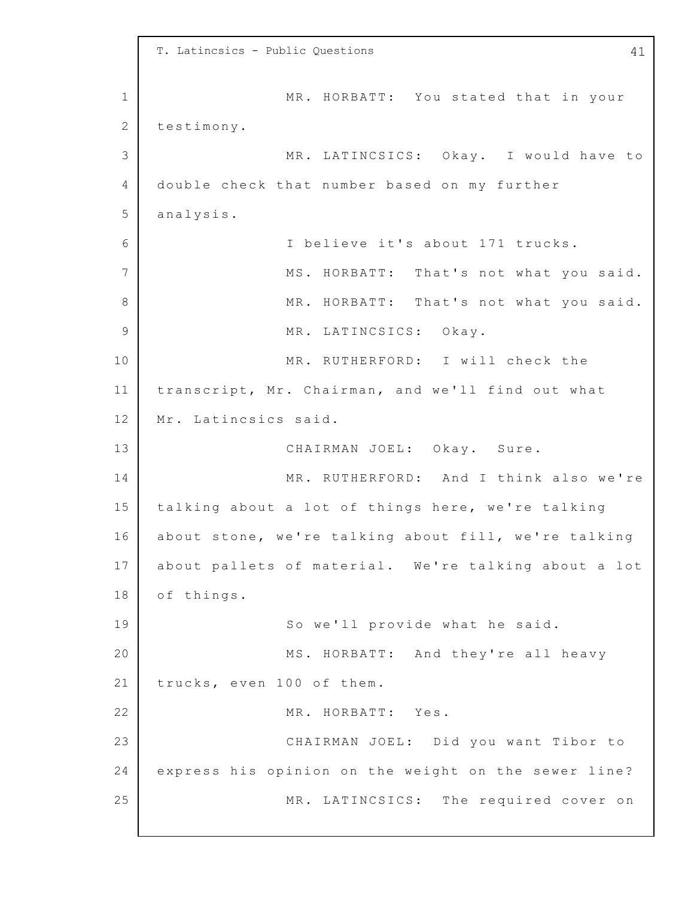1 2 3 4 5 6 7 8 9 10 11 12 13 14 15 16 17 18 19 20 21 22 23 24 25 T. Latincsics - Public Questions 41 MR. HORBATT: You stated that in your testimony. MR. LATINCSICS: Okay. I would have to double check that number based on my further analysis. I believe it's about 171 trucks. MS. HORBATT: That's not what you said. MR. HORBATT: That's not what you said. MR. LATINCSICS: Okay. MR. RUTHERFORD: I will check the transcript, Mr. Chairman, and we'll find out what Mr. Latincsics said. CHAIRMAN JOEL: Okay. Sure. MR. RUTHERFORD: And I think also we're talking about a lot of things here, we're talking about stone, we're talking about fill, we're talking about pallets of material. We're talking about a lot of things. So we'll provide what he said. MS. HORBATT: And they're all heavy trucks, even 100 of them. MR. HORBATT: Yes. CHAIRMAN JOEL: Did you want Tibor to express his opinion on the weight on the sewer line? MR. LATINCSICS: The required cover on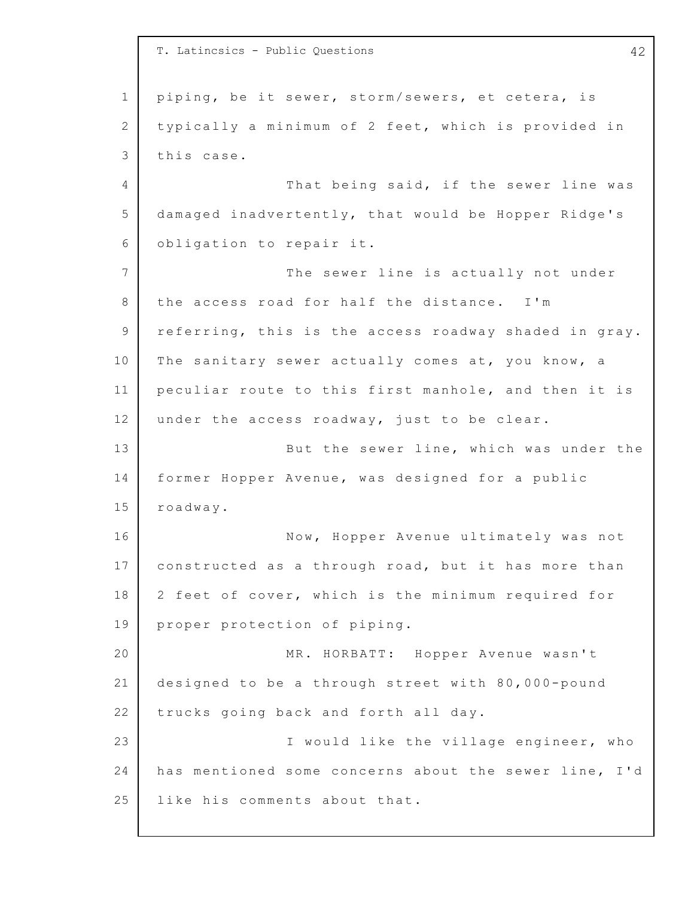1 2 3 4 5 6 7 8 9 10 11 12 13 14 15 16 17 18 19 20 21 22 23 24 25 T. Latincsics - Public Questions 42 piping, be it sewer, storm/sewers, et cetera, is typically a minimum of 2 feet, which is provided in this case. That being said, if the sewer line was damaged inadvertently, that would be Hopper Ridge's obligation to repair it. The sewer line is actually not under the access road for half the distance. I'm referring, this is the access roadway shaded in gray. The sanitary sewer actually comes at, you know, a peculiar route to this first manhole, and then it is under the access roadway, just to be clear. But the sewer line, which was under the former Hopper Avenue, was designed for a public roadway. Now, Hopper Avenue ultimately was not constructed as a through road, but it has more than 2 feet of cover, which is the minimum required for proper protection of piping. MR. HORBATT: Hopper Avenue wasn't designed to be a through street with  $80,000$ -pound trucks going back and forth all day. I would like the village engineer, who has mentioned some concerns about the sewer line, I'd like his comments about that.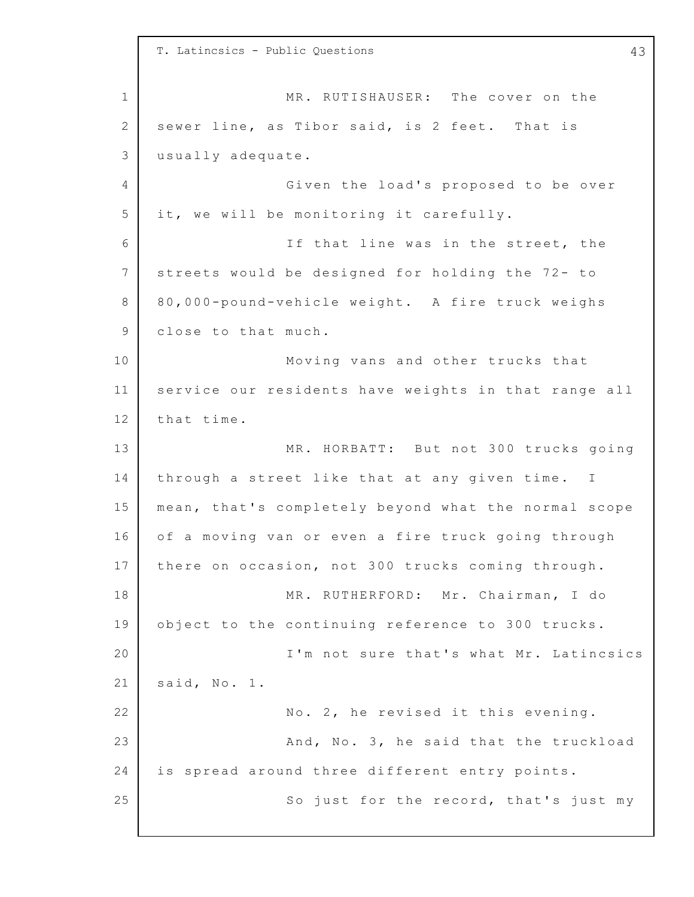1 2 3 4 5 6 7 8 9 10 11 12 13 14 15 16 17 18 19 20 21 22 23 24 25 T. Latincsics - Public Questions 43 MR. RUTISHAUSER: The cover on the sewer line, as Tibor said, is 2 feet. That is usually adequate. Given the load's proposed to be over it, we will be monitoring it carefully. If that line was in the street, the streets would be designed for holding the  $72 - to$ 8 0,000-pound-vehicle weight. A fire truck weighs close to that much. Moving vans and other trucks that service our residents have weights in that range all that time. MR. HORBATT: But not 300 trucks going through a street like that at any given time. I mean, that's completely beyond what the normal scope of a moving van or even a fire truck going through there on occasion, not 300 trucks coming through. MR. RUTHERFORD: Mr. Chairman, I do object to the continuing reference to 300 trucks. I'm not sure that's what Mr. Latincsics said, No. 1. No. 2, he revised it this evening. And, No. 3, he said that the truckload is spread around three different entry points. So just for the record, that's just my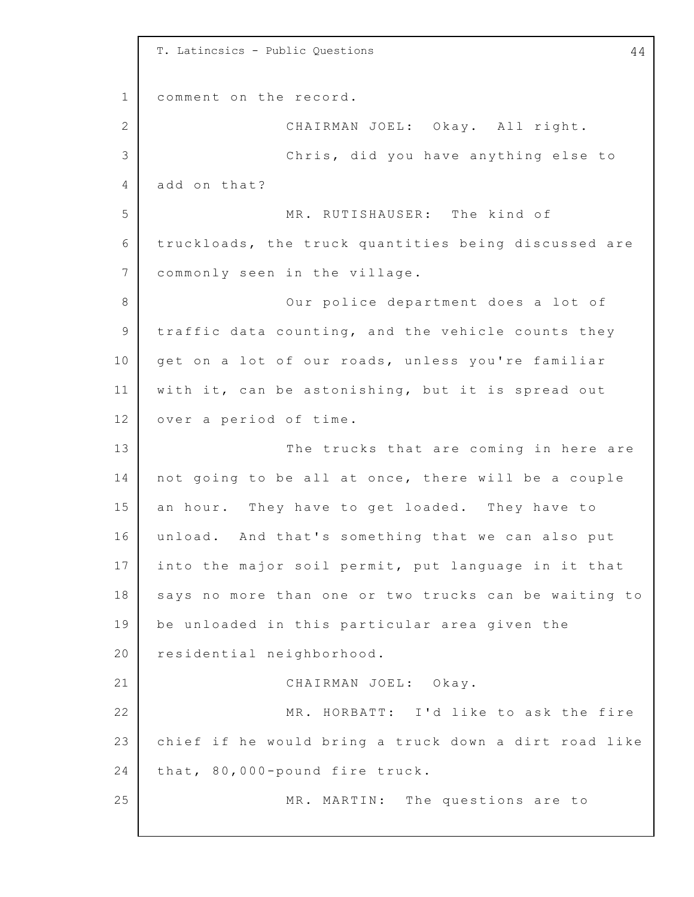1 2 3 4 5 6 7 8 9 10 11 12 13 14 15 16 17 18 19 20 21 22 23 24 25 T. Latincsics - Public Questions 44 comment on the record. CHAIRMAN JOEL: Okay. All right. Chris, did you have anything else to add on that? MR. RUTISHAUSER: The kind of truckloads, the truck quantities being discussed are commonly seen in the village. Our police department does a lot of traffic data counting, and the vehicle counts they get on a lot of our roads, unless you're familiar with it, can be astonishing, but it is spread out over a period of time. The trucks that are coming in here are not going to be all at once, there will be a couple an hour. They have to get loaded. They have to unload. And that's something that we can also put into the major soil permit, put language in it that says no more than one or two trucks can be waiting to be unloaded in this particular area given the residential neighborhood. CHAIRMAN JOEL: Okay. MR. HORBATT: I'd like to ask the fire chief if he would bring a truck down a dirt road like that, 80,000-pound fire truck. MR. MARTIN: The questions are to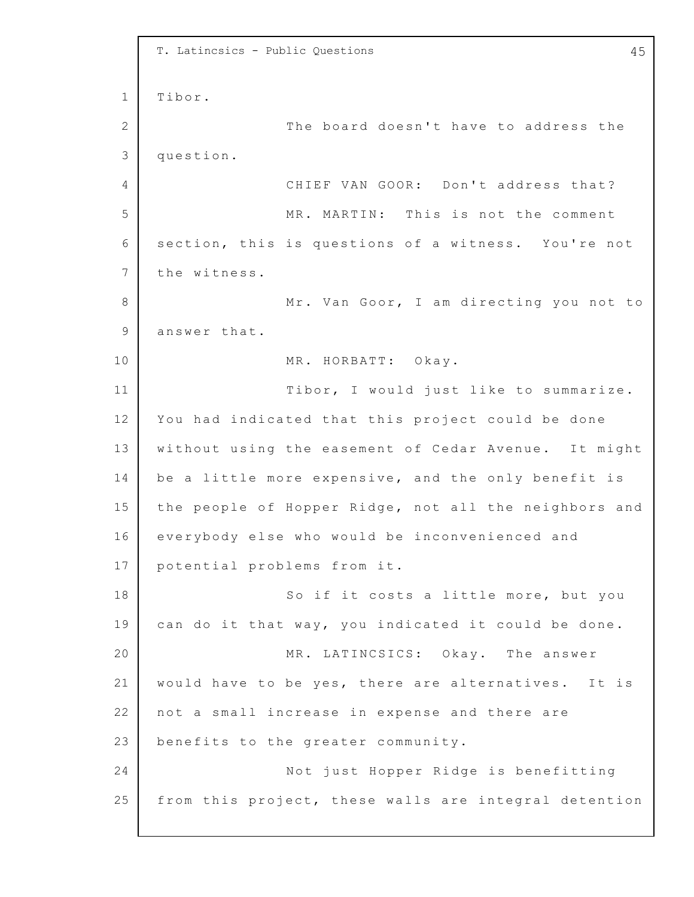```
1
2
3
4
5
6
7
8
9
10
11
12
13
14
15
16
17
18
19
20
21
22
23
24
25
    T. Latincsics - Public Questions 45
    Tibor.
                  The board doesn't have to address the
    question.
                  CHIEF VAN GOOR: Don't address that?
                  MR. MARTIN: This is not the comment
    section, this is questions of a witness. You're not
    the witness.
                  Mr. Van Goor, I am directing you not to
    answer that.
                  MR. HORBATT: Okay.
                  Tibor, I would just like to summarize.
    You had indicated that this project could be done
    without using the easement of Cedar Avenue. It might
    be a little more expensive, and the only benefit is
    the people of Hopper Ridge, not all the neighbors and
    everybody else who would be inconvenienced and
    potential problems from it.
                  So if it costs a little more, but you
    can do it that way, you indicated it could be done.
                  MR. LATINCSICS: Okay. The answer
    would have to be yes, there are alternatives. It is
    not a small increase in expense and there are
    benefits to the greater community.
                  Not just Hopper Ridge is benefitting
    from this project, these walls are integral detention
```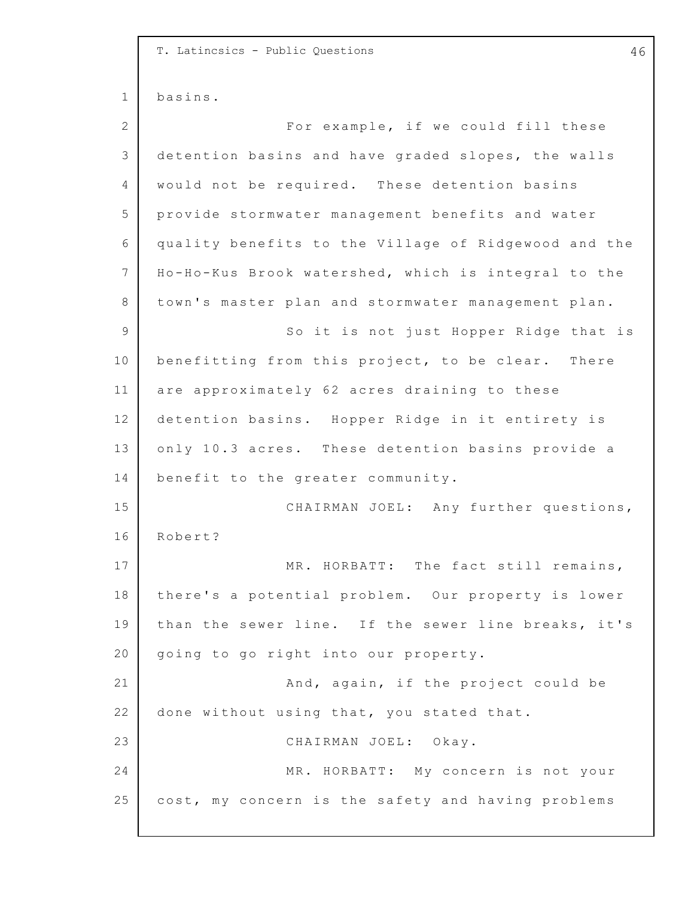1 2 3 4 5 6 7 8 9 10 11 12 13 14 15 16 17 18 19 20 21 22 23 24 25 T. Latincsics - Public Questions 46 basins. For example, if we could fill these detention basins and have graded slopes, the walls would not be required. These detention basins provide stormwater management benefits and water quality benefits to the Village of Ridgewood and the Ho-Ho-Kus Brook watershed, which is integral to the town's master plan and stormwater management plan. So it is not just Hopper Ridge that is benefitting from this project, to be clear. There are approximately 62 acres draining to these detention basins. Hopper Ridge in it entirety is only 10.3 acres. These detention basins provide a benefit to the greater community. CHAIRMAN JOEL: Any further questions, Robert? MR. HORBATT: The fact still remains, there's a potential problem. Our property is lower than the sewer line. If the sewer line breaks, it's going to go right into our property. And, again, if the project could be done without using that, you stated that. CHAIRMAN JOEL: Okay. MR. HORBATT: My concern is not your cost, my concern is the safety and having problems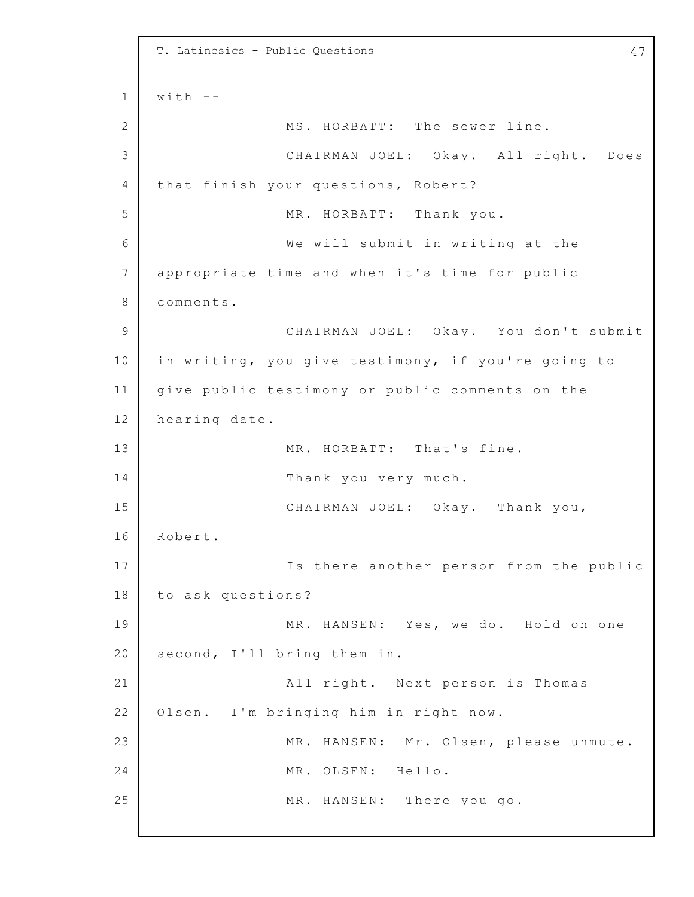```
1
2
3
4
5
6
7
8
9
10
11
12
13
14
15
16
17
18
19
20
21
22
23
24
25
    T. Latincsics - Public Questions 47
    with -MS. HORBATT: The sewer line.
                  CHAIRMAN JOEL: Okay. All right. Does
    that finish your questions, Robert?
                  MR. HORBATT: Thank you.
                  We will submit in writing at the
    appropriate time and when it's time for public
    comments.
                  CHAIRMAN JOEL: Okay. You don't submit
    in writing, you give testimony, if you're going to
    give public testimony or public comments on the
    hearing date.
                  MR. HORBATT: That's fine.
                  Thank you very much.
                  CHAIRMAN JOEL: Okay. Thank you,
    Robert.
                  Is there another person from the public
    to ask questions?
                  MR. HANSEN: Yes, we do. Hold on one
    second, I'll bring them in.
                  All right. Next person is Thomas
    Olsen. I'm bringing him in right now.
                  MR. HANSEN: Mr. Olsen, please unmute.
                  MR. OLSEN: Hello.
                  MR. HANSEN: There you go.
```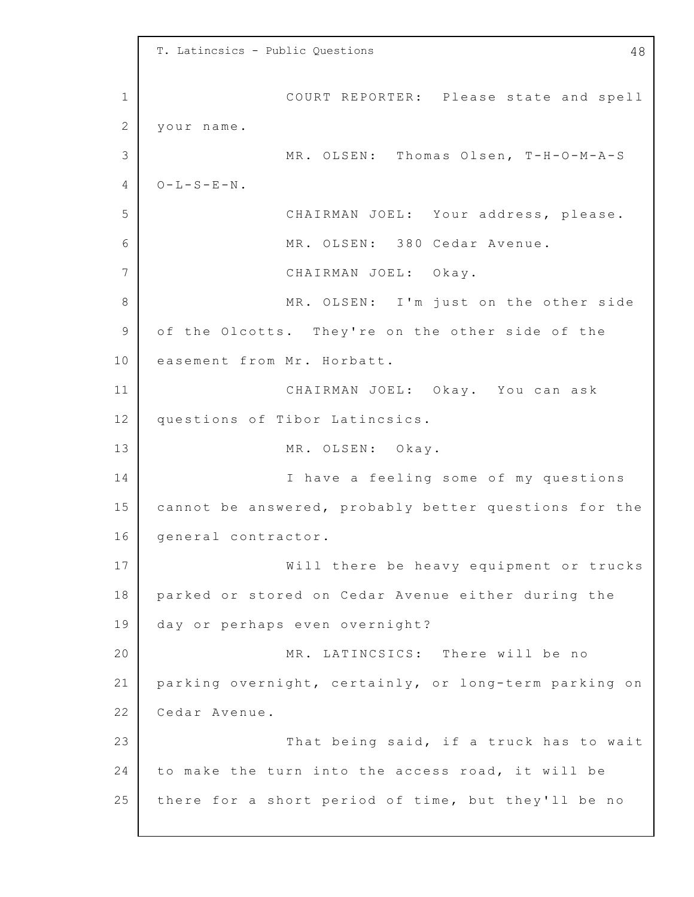1 2 3 4 5 6 7 8 9 10 11 12 13 14 15 16 17 18 19 20 21 22 23 24 25 T. Latincsics - Public Questions 48 COURT REPORTER: Please state and spell your name. MR. OLSEN: Thomas Olsen, T-H-O-M-A-S  $O-L-S-E-N$ . CHAIRMAN JOEL: Your address, please. MR. OLSEN: 380 Cedar Avenue. CHAIRMAN JOEL: Okay. MR. OLSEN: I'm just on the other side of the Olcotts. They're on the other side of the easement from Mr. Horbatt. CHAIRMAN JOEL: Okay. You can ask questions of Tibor Latincsics. MR. OLSEN: Okay. I have a feeling some of my questions cannot be answered, probably better questions for the general contractor. Will there be heavy equipment or trucks parked or stored on Cedar Avenue either during the day or perhaps even overnight? MR. LATINCSICS: There will be no parking overnight, certainly, or long-term parking on Cedar Avenue. That being said, if a truck has to wait to make the turn into the access road, it will be there for a short period of time, but they'll be no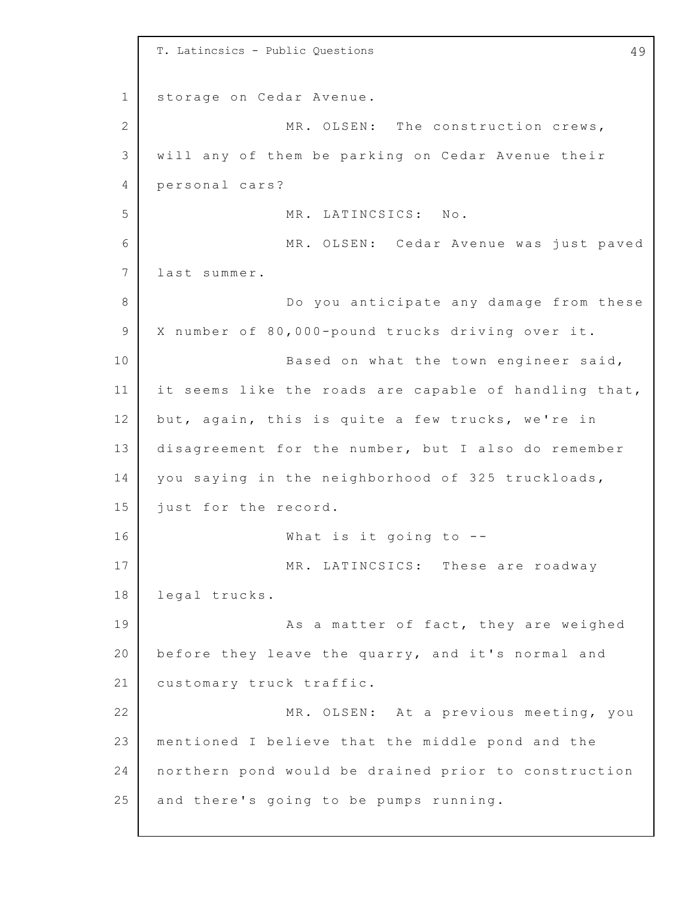1 2 3 4 5 6 7 8 9 10 11 12 13 14 15 16 17 18 19 20 21 22 23 24 25 T. Latincsics - Public Questions 49 storage on Cedar Avenue. MR. OLSEN: The construction crews, will any of them be parking on Cedar Avenue their personal cars? MR. LATINCSICS: No. MR. OLSEN: Cedar Avenue was just paved last summer. Do you anticipate any damage from these X number of 80,000-pound trucks driving over it. Based on what the town engineer said, it seems like the roads are capable of handling that, but, again, this is quite a few trucks, we're in disagreement for the number, but I also do remember you saying in the neighborhood of 325 truckloads, just for the record. What is it going to  $-$ -MR. LATINCSICS: These are roadway legal trucks. As a matter of fact, they are weighed before they leave the quarry, and it's normal and customary truck traffic. MR. OLSEN: At a previous meeting, you mentioned I believe that the middle pond and the northern pond would be drained prior to construction and there's going to be pumps running.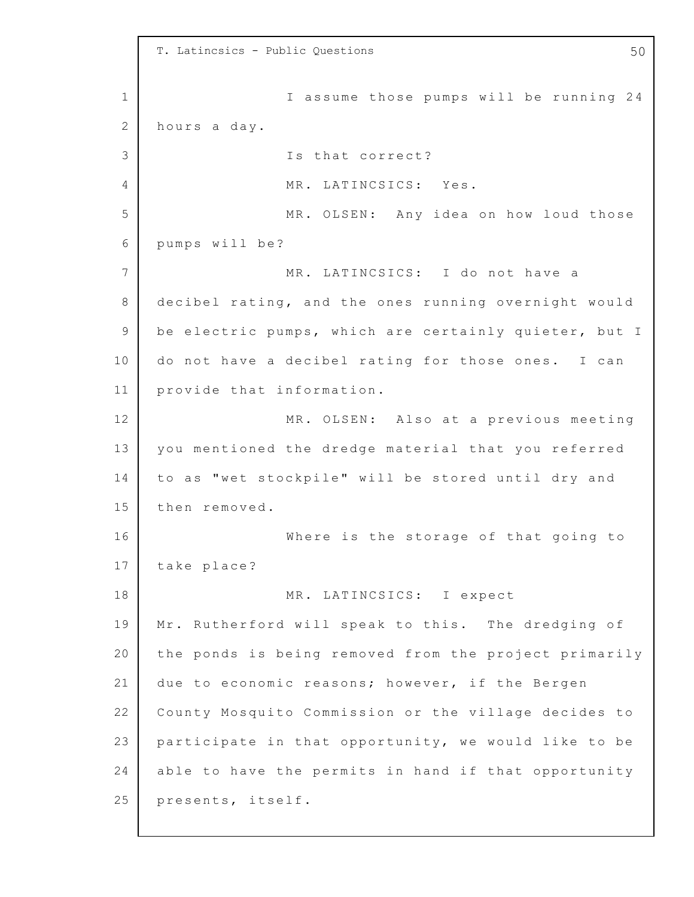1 2 3 4 5 6 7 8 9 10 11 12 13 14 15 16 17 18 19 20 21 22 23 24 25 T. Latincsics - Public Questions 60 and 100 and 100 and 100 and 100 and 100 and 100 and 100 and 100 and 100 and 100 and 100 and 100 and 100 and 100 and 100 and 100 and 100 and 100 and 100 and 100 and 100 and 100 and 100 an I assume those pumps will be running 24 hours a day. Is that correct? MR. LATINCSICS: Yes. MR. OLSEN: Any idea on how loud those pumps will be? MR. LATINCSICS: I do not have a decibel rating, and the ones running overnight would be electric pumps, which are certainly quieter, but I do not have a decibel rating for those ones. I can provide that information. MR. OLSEN: Also at a previous meeting you mentioned the dredge material that you referred to as "wet stockpile" will be stored until dry and then removed. Where is the storage of that going to take place? MR. LATINCSICS: I expect Mr. Rutherford will speak to this. The dredging of the ponds is being removed from the project primarily due to economic reasons; however, if the Bergen County Mosquito Commission or the village decides to participate in that opportunity, we would like to be able to have the permits in hand if that opportunity presents, itself.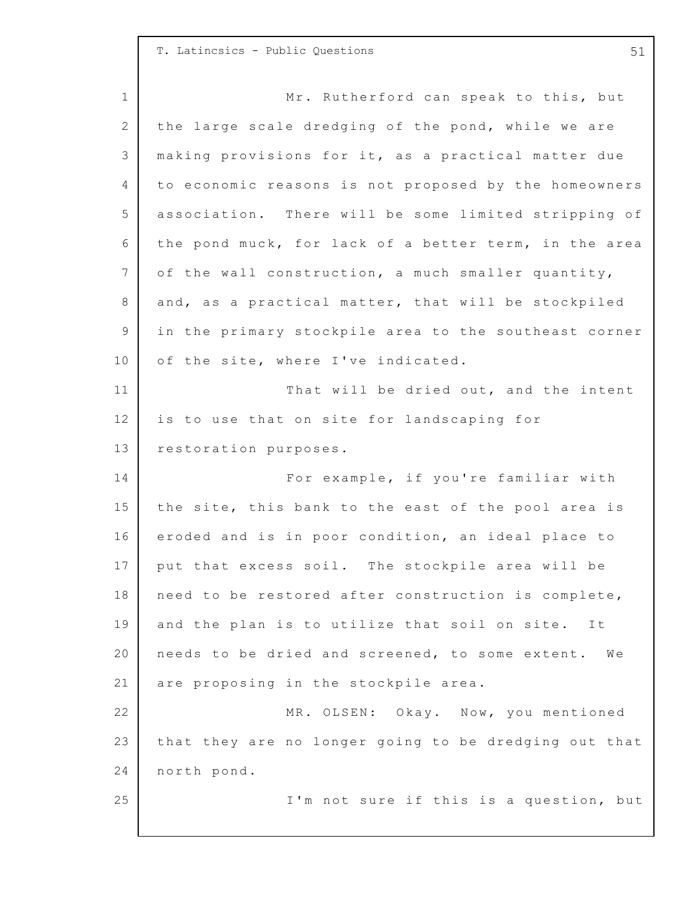## T. Latincsics - Public Questions 61

1 2 3 4 5 6 7 8 9 10 11 12 13 14 15 16 17 18 19 20 21 22 23 24 25 Mr. Rutherford can speak to this, but the large scale dredging of the pond, while we are making provisions for it, as a practical matter due to economic reasons is not proposed by the homeowners association. There will be some limited stripping of the pond muck, for lack of a better term, in the area of the wall construction, a much smaller quantity, and, as a practical matter, that will be stockpiled in the primary stockpile area to the southeast corner of the site, where I've indicated. That will be dried out, and the intent is to use that on site for landscaping for restoration purposes. For example, if you're familiar with the site, this bank to the east of the pool area is eroded and is in poor condition, an ideal place to put that excess soil. The stockpile area will be need to be restored after construction is complete, and the plan is to utilize that soil on site. It needs to be dried and screened, to some extent. We are proposing in the stockpile area. MR. OLSEN: Okay. Now, you mentioned that they are no longer going to be dredging out that north pond. I'm not sure if this is a question, but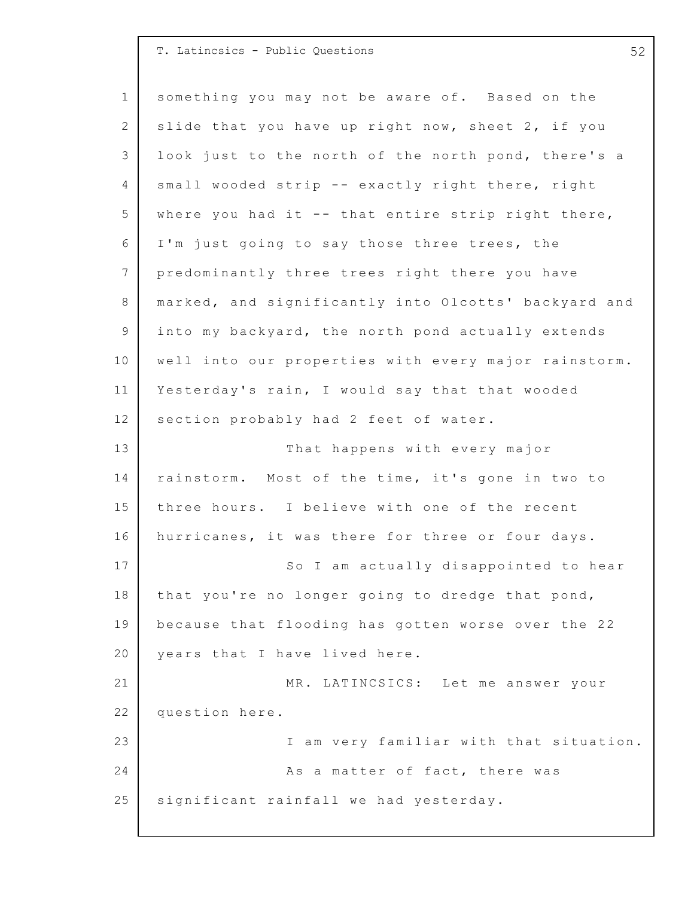| T. Latincsics - Public Questions |  |  |
|----------------------------------|--|--|

1 2 3 4 5 6 7 8 9 10 11 12 13 14 15 16 17 18 19 20 21 22 23 24 25 something you may not be aware of. Based on the slide that you have up right now, sheet  $2$ , if you look just to the north of the north pond, there's a small wooded strip -- exactly right there, right where you had it  $-$  that entire strip right there, I'm just going to say those three trees, the predominantly three trees right there you have marked, and significantly into Olcotts' backyard and into my backyard, the north pond actually extends well into our properties with every major rainstorm. Yesterday's rain, I would say that that wooded section probably had 2 feet of water. That happens with every major rainstorm. Most of the time, it's gone in two to three hours. I believe with one of the recent hurricanes, it was there for three or four days. So I am actually disappointed to hear that you're no longer going to dredge that pond, because that flooding has gotten worse over the 22 years that I have lived here. MR. LATINCSICS: Let me answer your question here. I am very familiar with that situation. As a matter of fact, there was significant rainfall we had yesterday.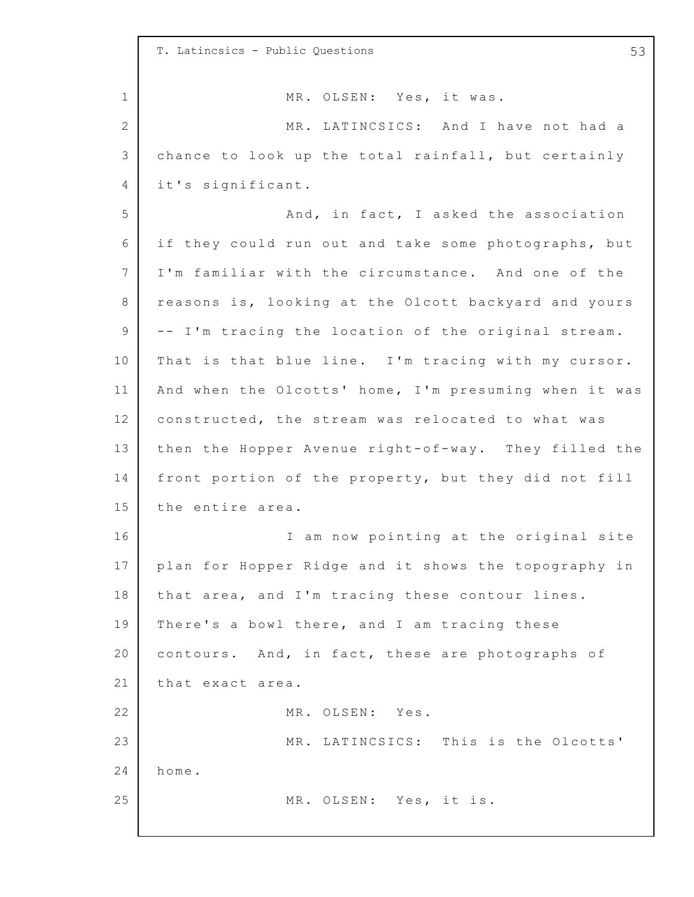1 2 3 4 5 6 7 8 9 10 11 12 13 14 15 16 17 18 19 20 21 22 23 24 25 T. Latincsics - Public Questions 53 MR. OLSEN: Yes, it was. MR. LATINCSICS: And I have not had a chance to look up the total rainfall, but certainly it's significant. And, in fact, I asked the association if they could run out and take some photographs, but I'm familiar with the circumstance. And one of the reasons is, looking at the Olcott backyard and yours -- I'm tracing the location of the original stream. That is that blue line. I'm tracing with my cursor. And when the Olcotts' home, I'm presuming when it was constructed, the stream was relocated to what was then the Hopper Avenue right-of-way. They filled the front portion of the property, but they did not fill the entire area. I am now pointing at the original site plan for Hopper Ridge and it shows the topography in that area, and I'm tracing these contour lines. There's a bowl there, and I am tracing these contours. And, in fact, these are photographs of that exact area. MR. OLSEN: Yes. MR. LATINCSICS: This is the Olcotts' home. MR. OLSEN: Yes, it is.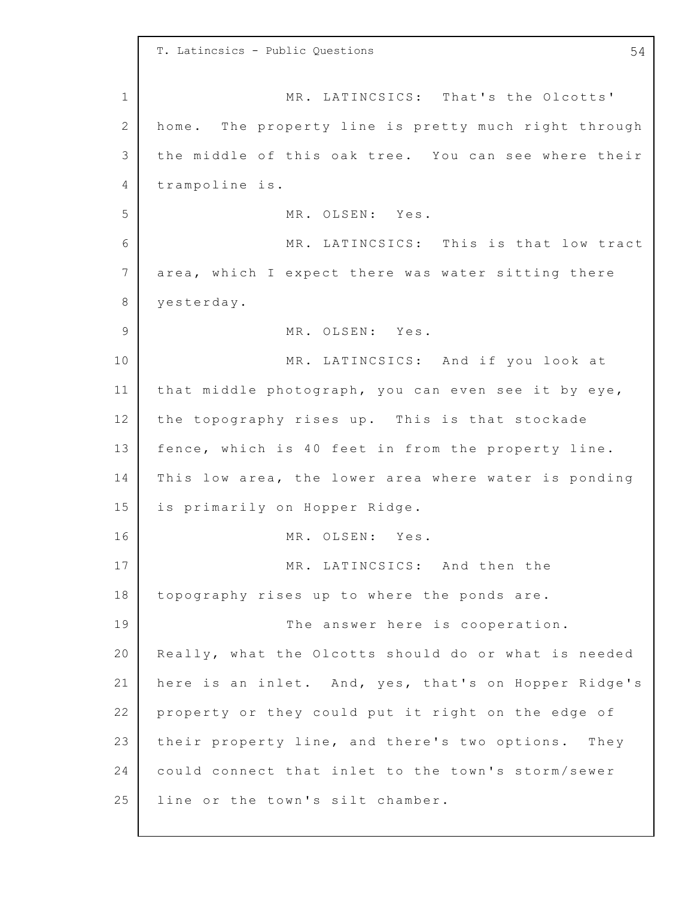1 2 3 4 5 6 7 8 9 10 11 12 13 14 15 16 17 18 19 20 21 22 23 24 25 T. Latincsics - Public Questions 54 MR. LATINCSICS: That's the Olcotts' home. The property line is pretty much right through the middle of this oak tree. You can see where their trampoline is. MR. OLSEN: Yes. MR. LATINCSICS: This is that low tract area, which I expect there was water sitting there yesterday. MR. OLSEN: Yes. MR. LATINCSICS: And if you look at that middle photograph, you can even see it by eye, the topography rises up. This is that stockade fence, which is 40 feet in from the property line. This low area, the lower area where water is ponding is primarily on Hopper Ridge. MR. OLSEN: Yes. MR. LATINCSICS: And then the topography rises up to where the ponds are. The answer here is cooperation. Really, what the Olcotts should do or what is needed here is an inlet. And, yes, that's on Hopper Ridge's property or they could put it right on the edge of their property line, and there's two options. They could connect that inlet to the town's storm/sewer line or the town's silt chamber.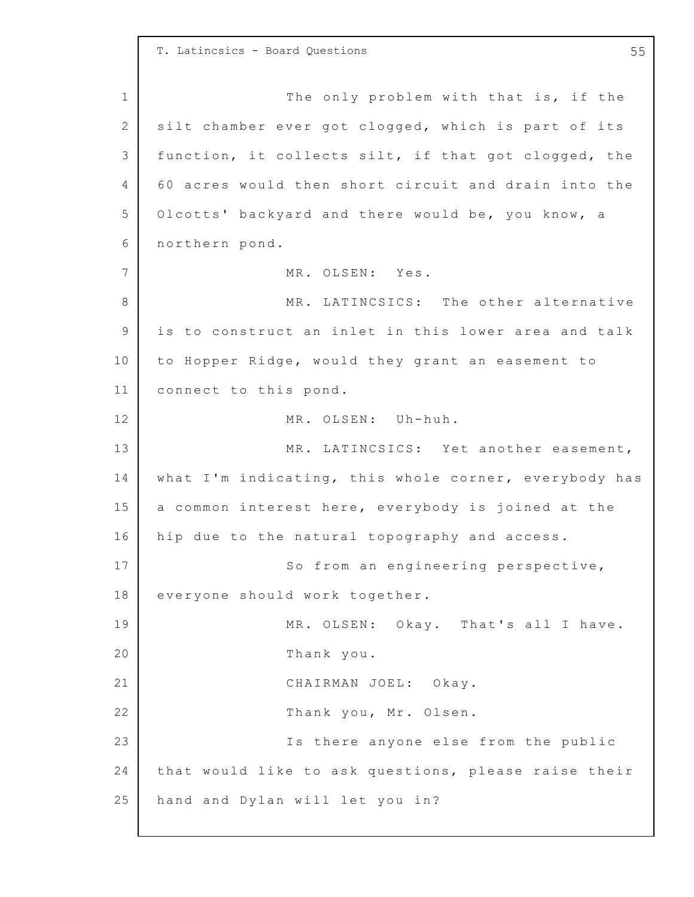1 2 3 4 5 6 7 8 9 10 11 12 13 14 15 16 17 18 19 20 21 22 23 24 25 T. Latincsics - Board Questions 55 The only problem with that is, if the silt chamber ever got clogged, which is part of its function, it collects silt, if that got clogged, the 6 0 acres would then short circuit and drain into the Olcotts' backyard and there would be, you know, a northern pond. MR. OLSEN: Yes. MR. LATINCSICS: The other alternative is to construct an inlet in this lower area and talk to Hopper Ridge, would they grant an easement to connect to this pond. MR. OLSEN: Uh-huh. MR. LATINCSICS: Yet another easement, what I'm indicating, this whole corner, everybody has a common interest here, everybody is joined at the hip due to the natural topography and access. So from an engineering perspective, everyone should work together. MR. OLSEN: Okay. That's all I have. Thank you. CHAIRMAN JOEL: Okay. Thank you, Mr. Olsen. Is there anyone else from the public that would like to ask questions, please raise their hand and Dylan will let you in?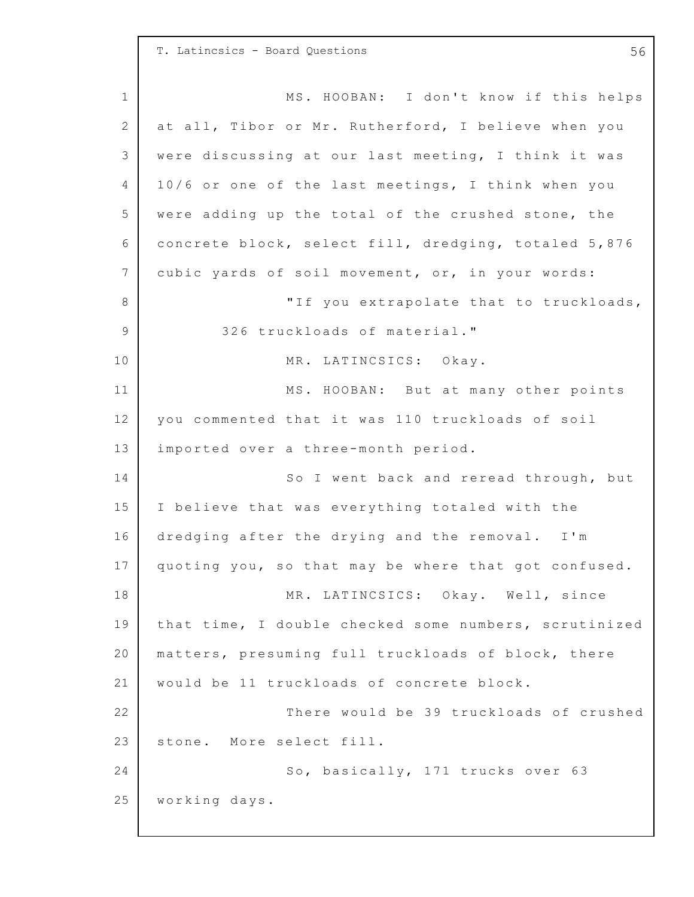1 2 3 4 5 6 7 8 9 10 11 12 13 14 15 16 17 18 19 20 21 22 23 24 25 T. Latincsics - Board Questions 56 MS. HOOBAN: I don't know if this helps at all, Tibor or Mr. Rutherford, I believe when you were discussing at our last meeting, I think it was 10/6 or one of the last meetings, I think when you were adding up the total of the crushed stone, the concrete block, select fill, dredging, totaled 5,876 cubic yards of soil movement, or, in your words: "If you extrapolate that to truckloads, 326 truckloads of material." MR. LATINCSICS: Okay. MS. HOOBAN: But at many other points you commented that it was 110 truckloads of soil imported over a three-month period. So I went back and reread through, but I believe that was everything totaled with the dredging after the drying and the removal. I'm quoting you, so that may be where that got confused. MR. LATINCSICS: Okay. Well, since that time, I double checked some numbers, scrutinized matters, presuming full truckloads of block, there would be 11 truckloads of concrete block. There would be 39 truckloads of crushed stone. More select fill. So, basically, 171 trucks over 63 working days.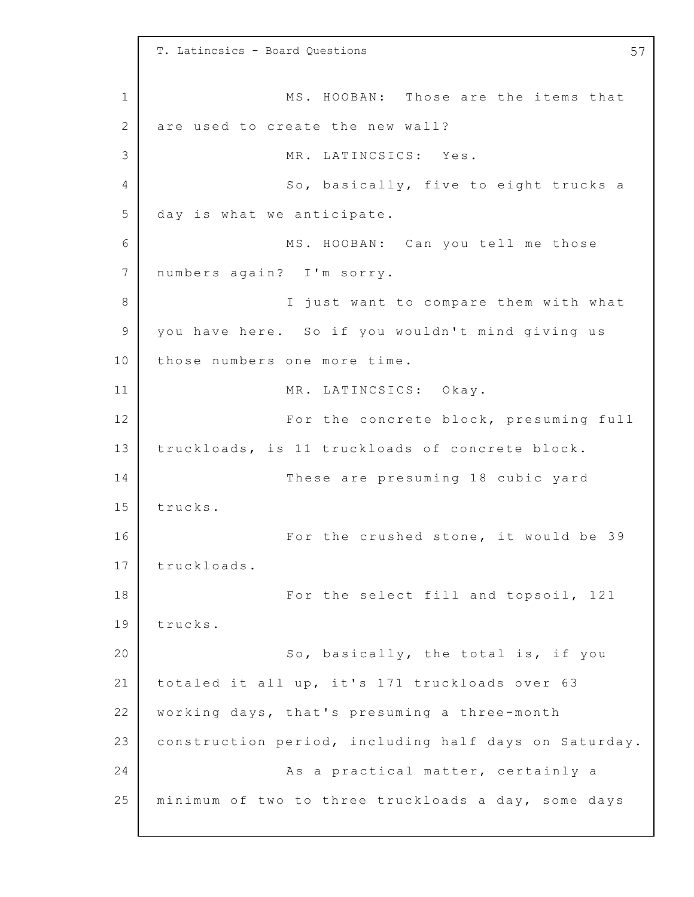1 2 3 4 5 6 7 8 9 10 11 12 13 14 15 16 17 18 19 20 21 22 23 24 25 T. Latincsics - Board Questions 57 MS. HOOBAN: Those are the items that are used to create the new wall? MR. LATINCSICS: Yes. So, basically, five to eight trucks a day is what we anticipate. MS. HOOBAN: Can you tell me those numbers again? I'm sorry. I just want to compare them with what you have here. So if you wouldn't mind giving us those numbers one more time. MR. LATINCSICS: Okay. For the concrete block, presuming full truckloads, is 11 truckloads of concrete block. These are presuming 18 cubic yard trucks. For the crushed stone, it would be 39 truckloads. For the select fill and topsoil, 121 trucks. So, basically, the total is, if you totaled it all up, it's 171 truckloads over 63 working days, that's presuming a three-month construction period, including half days on Saturday. As a practical matter, certainly a minimum of two to three truckloads a day, some days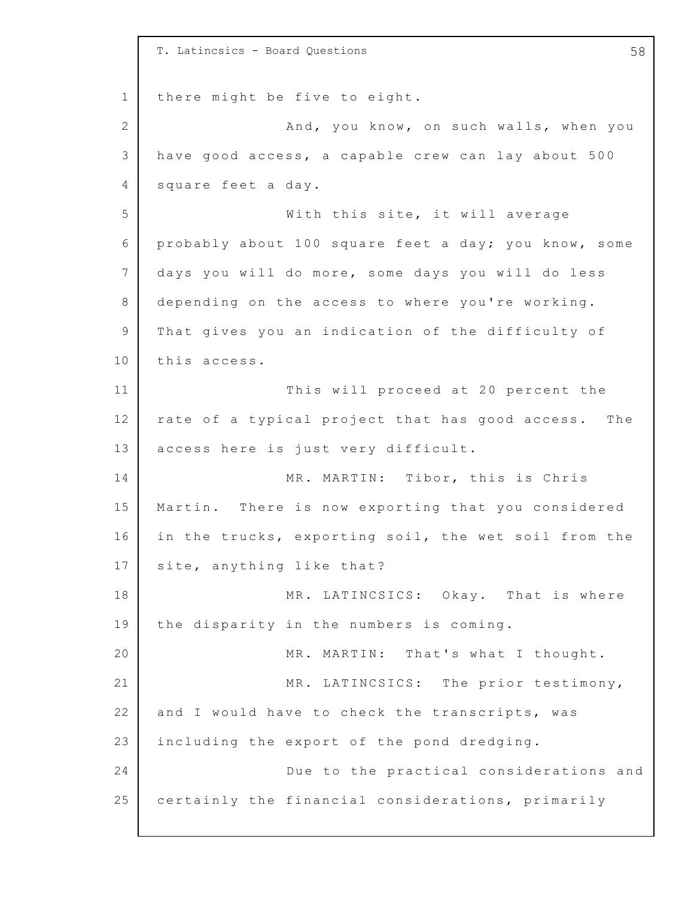1 2 3 4 5 6 7 8 9 10 11 12 13 14 15 16 17 18 19 20 21 22 23 24 25 T. Latincsics - Board Questions 58 there might be five to eight. And, you know, on such walls, when you have good access, a capable crew can lay about 500 square feet a day. With this site, it will average probably about 100 square feet a day; you know, some days you will do more, some days you will do less depending on the access to where you're working. That gives you an indication of the difficulty of this access. This will proceed at 20 percent the rate of a typical project that has good access. The access here is just very difficult. MR. MARTIN: Tibor, this is Chris Martin. There is now exporting that you considered in the trucks, exporting soil, the wet soil from the site, anything like that? MR. LATINCSICS: Okay. That is where the disparity in the numbers is coming. MR. MARTIN: That's what I thought. MR. LATINCSICS: The prior testimony, and I would have to check the transcripts, was including the export of the pond dredging. Due to the practical considerations and certainly the financial considerations, primarily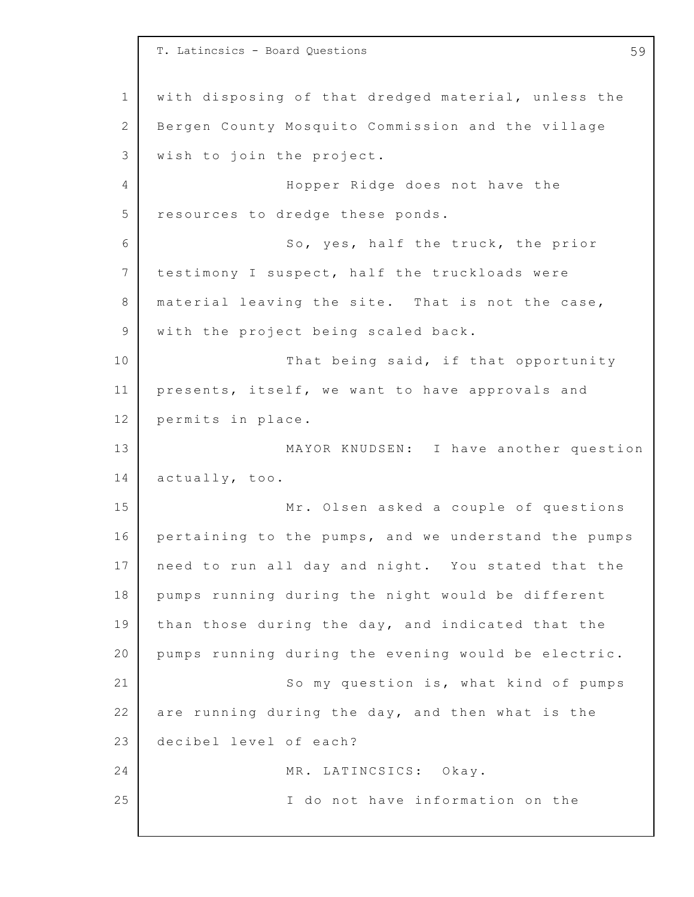1 2 3 4 5 6 7 8 9 10 11 12 13 14 15 16 17 18 19 20 21 22 23 24 25 T. Latincsics - Board Questions 59 with disposing of that dredged material, unless the Bergen County Mosquito Commission and the village wish to join the project. Hopper Ridge does not have the resources to dredge these ponds. So, yes, half the truck, the prior testimony I suspect, half the truckloads were material leaving the site. That is not the case, with the project being scaled back. That being said, if that opportunity presents, itself, we want to have approvals and permits in place. MAYOR KNUDSEN: I have another question actually, too. Mr. Olsen asked a couple of questions pertaining to the pumps, and we understand the pumps need to run all day and night. You stated that the pumps running during the night would be different than those during the day, and indicated that the pumps running during the evening would be electric. So my question is, what kind of pumps are running during the day, and then what is the decibel level of each? MR. LATINCSICS: Okay. I do not have information on the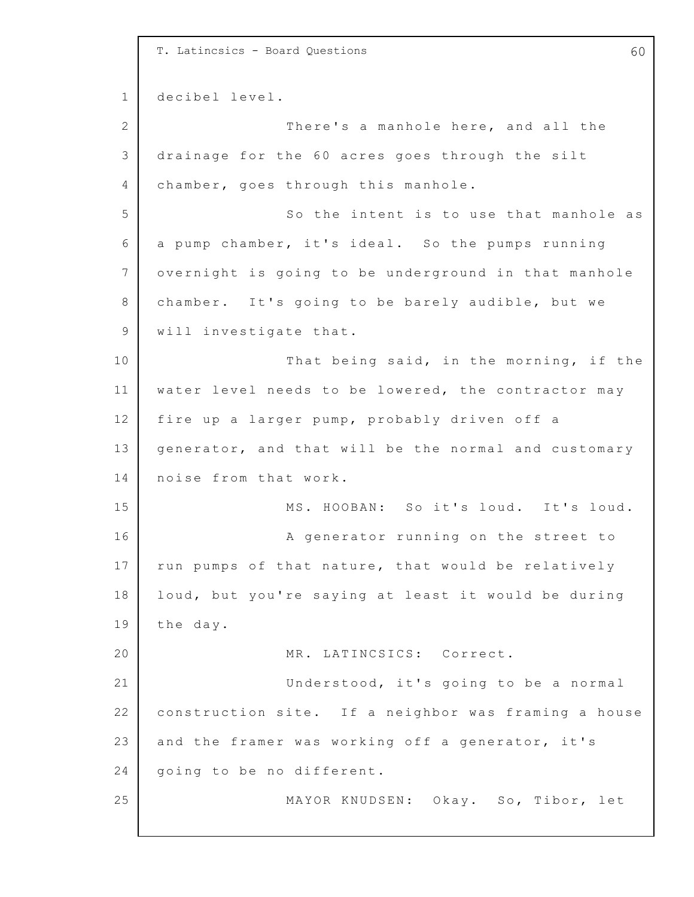1 2 3 4 5 6 7 8 9 10 11 12 13 14 15 16 17 18 19 20 21 22 23 24 25 T. Latincsics - Board Questions 60 decibel level. There's a manhole here, and all the drainage for the 60 acres goes through the silt chamber, goes through this manhole. So the intent is to use that manhole as a pump chamber, it's ideal. So the pumps running overnight is going to be underground in that manhole chamber. It's going to be barely audible, but we will investigate that. That being said, in the morning, if the water level needs to be lowered, the contractor may fire up a larger pump, probably driven off a generator, and that will be the normal and customary noise from that work. MS. HOOBAN: So it's loud. It's loud. A generator running on the street to run pumps of that nature, that would be relatively loud, but you're saying at least it would be during the day. MR. LATINCSICS: Correct. Understood, it's going to be a normal construction site. If a neighbor was framing a house and the framer was working off a generator, it's going to be no different. MAYOR KNUDSEN: Okay. So, Tibor, let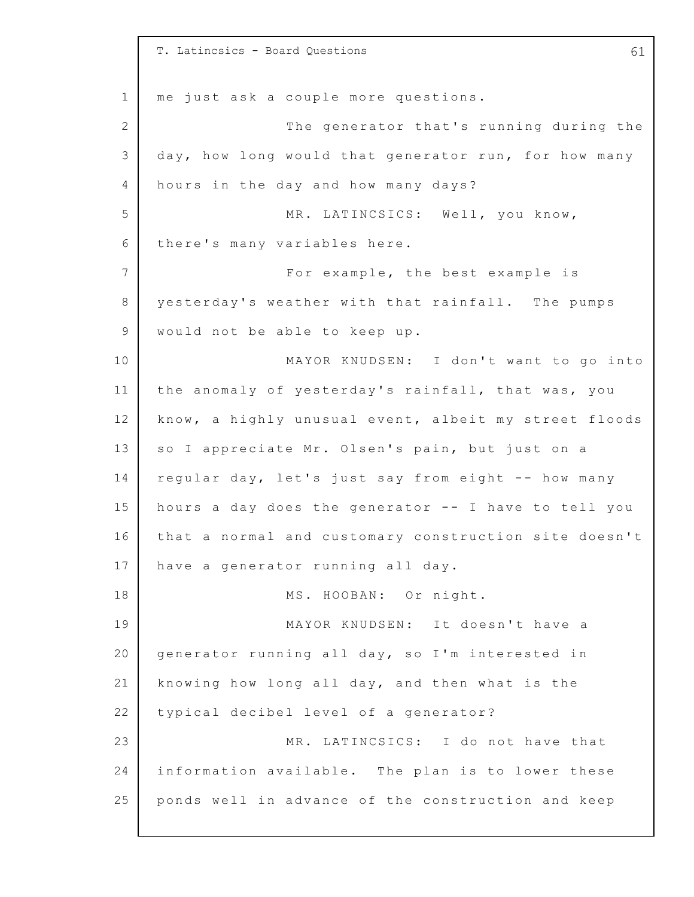1 2 3 4 5 6 7 8 9 10 11 12 13 14 15 16 17 18 19 20 21 22 23 24 25 T. Latincsics - Board Questions 61 me just ask a couple more questions. The generator that's running during the day, how long would that generator run, for how many hours in the day and how many days? MR. LATINCSICS: Well, you know, there's many variables here. For example, the best example is yesterday's weather with that rainfall. The pumps would not be able to keep up. MAYOR KNUDSEN: I don't want to go into the anomaly of yesterday's rainfall, that was, you know, a highly unusual event, albeit my street floods so I appreciate Mr. Olsen's pain, but just on a regular day, let's just say from eight -- how many hours a day does the generator  $--$  I have to tell you that a normal and customary construction site doesn't have a generator running all day. MS. HOOBAN: Or night. MAYOR KNUDSEN: It doesn't have a generator running all day, so I'm interested in knowing how long all day, and then what is the typical decibel level of a generator? MR. LATINCSICS: I do not have that information available. The plan is to lower these ponds well in advance of the construction and keep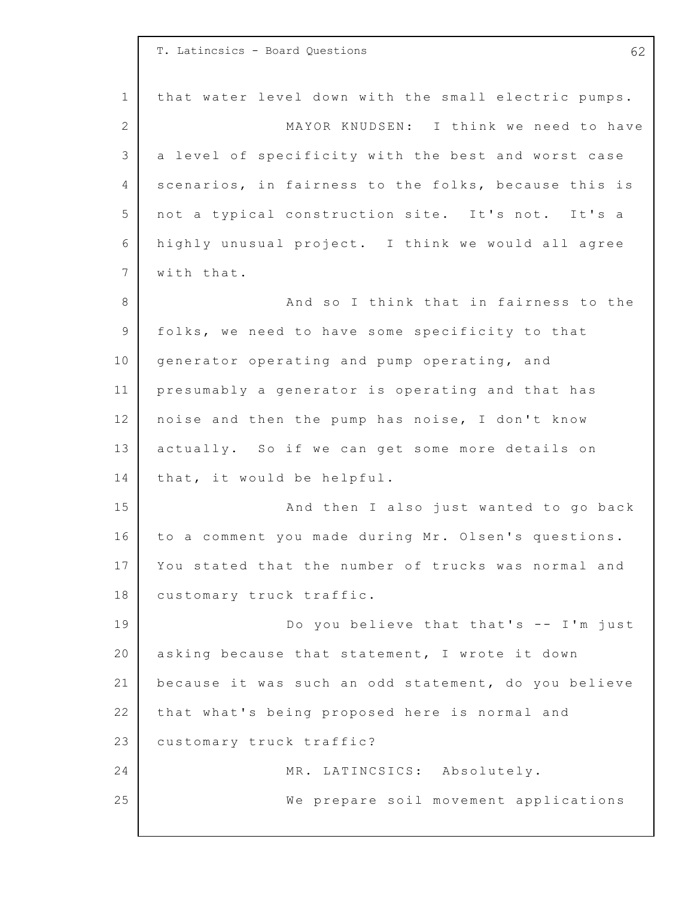|                | T. Latincsics - Board Questions<br>62                |
|----------------|------------------------------------------------------|
| $\mathbf 1$    | that water level down with the small electric pumps. |
| $\overline{2}$ | MAYOR KNUDSEN: I think we need to have               |
| 3              | a level of specificity with the best and worst case  |
| 4              | scenarios, in fairness to the folks, because this is |
| 5              | not a typical construction site. It's not. It's a    |
| 6              | highly unusual project. I think we would all agree   |
| $7\phantom{.}$ | with that.                                           |
| 8              | And so I think that in fairness to the               |
| 9              | folks, we need to have some specificity to that      |
| 10             | generator operating and pump operating, and          |
| 11             | presumably a generator is operating and that has     |
| 12             | noise and then the pump has noise, I don't know      |
| 13             | actually. So if we can get some more details on      |
| 14             | that, it would be helpful.                           |
| 15             | And then I also just wanted to go back               |
| 16             | to a comment you made during Mr. Olsen's questions.  |
| 17             | You stated that the number of trucks was normal and  |
| 18             | customary truck traffic.                             |
| 19             | Do you believe that that's -- I'm just               |
| 20             | asking because that statement, I wrote it down       |
| 21             | because it was such an odd statement, do you believe |
| 22             | that what's being proposed here is normal and        |
| 23             | customary truck traffic?                             |
| 24             | MR. LATINCSICS: Absolutely.                          |
| 25             | We prepare soil movement applications                |
|                |                                                      |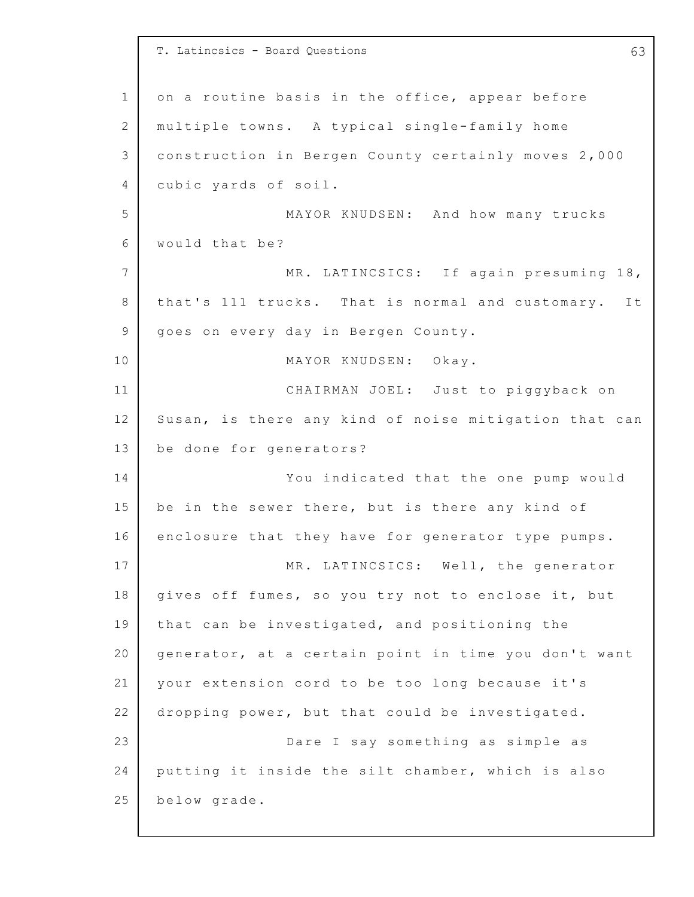1 2 3 4 5 6 7 8 9 10 11 12 13 14 15 16 17 18 19 20 21 22 23 24 25 T. Latincsics - Board Questions 63 on a routine basis in the office, appear before multiple towns. A typical single-family home construction in Bergen County certainly moves 2,000 cubic yards of soil. MAYOR KNUDSEN: And how many trucks would that be? MR. LATINCSICS: If again presuming 18, that's 111 trucks. That is normal and customary. It goes on every day in Bergen County. MAYOR KNUDSEN: Okay. CHAIRMAN JOEL: Just to piggyback on Susan, is there any kind of noise mitigation that can be done for generators? You indicated that the one pump would be in the sewer there, but is there any kind of enclosure that they have for generator type pumps. MR. LATINCSICS: Well, the generator gives off fumes, so you try not to enclose it, but that can be investigated, and positioning the generator, at a certain point in time you don't want your extension cord to be too long because it's dropping power, but that could be investigated. Dare I say something as simple as putting it inside the silt chamber, which is also below grade.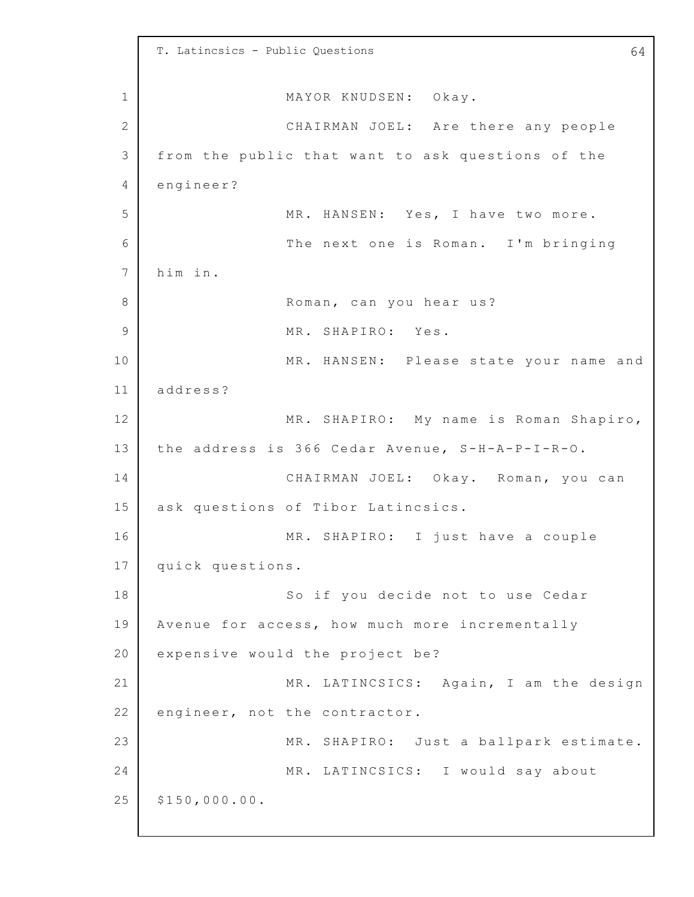1 2 3 4 5 6 7 8 9 10 11 12 13 14 15 16 17 18 19 20 21 22 23 24 25 T. Latincsics - Public Questions 64 MAYOR KNUDSEN: Okay. CHAIRMAN JOEL: Are there any people from the public that want to ask questions of the engineer? MR. HANSEN: Yes, I have two more. The next one is Roman. I'm bringing him in. Roman, can you hear us? MR. SHAPIRO: Yes. MR. HANSEN: Please state your name and address? MR. SHAPIRO: My name is Roman Shapiro, the address is 366 Cedar Avenue, S-H-A-P-I-R-O. CHAIRMAN JOEL: Okay. Roman, you can ask questions of Tibor Latincsics. MR. SHAPIRO: I just have a couple quick questions. So if you decide not to use Cedar Avenue for access, how much more incrementally expensive would the project be? MR. LATINCSICS: Again, I am the design engineer, not the contractor. MR. SHAPIRO: Just a ballpark estimate. MR. LATINCSICS: I would say about \$150,000.0 0.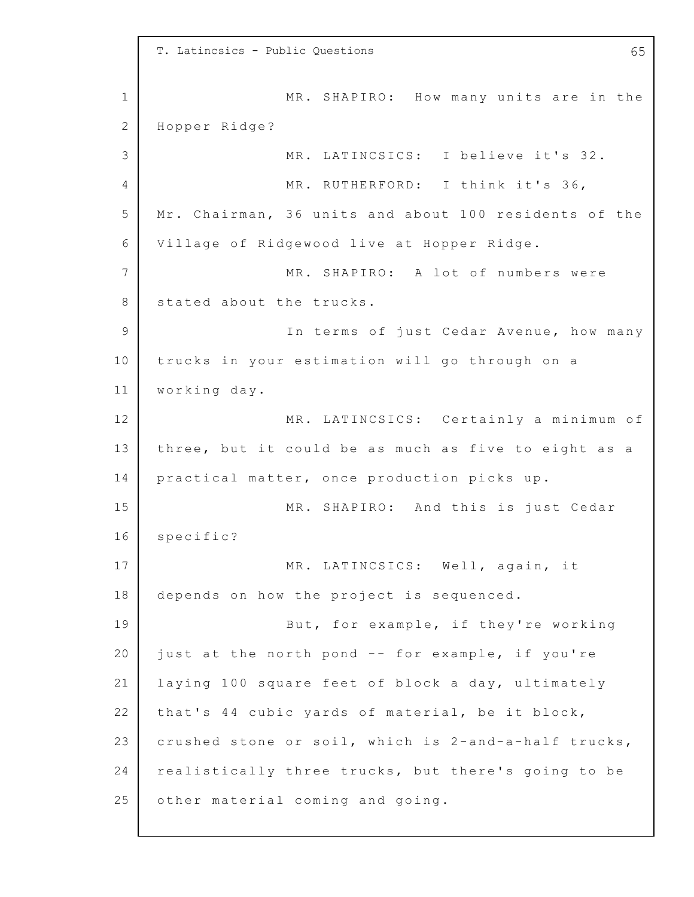1 2 3 4 5 6 7 8 9 10 11 12 13 14 15 16 17 18 19 20 21 22 23 24 25 T. Latincsics - Public Questions 65 MR. SHAPIRO: How many units are in the Hopper Ridge? MR. LATINCSICS: I believe it's 32. MR. RUTHERFORD: I think it's 36, Mr. Chairman, 36 units and about 100 residents of the Village of Ridgewood live at Hopper Ridge. MR. SHAPIRO: A lot of numbers were stated about the trucks. In terms of just Cedar Avenue, how many trucks in your estimation will go through on a working day. MR. LATINCSICS: Certainly a minimum of three, but it could be as much as five to eight as a practical matter, once production picks up. MR. SHAPIRO: And this is just Cedar specific? MR. LATINCSICS: Well, again, it depends on how the project is sequenced. But, for example, if they're working just at the north pond -- for example, if you're laying 100 square feet of block a day, ultimately that's 44 cubic yards of material, be it block, crushed stone or soil, which is 2-and-a-half trucks, realistically three trucks, but there's going to be other material coming and going.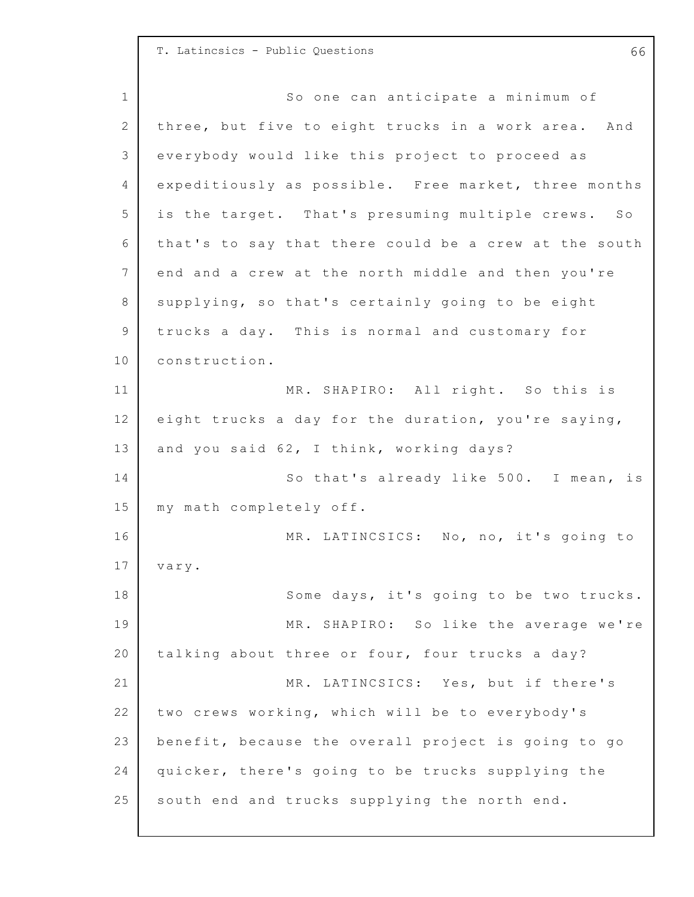## T. Latincsics - Public Questions 66

1 2 3 4 5 6 7 8 9 10 11 12 13 14 15 16 17 18 19 20 21 22 23 24 25 So one can anticipate a minimum of three, but five to eight trucks in a work area. And everybody would like this project to proceed as expeditiously as possible. Free market, three months is the target. That's presuming multiple crews. So that's to say that there could be a crew at the south end and a crew at the north middle and then you're supplying, so that's certainly going to be eight trucks a day. This is normal and customary for construction. MR. SHAPIRO: All right. So this is eight trucks a day for the duration, you're saying, and you said 62, I think, working days? So that's already like 500. I mean, is my math completely off. MR. LATINCSICS: No, no, it's going to vary. Some days, it's going to be two trucks. MR. SHAPIRO: So like the average we're talking about three or four, four trucks a day? MR. LATINCSICS: Yes, but if there's two crews working, which will be to everybody's benefit, because the overall project is going to go quicker, there's going to be trucks supplying the south end and trucks supplying the north end.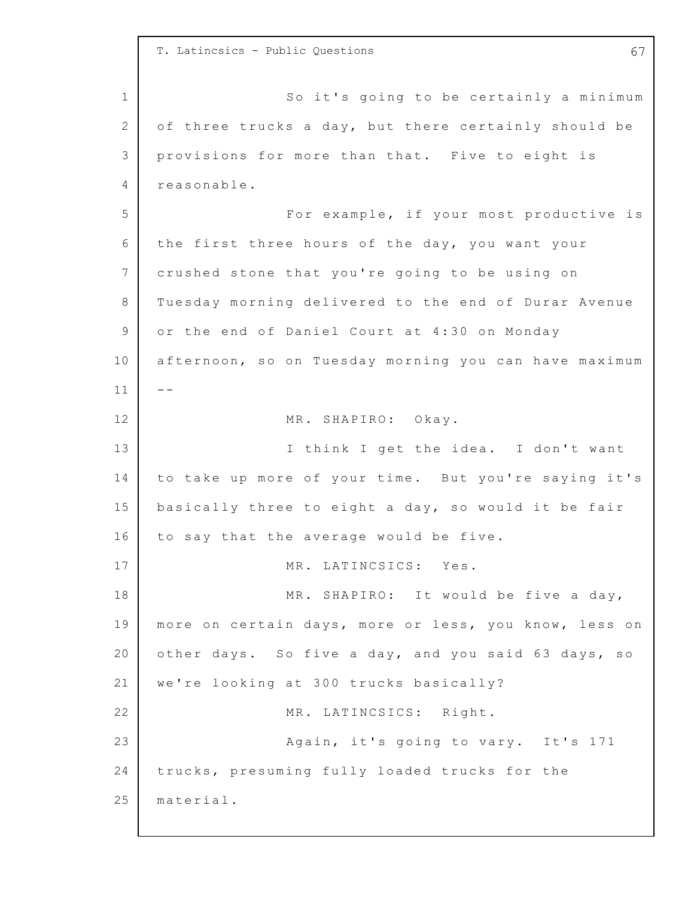1 2 3 4 5 6 7 8 9 10 11 12 13 14 15 16 17 18 19 20 21 22 23 24 25 T. Latincsics - Public Questions 67 So it's going to be certainly a minimum of three trucks a day, but there certainly should be provisions for more than that. Five to eight is reasonable. For example, if your most productive is the first three hours of the day, you want your crushed stone that you're going to be using on Tuesday morning delivered to the end of Durar Avenue or the end of Daniel Court at 4:30 on Monday afternoon, so on Tuesday morning you can have maximum  $- -$ MR. SHAPIRO: Okay. I think I get the idea. I don't want to take up more of your time. But you're saying it's basically three to eight a day, so would it be fair to say that the average would be five. MR. LATINCSICS: Yes. MR. SHAPIRO: It would be five a day, more on certain days, more or less, you know, less on other days. So five a day, and you said 63 days, so we're looking at 300 trucks basically? MR. LATINCSICS: Right. Again, it's going to vary. It's 171 trucks, presuming fully loaded trucks for the material.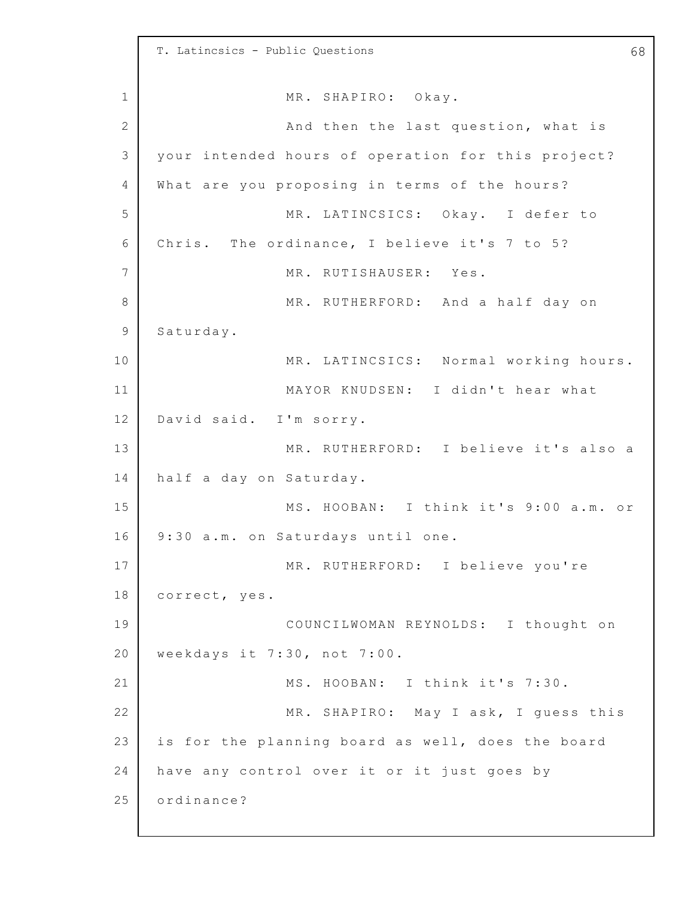1 2 3 4 5 6 7 8 9 10 11 12 13 14 15 16 17 18 19 20 21 22 23 24 25 T. Latincsics - Public Questions 68 MR. SHAPIRO: Okay. And then the last question, what is your intended hours of operation for this project? What are you proposing in terms of the hours? MR. LATINCSICS: Okay. I defer to Chris. The ordinance, I believe it's  $7$  to  $5$ ? MR. RUTISHAUSER: Yes. MR. RUTHERFORD: And a half day on Saturday. MR. LATINCSICS: Normal working hours. MAYOR KNUDSEN: I didn't hear what David said. I'm sorry. MR. RUTHERFORD: I believe it's also a half a day on Saturday. MS. HOOBAN: I think it's 9:00 a.m. or 9:30 a.m. on Saturdays until one. MR. RUTHERFORD: I believe you're correct, yes. COUNCILWOMAN REYNOLDS: I thought on weekdays it 7:30, not 7:00. MS. HOOBAN: I think it's 7:30. MR. SHAPIRO: May I ask, I guess this is for the planning board as well, does the board have any control over it or it just goes by ordinance?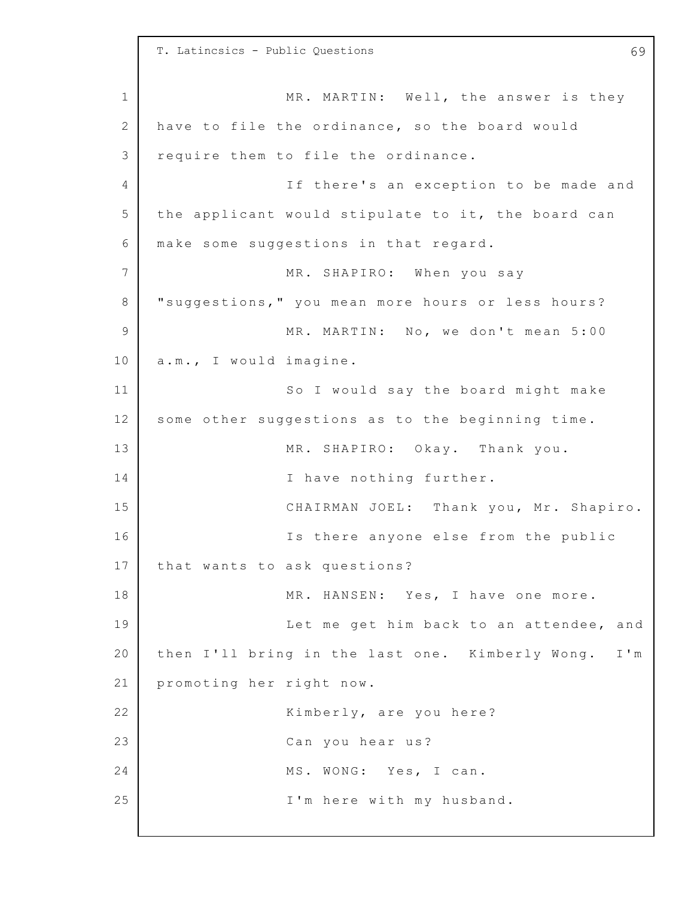1 2 3 4 5 6 7 8 9 10 11 12 13 14 15 16 17 18 19 20 21 22 23 24 25 T. Latincsics - Public Questions 69 MR. MARTIN: Well, the answer is they have to file the ordinance, so the board would require them to file the ordinance. If there's an exception to be made and the applicant would stipulate to it, the board can make some suggestions in that regard. MR. SHAPIRO: When you say "suggestions," you mean more hours or less hours? MR. MARTIN: No, we don't mean 5:00 a.m., I would imagine. So I would say the board might make some other suggestions as to the beginning time. MR. SHAPIRO: Okay. Thank you. I have nothing further. CHAIRMAN JOEL: Thank you, Mr. Shapiro. Is there anyone else from the public that wants to ask questions? MR. HANSEN: Yes, I have one more. Let me get him back to an attendee, and then I'll bring in the last one. Kimberly Wong. I'm promoting her right now. Kimberly, are you here? Can you hear us? MS. WONG: Yes, I can. I'm here with my husband.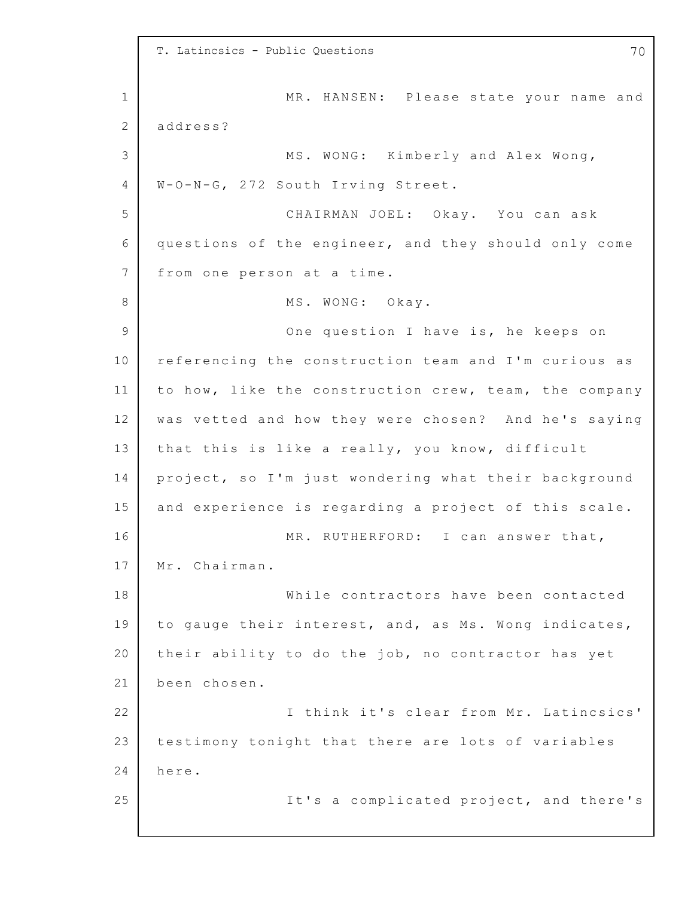1 2 3 4 5 6 7 8 9 10 11 12 13 14 15 16 17 18 19 20 21 22 23 24 25 T. Latincsics - Public Questions 70 MR. HANSEN: Please state your name and address? MS. WONG: Kimberly and Alex Wong, W-O-N-G, 272 South Irving Street. CHAIRMAN JOEL: Okay. You can ask questions of the engineer, and they should only come from one person at a time. MS. WONG: Okay. One question I have is, he keeps on referencing the construction team and I'm curious as to how, like the construction crew, team, the company was vetted and how they were chosen? And he's saying that this is like a really, you know, difficult project, so I'm just wondering what their background and experience is regarding a project of this scale. MR. RUTHERFORD: I can answer that, Mr. Chairman. While contractors have been contacted to gauge their interest, and, as Ms. Wong indicates, their ability to do the job, no contractor has yet been chosen. I think it's clear from Mr. Latincsics' testimony tonight that there are lots of variables here. It's a complicated project, and there's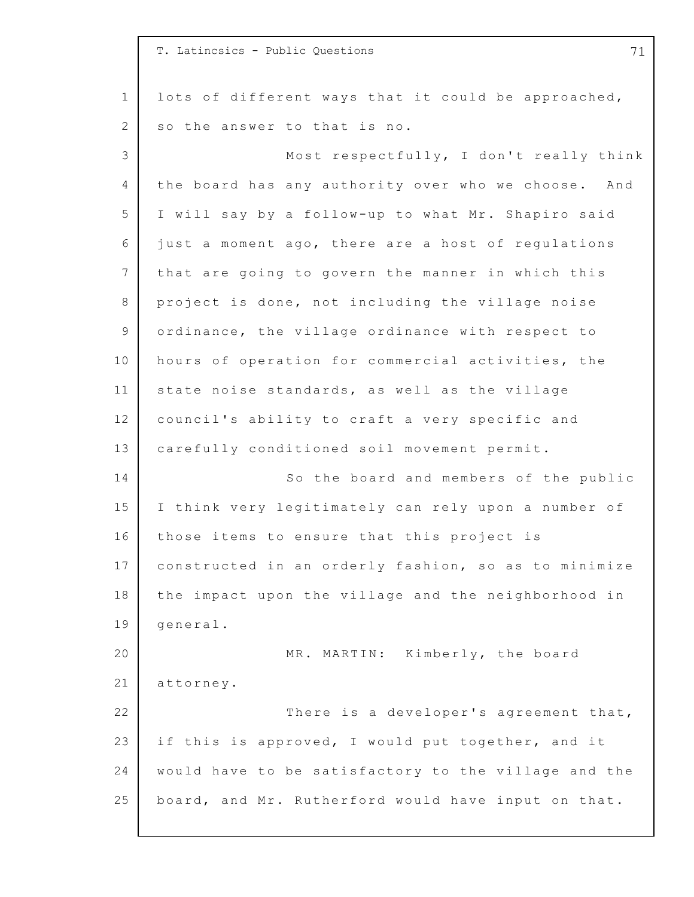1 2 3 4 5 6 7 8 9 10 11 12 13 14 15 16 17 18 19 20 21 22 23 24 25 T. Latincsics - Public Questions 71 lots of different ways that it could be approached, so the answer to that is no. Most respectfully, I don't really think the board has any authority over who we choose. And I will say by a follow-up to what Mr. Shapiro said just a moment ago, there are a host of regulations that are going to govern the manner in which this project is done, not including the village noise ordinance, the village ordinance with respect to hours of operation for commercial activities, the state noise standards, as well as the village council's ability to craft a very specific and carefully conditioned soil movement permit. So the board and members of the public I think very legitimately can rely upon a number of those items to ensure that this project is constructed in an orderly fashion, so as to minimize the impact upon the village and the neighborhood in general. MR. MARTIN: Kimberly, the board attorney. There is a developer's agreement that, if this is approved, I would put together, and it would have to be satisfactory to the village and the board, and Mr. Rutherford would have input on that.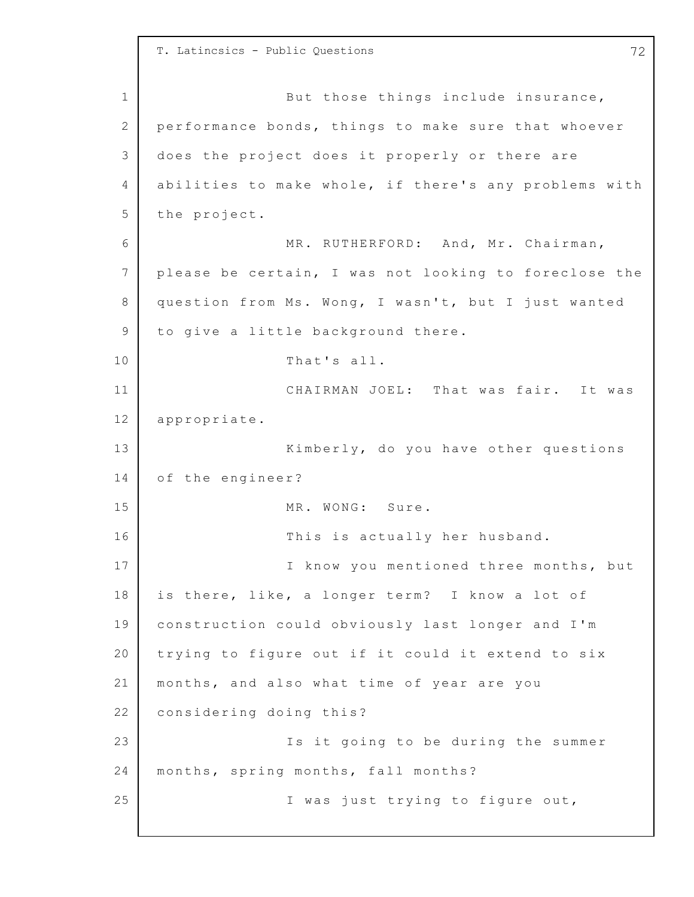1 2 3 4 5 6 7 8 9 10 11 12 13 14 15 16 17 18 19 20 21 22 23 24 25 T. Latincsics - Public Questions 72 But those things include insurance, performance bonds, things to make sure that whoever does the project does it properly or there are abilities to make whole, if there's any problems with the project. MR. RUTHERFORD: And, Mr. Chairman, please be certain, I was not looking to foreclose the question from Ms. Wong, I wasn't, but I just wanted to give a little background there. That's all. CHAIRMAN JOEL: That was fair. It was appropriate. Kimberly, do you have other questions of the engineer? MR. WONG: Sure. This is actually her husband. I know you mentioned three months, but is there, like, a longer term? I know a lot of construction could obviously last longer and I'm trying to figure out if it could it extend to six months, and also what time of year are you considering doing this? Is it going to be during the summer months, spring months, fall months? I was just trying to figure out,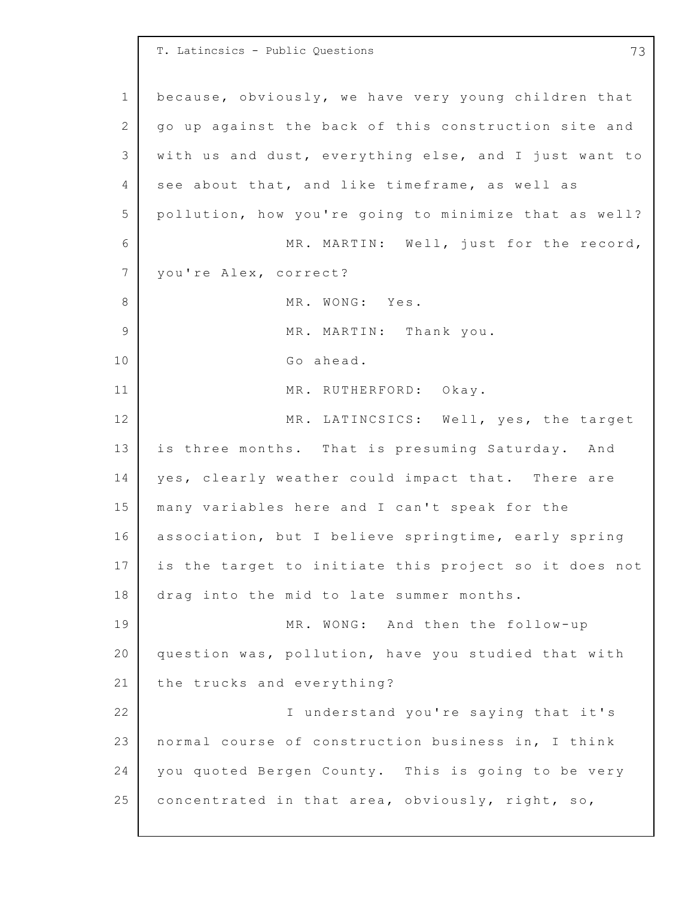1 2 3 4 5 6 7 8 9 10 11 12 13 14 15 16 17 18 19 20 21 22 23 24 25 T. Latincsics - Public Questions 73 because, obviously, we have very young children that go up against the back of this construction site and with us and dust, everything else, and I just want to see about that, and like timeframe, as well as pollution, how you're going to minimize that as well? MR. MARTIN: Well, just for the record, you're Alex, correct? MR. WONG: Yes. MR. MARTIN: Thank you. Go ahead. MR. RUTHERFORD: Okay. MR. LATINCSICS: Well, yes, the target is three months. That is presuming Saturday. And yes, clearly weather could impact that. There are many variables here and I can't speak for the association, but I believe springtime, early spring is the target to initiate this project so it does not drag into the mid to late summer months. MR. WONG: And then the follow-up question was, pollution, have you studied that with the trucks and everything? I understand you're saying that it's normal course of construction business in, I think you quoted Bergen County. This is going to be very concentrated in that area, obviously, right, so,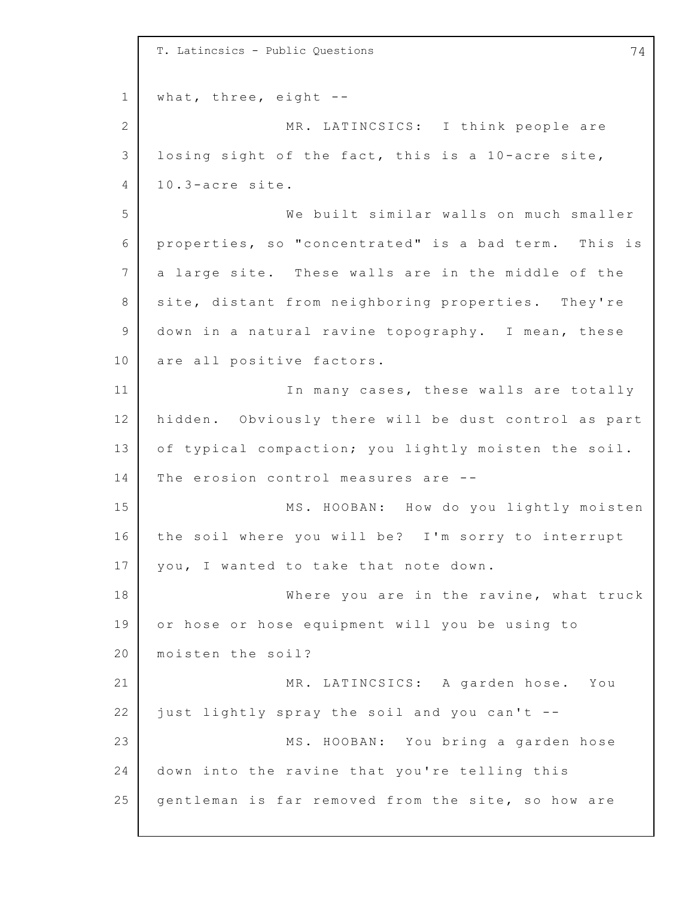1 2 3 4 5 6 7 8 9 10 11 12 13 14 15 16 17 18 19 20 21 22 23 24 25 T. Latincsics - Public Questions 74 what, three, eight  $--$ MR. LATINCSICS: I think people are losing sight of the fact, this is a  $10$ -acre site, 1 0.3-acre site. We built similar walls on much smaller properties, so "concentrated" is a bad term. This is a large site. These walls are in the middle of the site, distant from neighboring properties. They're down in a natural ravine topography. I mean, these are all positive factors. In many cases, these walls are totally hidden. Obviously there will be dust control as part of typical compaction; you lightly moisten the soil. The erosion control measures are -- MS. HOOBAN: How do you lightly moisten the soil where you will be? I'm sorry to interrupt you, I wanted to take that note down. Where you are in the ravine, what truck or hose or hose equipment will you be using to moisten the soil? MR. LATINCSICS: A garden hose. You just lightly spray the soil and you can't -- MS. HOOBAN: You bring a garden hose down into the ravine that you're telling this gentleman is far removed from the site, so how are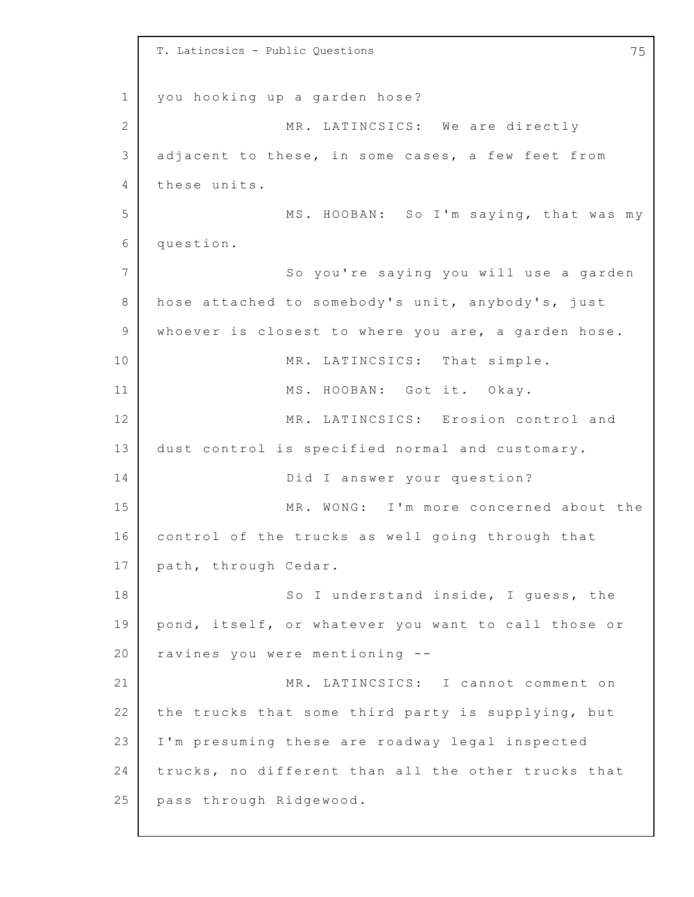1 2 3 4 5 6 7 8 9 10 11 12 13 14 15 16 17 18 19 20 21 22 23 24 25 T. Latincsics - Public Questions 75 you hooking up a garden hose? MR. LATINCSICS: We are directly adjacent to these, in some cases, a few feet from these units. MS. HOOBAN: So I'm saying, that was my question. So you're saying you will use a garden hose attached to somebody's unit, anybody's, just whoever is closest to where you are, a garden hose. MR. LATINCSICS: That simple. MS. HOOBAN: Got it. Okay. MR. LATINCSICS: Erosion control and dust control is specified normal and customary. Did I answer your question? MR. WONG: I'm more concerned about the control of the trucks as well going through that path, through Cedar. So I understand inside, I quess, the pond, itself, or whatever you want to call those or ravines you were mentioning -- MR. LATINCSICS: I cannot comment on the trucks that some third party is supplying, but I'm presuming these are roadway legal inspected trucks, no different than all the other trucks that pass through Ridgewood.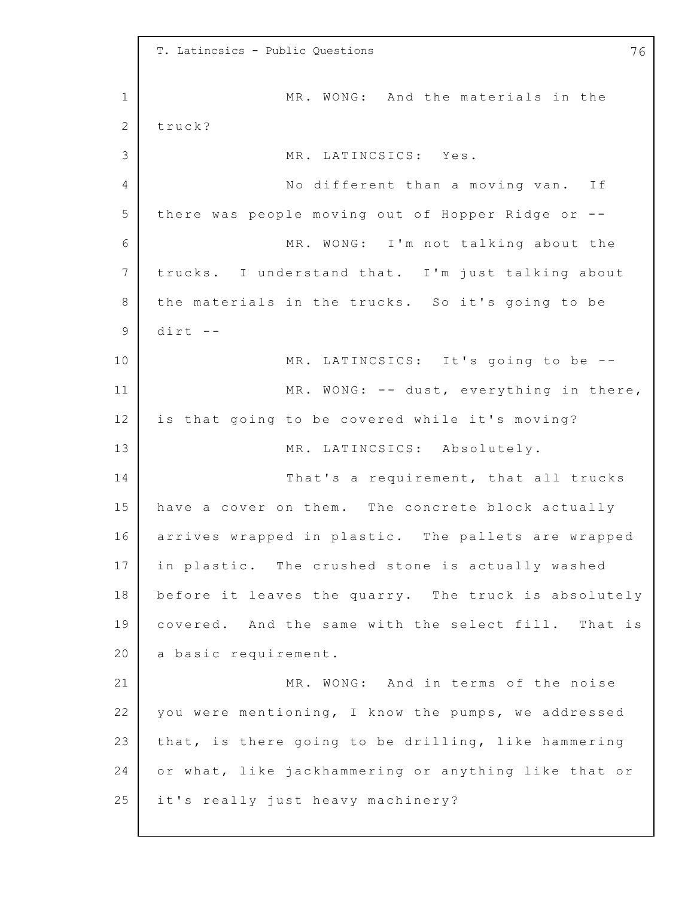1 2 3 4 5 6 7 8 9 10 11 12 13 14 15 16 17 18 19 20 21 22 23 24 25 T. Latincsics - Public Questions 76 MR. WONG: And the materials in the truck? MR. LATINCSICS: Yes. No different than a moving van. If there was people moving out of Hopper Ridge or  $-$ -MR. WONG: I'm not talking about the trucks. I understand that. I'm just talking about the materials in the trucks. So it's going to be dirt -- MR. LATINCSICS: It's going to be --MR. WONG:  $--$  dust, everything in there, is that going to be covered while it's moving? MR. LATINCSICS: Absolutely. That's a requirement, that all trucks have a cover on them. The concrete block actually arrives wrapped in plastic. The pallets are wrapped in plastic. The crushed stone is actually washed before it leaves the quarry. The truck is absolutely covered. And the same with the select fill. That is a basic requirement. MR. WONG: And in terms of the noise you were mentioning, I know the pumps, we addressed that, is there going to be drilling, like hammering or what, like jackhammering or anything like that or it's really just heavy machinery?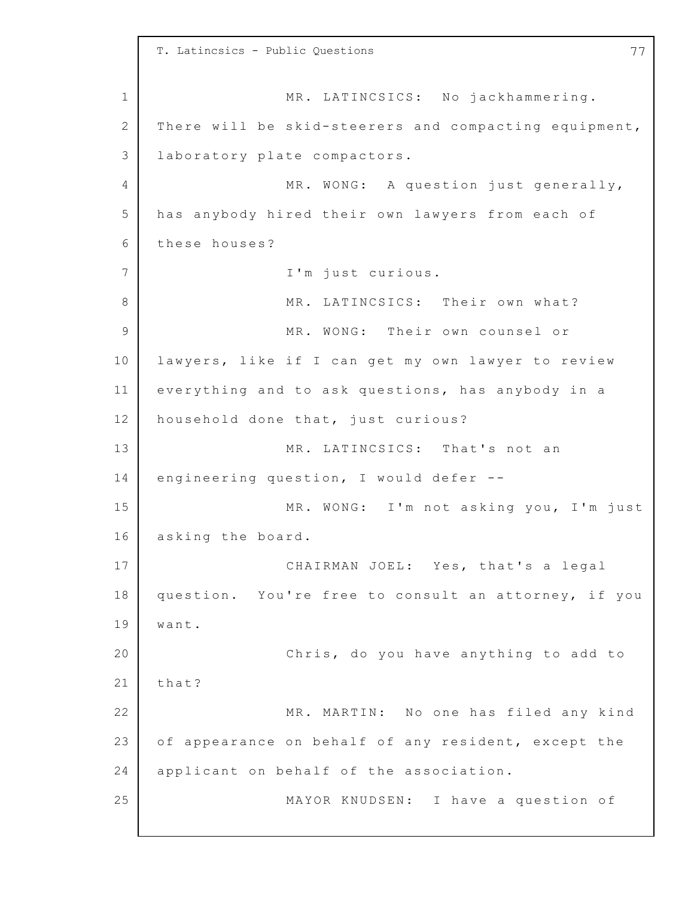1 2 3 4 5 6 7 8 9 10 11 12 13 14 15 16 17 18 19 20 21 22 23 24 25 T. Latincsics - Public Questions 77 MR. LATINCSICS: No jackhammering. There will be skid-steerers and compacting equipment, laboratory plate compactors. MR. WONG: A question just generally, has anybody hired their own lawyers from each of these houses? I'm just curious. MR. LATINCSICS: Their own what? MR. WONG: Their own counsel or lawyers, like if I can get my own lawyer to review everything and to ask questions, has anybody in a household done that, just curious? MR. LATINCSICS: That's not an engineering question, I would defer -- MR. WONG: I'm not asking you, I'm just asking the board. CHAIRMAN JOEL: Yes, that's a legal question. You're free to consult an attorney, if you want. Chris, do you have anything to add to that? MR. MARTIN: No one has filed any kind of appearance on behalf of any resident, except the applicant on behalf of the association. MAYOR KNUDSEN: I have a question of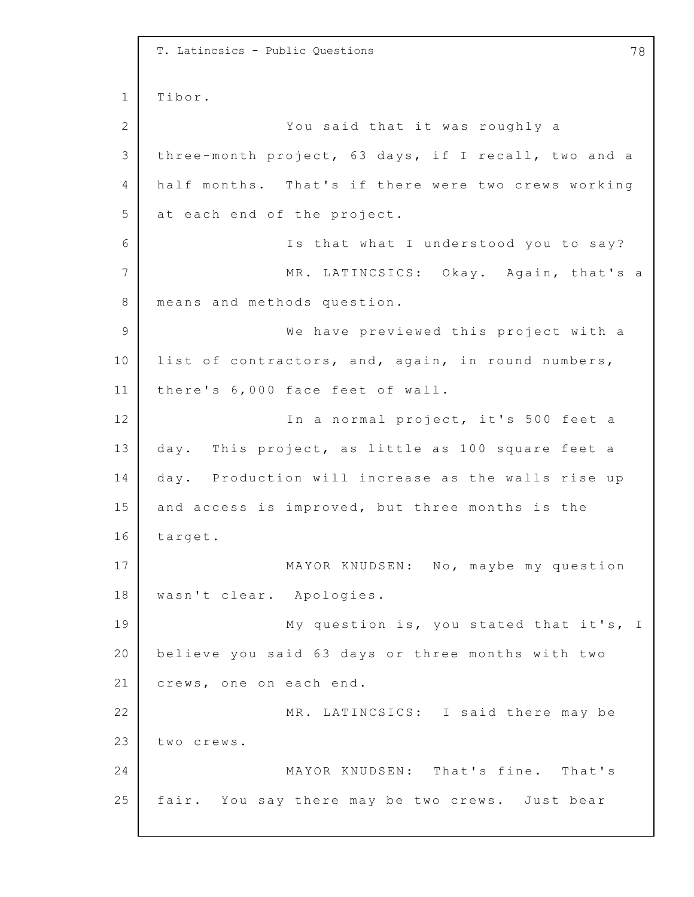```
1
2
3
4
5
6
7
8
9
10
11
12
13
14
15
16
17
18
19
20
21
22
23
24
25
    T. Latincsics - Public Questions 78
    Tibor.
                  You said that it was roughly a
    three-month project, 63 days, if I recall, two and a
    half months. That's if there were two crews working
    at each end of the project.
                  Is that what I understood you to say?
                  MR. LATINCSICS: Okay. Again, that's a
    means and methods question.
                  We have previewed this project with a
    list of contractors, and, again, in round numbers,
    there's 6,000 face feet of wall.
                  In a normal project, it's 500 feet a
    day. This project, as little as 100 square feet a
    day. Production will increase as the walls rise up
    and access is improved, but three months is the
    target.
                  MAYOR KNUDSEN: No, maybe my question
    wasn't clear. Apologies.
                  My question is, you stated that it's, I
    believe you said 63 days or three months with two
    crews, one on each end.
                  MR. LATINCSICS: I said there may be
    two crews.
                  MAYOR KNUDSEN: That's fine. That's
    fair. You say there may be two crews. Just bear
```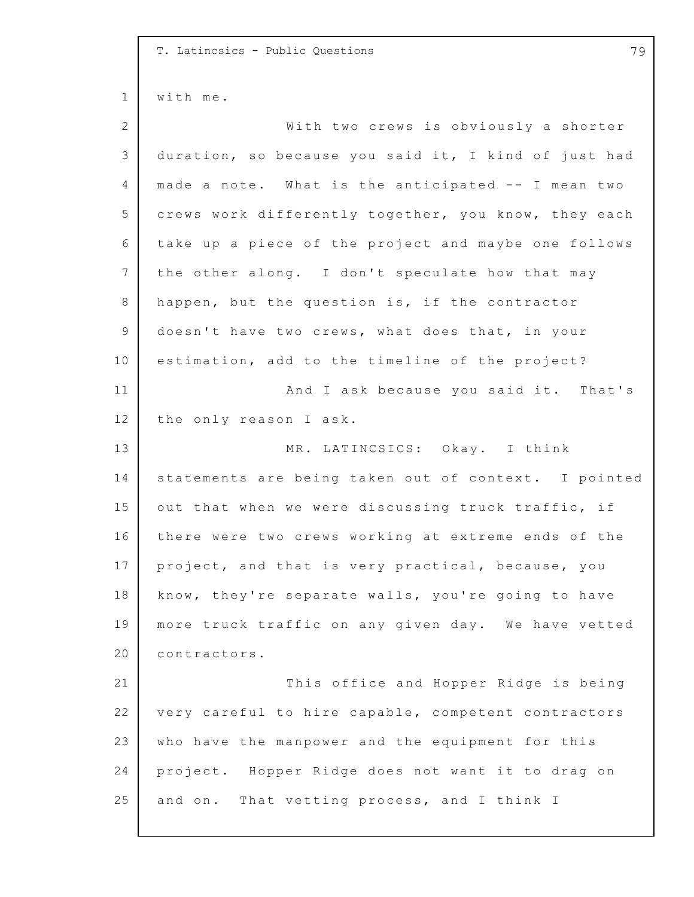1 2 3 4 5 6 7 8 9 10 11 12 13 14 15 16 17 18 19 20 21 22 23 24 25 T. Latincsics - Public Questions 79 with me. With two crews is obviously a shorter duration, so because you said it, I kind of just had made a note. What is the anticipated -- I mean two crews work differently together, you know, they each take up a piece of the project and maybe one follows the other along. I don't speculate how that may happen, but the question is, if the contractor doesn't have two crews, what does that, in your estimation, add to the timeline of the project? And I ask because you said it. That's the only reason I ask. MR. LATINCSICS: Okay. I think statements are being taken out of context. I pointed out that when we were discussing truck traffic, if there were two crews working at extreme ends of the project, and that is very practical, because, you know, they're separate walls, you're going to have more truck traffic on any given day. We have vetted contractors. This office and Hopper Ridge is being very careful to hire capable, competent contractors who have the manpower and the equipment for this project. Hopper Ridge does not want it to drag on and on. That vetting process, and I think I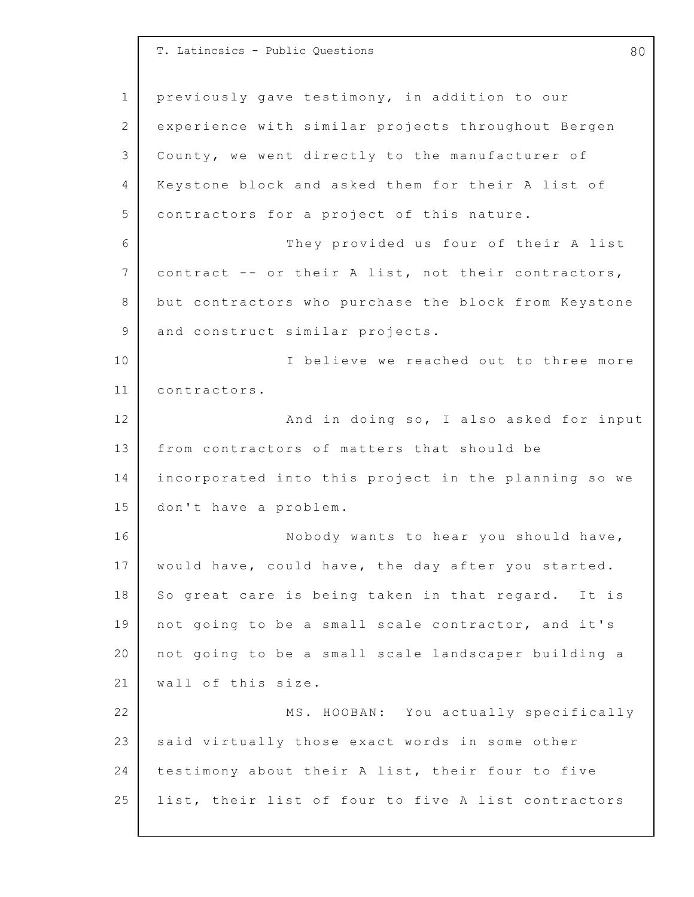1 2 3 4 5 6 7 8 9 10 11 12 13 14 15 16 17 18 19 20 21 22 23 24 25 T. Latincsics - Public Questions **80** previously gave testimony, in addition to our experience with similar projects throughout Bergen County, we went directly to the manufacturer of Keystone block and asked them for their A list of contractors for a project of this nature. They provided us four of their A list contract -- or their A list, not their contractors, but contractors who purchase the block from Keystone and construct similar projects. I believe we reached out to three more contractors. And in doing so, I also asked for input from contractors of matters that should be incorporated into this project in the planning so we don't have a problem. Nobody wants to hear you should have, would have, could have, the day after you started. So great care is being taken in that regard. It is not going to be a small scale contractor, and it's not going to be a small scale landscaper building a wall of this size. MS. HOOBAN: You actually specifically said virtually those exact words in some other testimony about their A list, their four to five list, their list of four to five A list contractors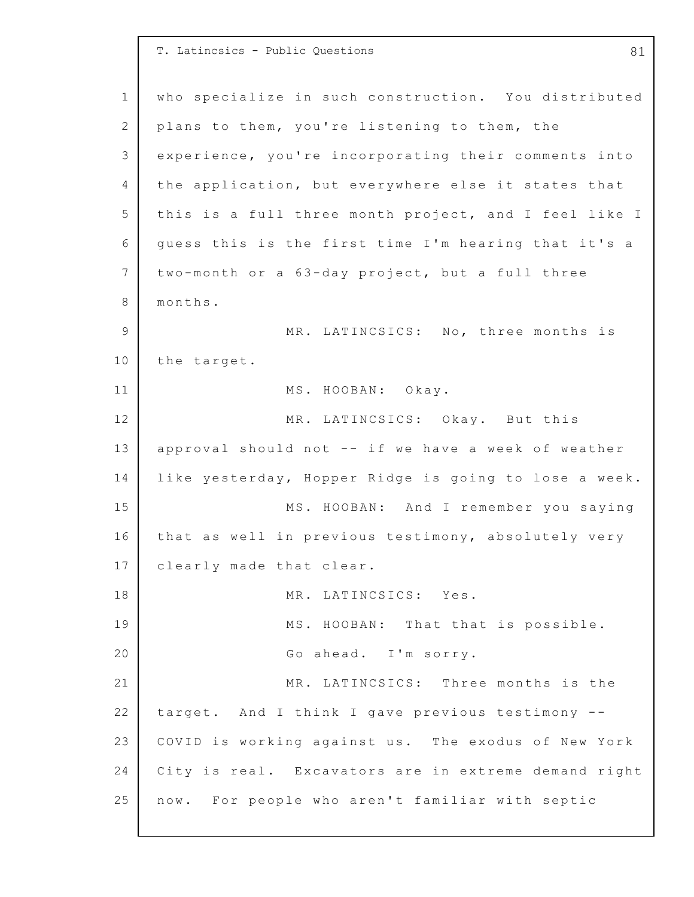1 2 3 4 5 6 7 8 9 10 11 12 13 14 15 16 17 18 19 20 21 22 23 24 25 T. Latincsics - Public Questions and the set of the set of  $\begin{array}{cc} 81 & 81 \end{array}$ who specialize in such construction. You distributed plans to them, you're listening to them, the experience, you're incorporating their comments into the application, but everywhere else it states that this is a full three month project, and I feel like I quess this is the first time I'm hearing that it's a two-month or a 63-day project, but a full three months. MR. LATINCSICS: No, three months is the target. MS. HOOBAN: Okay. MR. LATINCSICS: Okay. But this approval should not  $--$  if we have a week of weather like yesterday, Hopper Ridge is going to lose a week. MS. HOOBAN: And I remember you saying that as well in previous testimony, absolutely very clearly made that clear. MR. LATINCSICS: Yes. MS. HOOBAN: That that is possible. Go ahead. I'm sorry. MR. LATINCSICS: Three months is the target. And I think I gave previous testimony -- COVID is working against us. The exodus of New York City is real. Excavators are in extreme demand right now. For people who aren't familiar with septic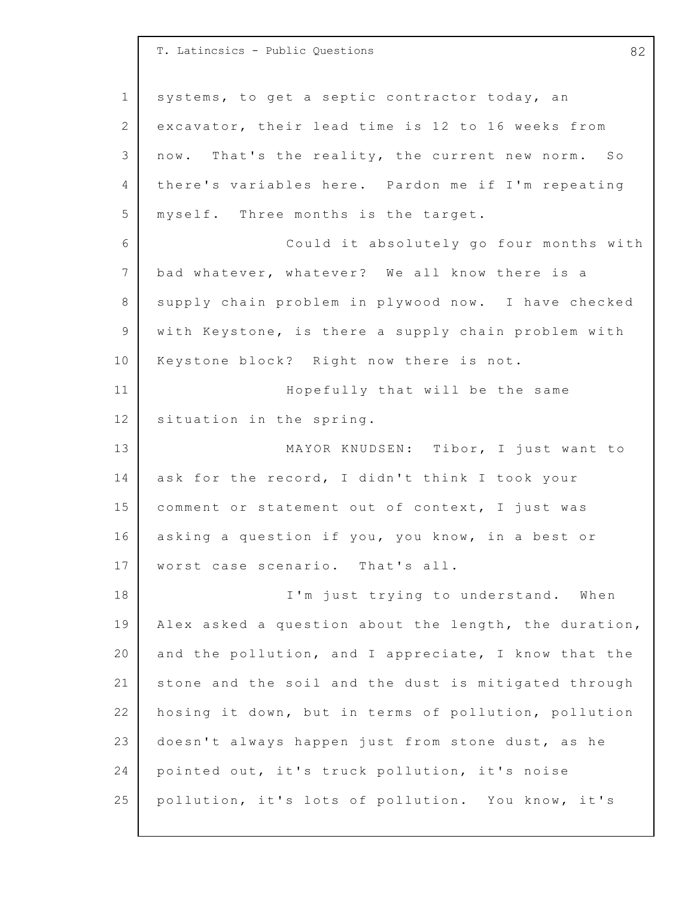1 2 3 4 5 6 7 8 9 10 11 12 13 14 15 16 17 18 19 20 21 22 23 24 25 T. Latincsics - Public Questions 62 systems, to get a septic contractor today, an excavator, their lead time is 12 to 16 weeks from now. That's the reality, the current new norm. So there's variables here. Pardon me if I'm repeating myself. Three months is the target. Could it absolutely go four months with bad whatever, whatever? We all know there is a supply chain problem in plywood now. I have checked with Keystone, is there a supply chain problem with Keystone block? Right now there is not. Hopefully that will be the same situation in the spring. MAYOR KNUDSEN: Tibor, I just want to ask for the record, I didn't think I took your comment or statement out of context, I just was asking a question if you, you know, in a best or worst case scenario. That's all. I'm just trying to understand. When Alex asked a question about the length, the duration, and the pollution, and I appreciate, I know that the stone and the soil and the dust is mitigated through hosing it down, but in terms of pollution, pollution doesn't always happen just from stone dust, as he pointed out, it's truck pollution, it's noise pollution, it's lots of pollution. You know, it's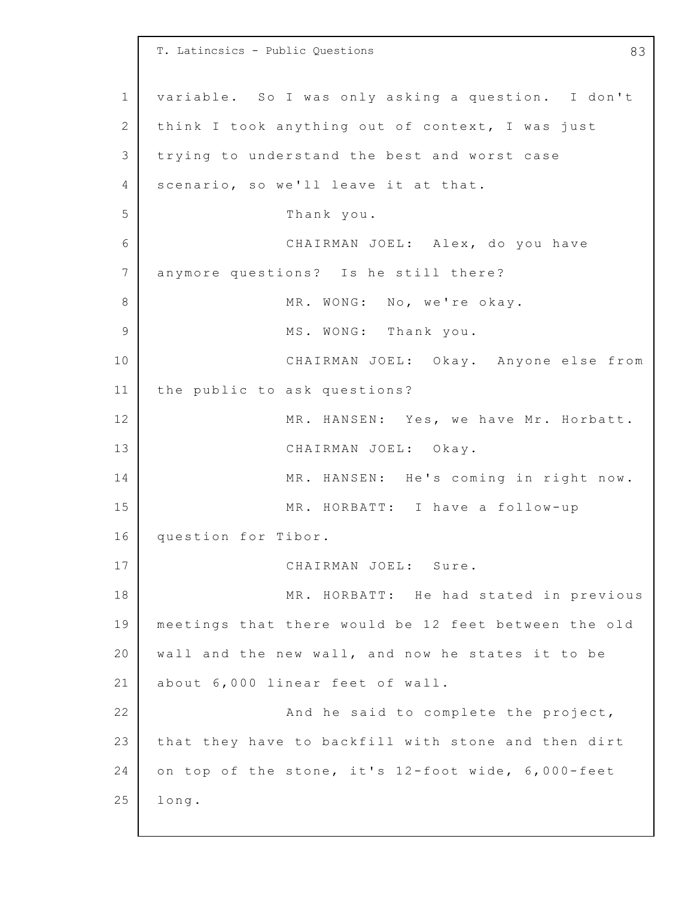1 2 3 4 5 6 7 8 9 10 11 12 13 14 15 16 17 18 19 20 21 22 23 24 25 T. Latincsics - Public Questions **83** variable. So I was only asking a question. I don't think I took anything out of context, I was just trying to understand the best and worst case scenario, so we'll leave it at that. Thank you. CHAIRMAN JOEL: Alex, do you have anymore questions? Is he still there? MR. WONG: No, we're okay. MS. WONG: Thank you. CHAIRMAN JOEL: Okay. Anyone else from the public to ask questions? MR. HANSEN: Yes, we have Mr. Horbatt. CHAIRMAN JOEL: Okay. MR. HANSEN: He's coming in right now. MR. HORBATT: I have a follow-up question for Tibor. CHAIRMAN JOEL: Sure. MR. HORBATT: He had stated in previous meetings that there would be 12 feet between the old wall and the new wall, and now he states it to be about 6,000 linear feet of wall. And he said to complete the project, that they have to backfill with stone and then dirt on top of the stone, it's 12-foot wide, 6,000-feet long.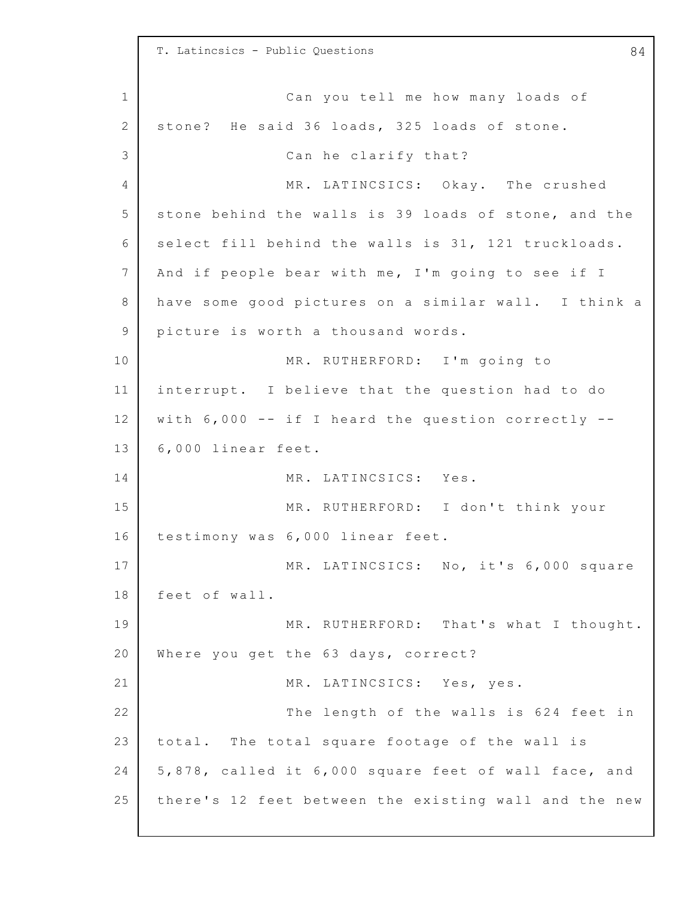1 2 3 4 5 6 7 8 9 10 11 12 13 14 15 16 17 18 19 20 21 22 23 24 25 T. Latincsics - Public Questions and the set of the set of  $\begin{array}{cc} 84 \end{array}$ Can you tell me how many loads of stone? He said 36 loads, 325 loads of stone. Can he clarify that? MR. LATINCSICS: Okay. The crushed stone behind the walls is 39 loads of stone, and the select fill behind the walls is 31, 121 truckloads. And if people bear with me, I'm going to see if I have some good pictures on a similar wall. I think a picture is worth a thousand words. MR. RUTHERFORD: I'm going to interrupt. I believe that the question had to do with  $6,000$  -- if I heard the question correctly --6,000 linear feet. MR. LATINCSICS: Yes. MR. RUTHERFORD: I don't think your testimony was 6,000 linear feet. MR. LATINCSICS: No, it's 6,000 square feet of wall. MR. RUTHERFORD: That's what I thought. Where you get the 63 days, correct? MR. LATINCSICS: Yes, yes. The length of the walls is 624 feet in total. The total square footage of the wall is 5,878, called it 6,000 square feet of wall face, and there's 12 feet between the existing wall and the new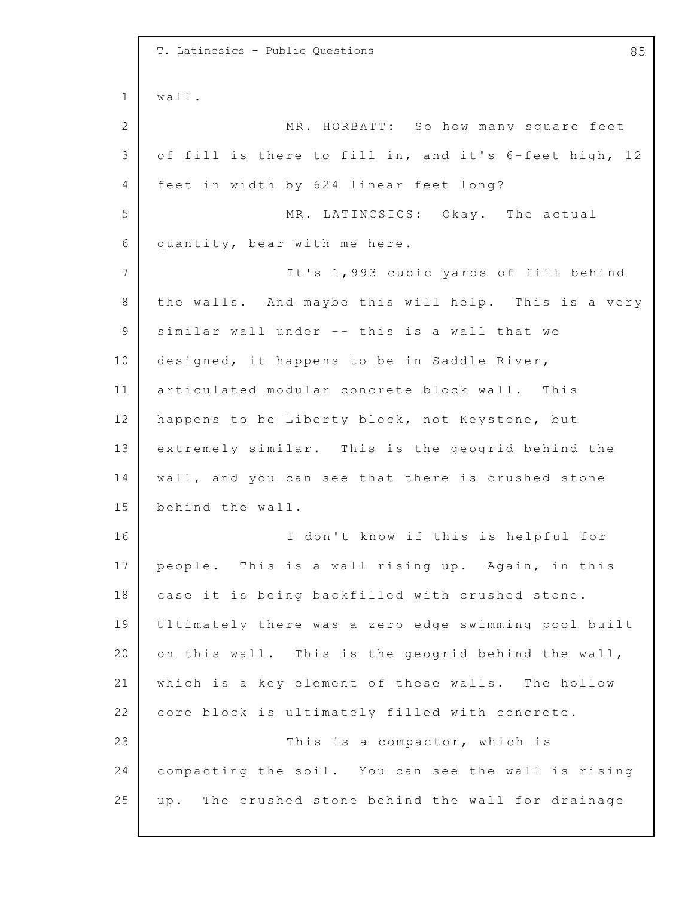|              | T. Latincsics - Public Questions<br>85                |
|--------------|-------------------------------------------------------|
| $\mathbf 1$  | wall.                                                 |
| $\mathbf{2}$ | MR. HORBATT: So how many square feet                  |
| 3            | of fill is there to fill in, and it's 6-feet high, 12 |
| 4            | feet in width by 624 linear feet long?                |
| 5            | MR. LATINCSICS: Okay. The actual                      |
| 6            | quantity, bear with me here.                          |
| 7            | It's 1,993 cubic yards of fill behind                 |
| 8            | the walls. And maybe this will help. This is a very   |
| 9            | similar wall under -- this is a wall that we          |
| 10           | designed, it happens to be in Saddle River,           |
| 11           | articulated modular concrete block wall. This         |
| 12           | happens to be Liberty block, not Keystone, but        |
| 13           | extremely similar. This is the geogrid behind the     |
| 14           | wall, and you can see that there is crushed stone     |
| 15           | behind the wall.                                      |
| 16           | I don't know if this is helpful for                   |
| 17           | people. This is a wall rising up. Again, in this      |
| 18           | case it is being backfilled with crushed stone.       |
| 19           | Ultimately there was a zero edge swimming pool built  |
| 20           | on this wall. This is the geogrid behind the wall,    |
| 21           | which is a key element of these walls. The hollow     |
| 22           | core block is ultimately filled with concrete.        |
| 23           | This is a compactor, which is                         |
| 24           | compacting the soil. You can see the wall is rising   |
| 25           | up. The crushed stone behind the wall for drainage    |
|              |                                                       |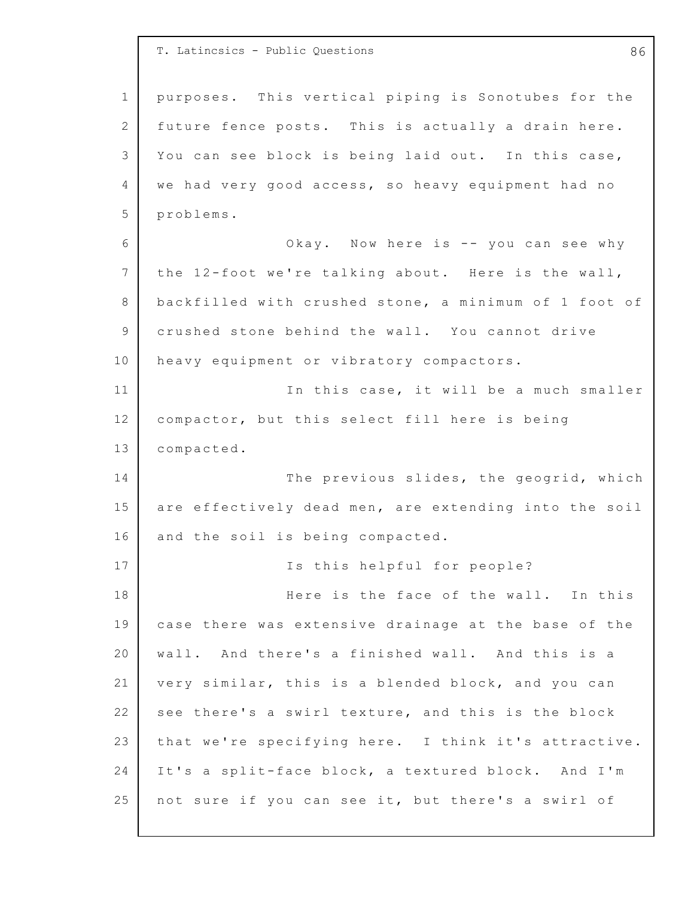1 2 3 4 5 6 7 8 9 10 11 12 13 14 15 16 17 18 19 20 21 22 23 24 25 T. Latincsics - Public Questions **86** purposes. This vertical piping is Sonotubes for the future fence posts. This is actually a drain here. You can see block is being laid out. In this case, we had very good access, so heavy equipment had no problems. Okay. Now here is  $-$  you can see why the  $12$ -foot we're talking about. Here is the wall, backfilled with crushed stone, a minimum of 1 foot of crushed stone behind the wall. You cannot drive heavy equipment or vibratory compactors. In this case, it will be a much smaller compactor, but this select fill here is being compacted. The previous slides, the geogrid, which are effectively dead men, are extending into the soil and the soil is being compacted. Is this helpful for people? Here is the face of the wall. In this case there was extensive drainage at the base of the wall. And there's a finished wall. And this is a very similar, this is a blended block, and you can see there's a swirl texture, and this is the block that we're specifying here. I think it's attractive. It's a split-face block, a textured block. And I'm not sure if you can see it, but there's a swirl of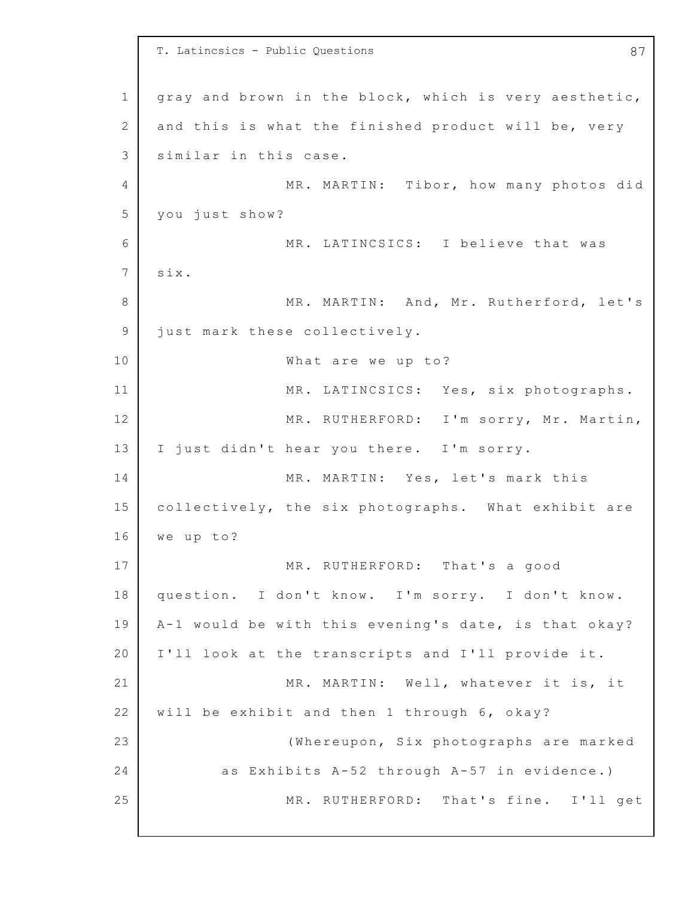1 2 3 4 5 6 7 8 9 10 11 12 13 14 15 16 17 18 19 20 21 22 23 24 25 T. Latincsics - Public Questions 67 gray and brown in the block, which is very aesthetic, and this is what the finished product will be, very similar in this case. MR. MARTIN: Tibor, how many photos did you just show? MR. LATINCSICS: I believe that was six. MR. MARTIN: And, Mr. Rutherford, let's just mark these collectively. What are we up to? MR. LATINCSICS: Yes, six photographs. MR. RUTHERFORD: I'm sorry, Mr. Martin, I just didn't hear you there. I'm sorry. MR. MARTIN: Yes, let's mark this collectively, the six photographs. What exhibit are we up to? MR. RUTHERFORD: That's a good question. I don't know. I'm sorry. I don't know. A-1 would be with this evening's date, is that okay? I'll look at the transcripts and I'll provide it. MR. MARTIN: Well, whatever it is, it will be exhibit and then 1 through 6, okay? (Whereupon, Six photographs are marked as Exhibits  $A-52$  through  $A-57$  in evidence.) MR. RUTHERFORD: That's fine. I'll get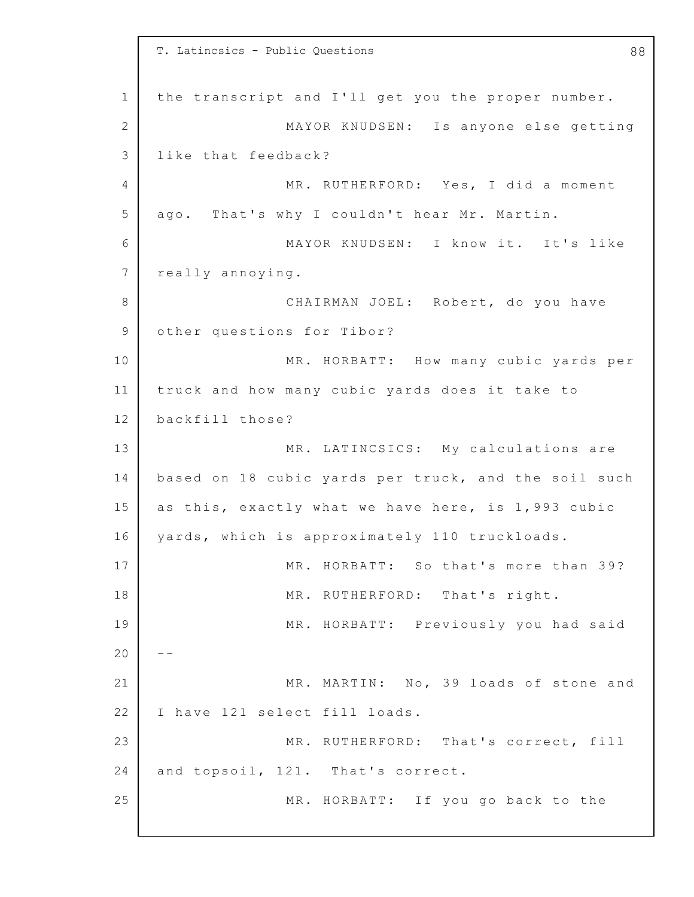1 2 3 4 5 6 7 8 9 10 11 12 13 14 15 16 17 18 19 20 21 22 23 24 25 T. Latincsics - Public Questions and the contract of the set of the set of the set of the set of the set of the set of the set of the set of the set of the set of the set of the set of the set of the set of the set of the the transcript and I'll get you the proper number. MAYOR KNUDSEN: Is anyone else getting like that feedback? MR. RUTHERFORD: Yes, I did a moment ago. That's why I couldn't hear Mr. Martin. MAYOR KNUDSEN: I know it. It's like really annoying. CHAIRMAN JOEL: Robert, do you have other questions for Tibor? MR. HORBATT: How many cubic yards per truck and how many cubic yards does it take to backfill those? MR. LATINCSICS: My calculations are based on 18 cubic yards per truck, and the soil such as this, exactly what we have here, is  $1,993$  cubic yards, which is approximately 110 truckloads. MR. HORBATT: So that's more than 39? MR. RUTHERFORD: That's right. MR. HORBATT: Previously you had said  $- -$ MR. MARTIN: No, 39 loads of stone and I have 121 select fill loads. MR. RUTHERFORD: That's correct, fill and topsoil, 121. That's correct. MR. HORBATT: If you go back to the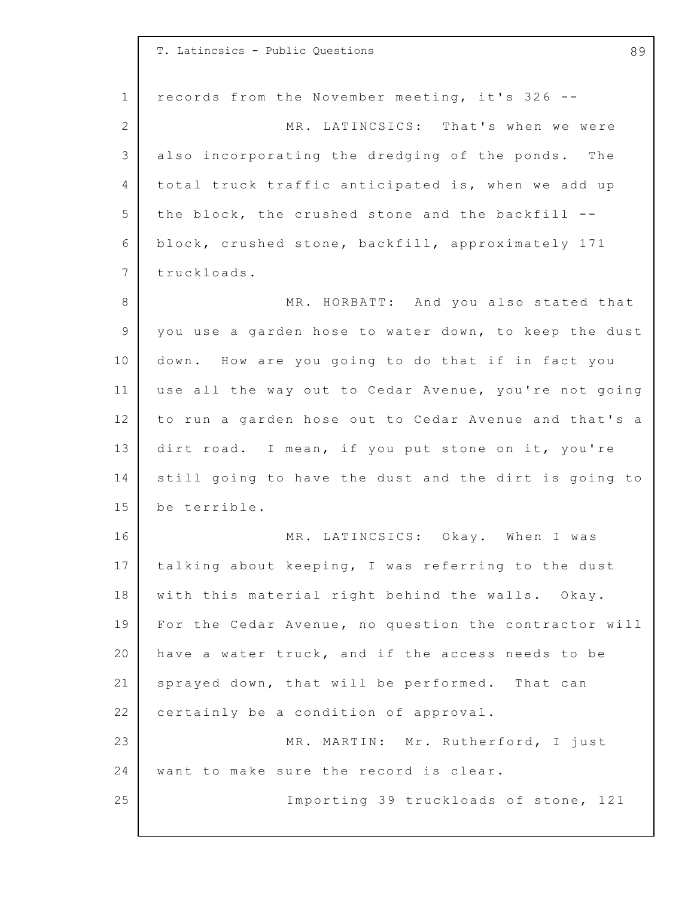|                | T. Latincsics - Public Questions<br>89                |
|----------------|-------------------------------------------------------|
| $\mathbf 1$    | records from the November meeting, it's 326 --        |
| $\overline{2}$ | MR. LATINCSICS: That's when we were                   |
| $\mathcal{S}$  | also incorporating the dredging of the ponds. The     |
| 4              | total truck traffic anticipated is, when we add up    |
| 5              | the block, the crushed stone and the backfill --      |
| 6              | block, crushed stone, backfill, approximately 171     |
| $7\phantom{.}$ | truckloads.                                           |
| 8              | MR. HORBATT: And you also stated that                 |
| 9              | you use a garden hose to water down, to keep the dust |
| 10             | down. How are you going to do that if in fact you     |
| 11             | use all the way out to Cedar Avenue, you're not going |
| 12             | to run a garden hose out to Cedar Avenue and that's a |
| 13             | dirt road. I mean, if you put stone on it, you're     |
| 14             | still going to have the dust and the dirt is going to |
| 15             | be terrible.                                          |
| 16             | MR. LATINCSICS: Okay. When I was                      |
| 17             | talking about keeping, I was referring to the dust    |
| 18             | with this material right behind the walls. Okay.      |
| 19             | For the Cedar Avenue, no question the contractor will |
| 20             | have a water truck, and if the access needs to be     |
| 21             | sprayed down, that will be performed. That can        |
| 22             | certainly be a condition of approval.                 |
| 23             | MR. MARTIN: Mr. Rutherford, I just                    |
| 24             | want to make sure the record is clear.                |
| 25             | Importing 39 truckloads of stone, 121                 |
|                |                                                       |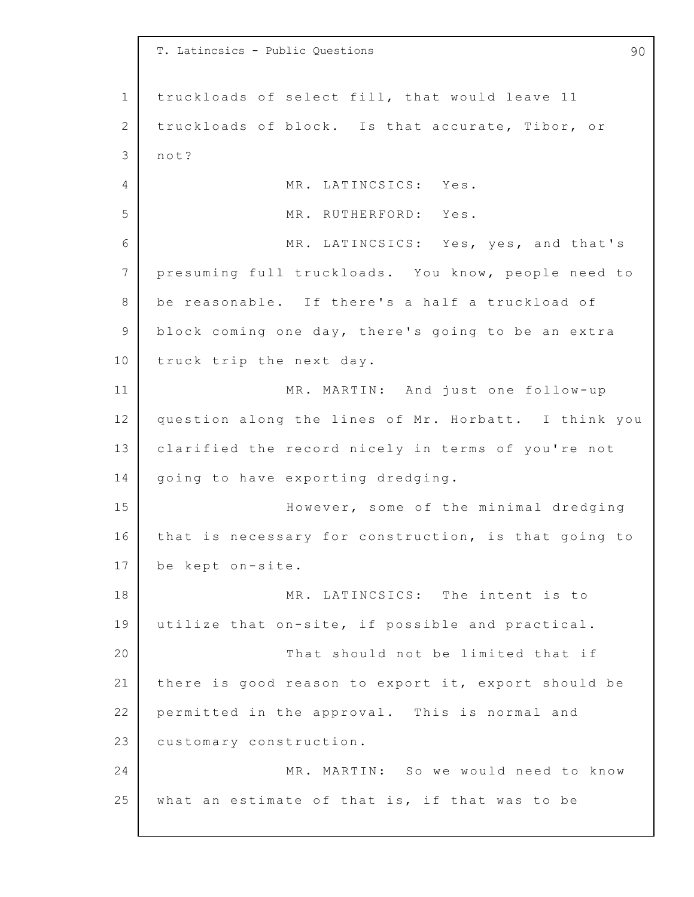1 2 3 4 5 6 7 8 9 10 11 12 13 14 15 16 17 18 19 20 21 22 23 24 25 T. Latincsics - Public Questions 90 truckloads of select fill, that would leave 11 truckloads of block. Is that accurate, Tibor, or not? MR. LATINCSICS: Yes. MR. RUTHERFORD: Yes. MR. LATINCSICS: Yes, yes, and that's presuming full truckloads. You know, people need to be reasonable. If there's a half a truckload of block coming one day, there's going to be an extra truck trip the next day. MR. MARTIN: And just one follow-up question along the lines of Mr. Horbatt. I think you clarified the record nicely in terms of you're not going to have exporting dredging. However, some of the minimal dredging that is necessary for construction, is that going to be kept on-site. MR. LATINCSICS: The intent is to utilize that on-site, if possible and practical. That should not be limited that if there is good reason to export it, export should be permitted in the approval. This is normal and customary construction. MR. MARTIN: So we would need to know what an estimate of that is, if that was to be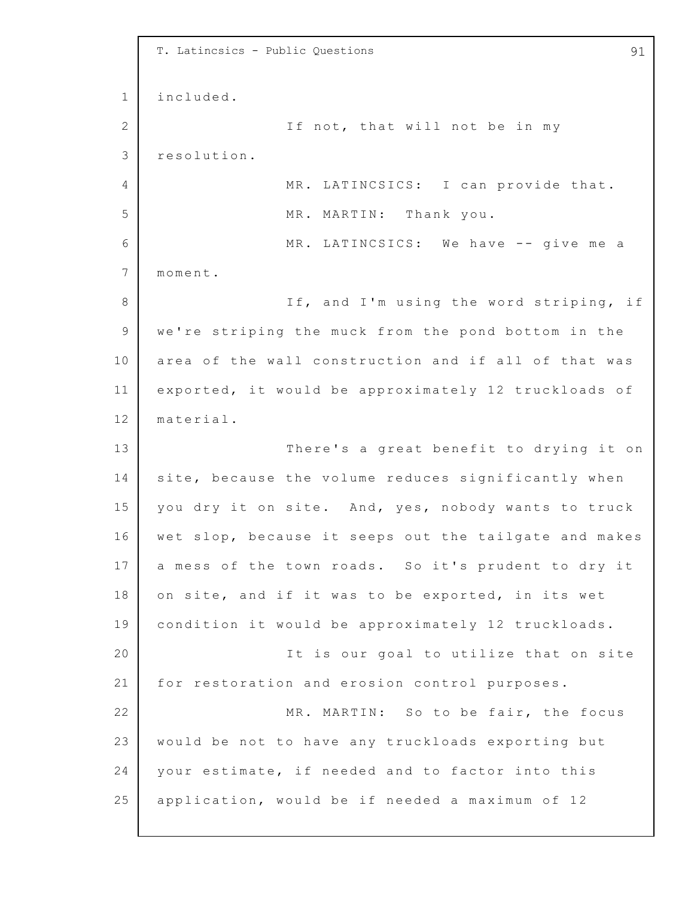1 2 3 4 5 6 7 8 9 10 11 12 13 14 15 16 17 18 19 20 21 22 23 24 25 T. Latincsics - Public Questions and the contract of the set of the set of the set of the set of the set of the set of the set of the set of the set of the set of the set of the set of the set of the set of the set of the included. If not, that will not be in my resolution. MR. LATINCSICS: I can provide that. MR. MARTIN: Thank you. MR. LATINCSICS: We have -- give me a moment. If, and I'm using the word striping, if we're striping the muck from the pond bottom in the area of the wall construction and if all of that was exported, it would be approximately 12 truckloads of material. There's a great benefit to drying it on site, because the volume reduces significantly when you dry it on site. And, yes, nobody wants to truck wet slop, because it seeps out the tailgate and makes a mess of the town roads. So it's prudent to dry it on site, and if it was to be exported, in its wet condition it would be approximately 12 truckloads. It is our goal to utilize that on site for restoration and erosion control purposes. MR. MARTIN: So to be fair, the focus would be not to have any truckloads exporting but your estimate, if needed and to factor into this application, would be if needed a maximum of  $12$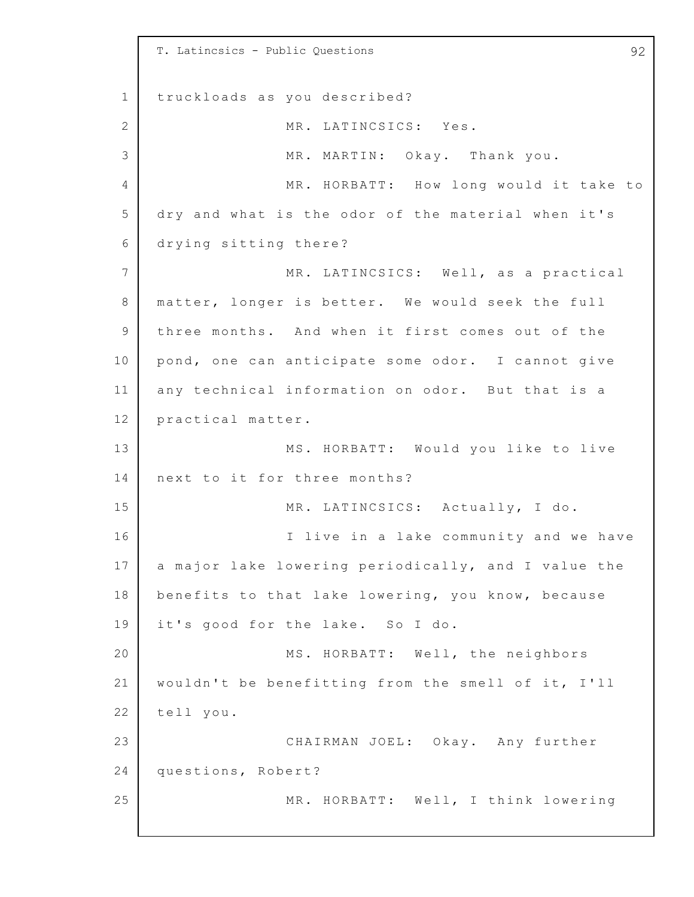1 2 3 4 5 6 7 8 9 10 11 12 13 14 15 16 17 18 19 20 21 22 23 24 25 T. Latincsics - Public Questions 92 truckloads as you described? MR. LATINCSICS: Yes. MR. MARTIN: Okay. Thank you. MR. HORBATT: How long would it take to dry and what is the odor of the material when it's drying sitting there? MR. LATINCSICS: Well, as a practical matter, longer is better. We would seek the full three months. And when it first comes out of the pond, one can anticipate some odor. I cannot give any technical information on odor. But that is a practical matter. MS. HORBATT: Would you like to live next to it for three months? MR. LATINCSICS: Actually, I do. I live in a lake community and we have a major lake lowering periodically, and I value the benefits to that lake lowering, you know, because it's good for the lake. So I do. MS. HORBATT: Well, the neighbors wouldn't be benefitting from the smell of it, I'll tell you. CHAIRMAN JOEL: Okay. Any further questions, Robert? MR. HORBATT: Well, I think lowering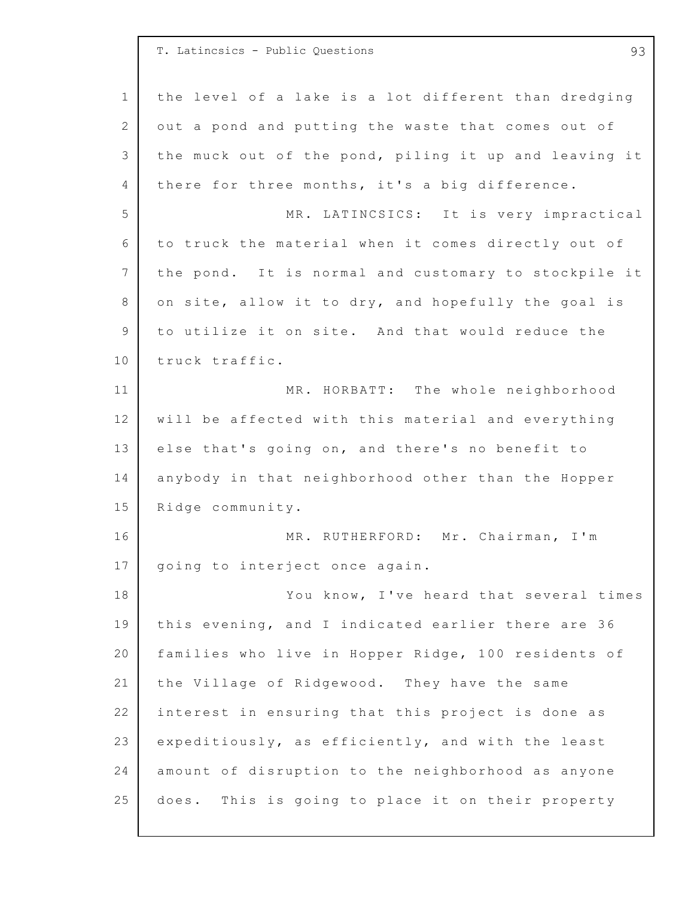1 2 3 4 5 6 7 8 9 10 11 12 13 14 15 16 17 18 19 20 21 22 23 24 25 T. Latincsics - Public Questions 93 the level of a lake is a lot different than dredging out a pond and putting the waste that comes out of the muck out of the pond, piling it up and leaving it there for three months, it's a big difference. MR. LATINCSICS: It is very impractical to truck the material when it comes directly out of the pond. It is normal and customary to stockpile it on site, allow it to dry, and hopefully the goal is to utilize it on site. And that would reduce the truck traffic. MR. HORBATT: The whole neighborhood will be affected with this material and everything else that's going on, and there's no benefit to anybody in that neighborhood other than the Hopper Ridge community. MR. RUTHERFORD: Mr. Chairman, I'm going to interject once again. You know, I've heard that several times this evening, and I indicated earlier there are 36 families who live in Hopper Ridge, 100 residents of the Village of Ridgewood. They have the same interest in ensuring that this project is done as expeditiously, as efficiently, and with the least amount of disruption to the neighborhood as anyone does. This is going to place it on their property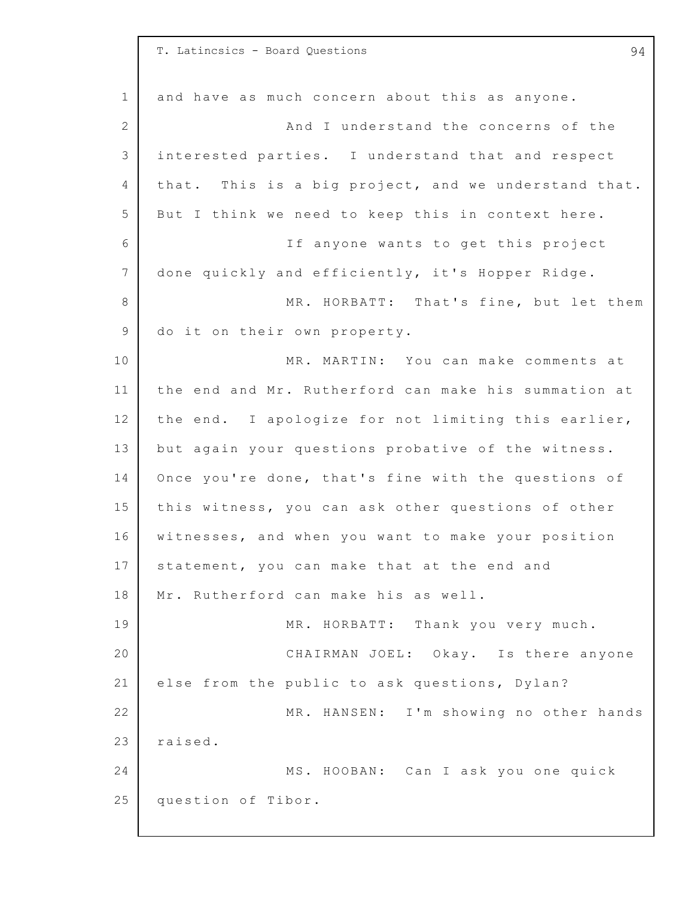|                | T. Latincsics - Board Questions<br>94                |
|----------------|------------------------------------------------------|
| $\mathbf 1$    | and have as much concern about this as anyone.       |
| $\mathbf{2}$   | And I understand the concerns of the                 |
| $\mathcal{S}$  | interested parties. I understand that and respect    |
| 4              | that. This is a big project, and we understand that. |
| 5              | But I think we need to keep this in context here.    |
| 6              | If anyone wants to get this project                  |
| 7              | done quickly and efficiently, it's Hopper Ridge.     |
| 8              | MR. HORBATT: That's fine, but let them               |
| $\overline{9}$ | do it on their own property.                         |
| 10             | MR. MARTIN: You can make comments at                 |
| 11             | the end and Mr. Rutherford can make his summation at |
| 12             | the end. I apologize for not limiting this earlier,  |
| 13             | but again your questions probative of the witness.   |
| 14             | Once you're done, that's fine with the questions of  |
| 15             | this witness, you can ask other questions of other   |
| 16             | witnesses, and when you want to make your position   |
| 17             | statement, you can make that at the end and          |
| 18             | Mr. Rutherford can make his as well.                 |
| 19             | MR. HORBATT: Thank you very much.                    |
| 20             | CHAIRMAN JOEL: Okay. Is there anyone                 |
| 21             | else from the public to ask questions, Dylan?        |
| 22             | MR. HANSEN: I'm showing no other hands               |
| 23             | raised.                                              |
| 24             | MS. HOOBAN: Can I ask you one quick                  |
| 25             | question of Tibor.                                   |
|                |                                                      |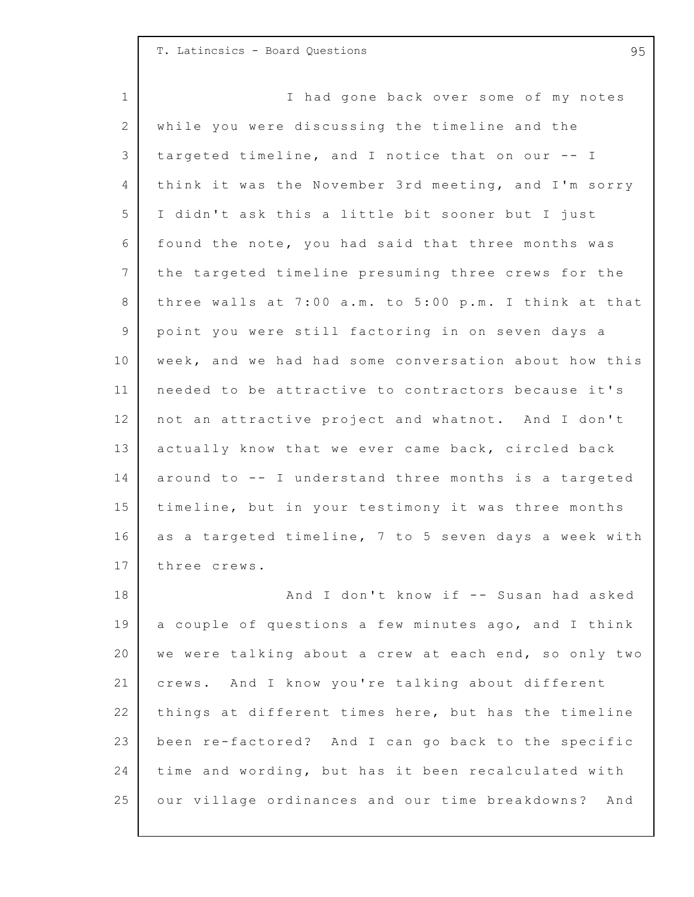## T. Latincsics - Board Questions 95

1 2 3 4 5 6 7 8 9 10 11 12 13 14 15 16 17 18 19 20 21 22 23 24 25 I had gone back over some of my notes while you were discussing the timeline and the targeted timeline, and I notice that on our -- I think it was the November 3rd meeting, and I'm sorry I didn't ask this a little bit sooner but I just found the note, you had said that three months was the targeted timeline presuming three crews for the three walls at  $7:00$  a.m. to  $5:00$  p.m. I think at that point you were still factoring in on seven days a week, and we had had some conversation about how this needed to be attractive to contractors because it's not an attractive project and whatnot. And I don't actually know that we ever came back, circled back around to  $-$ - I understand three months is a targeted timeline, but in your testimony it was three months as a targeted timeline, 7 to 5 seven days a week with three crews. And I don't know if -- Susan had asked a couple of questions a few minutes ago, and I think we were talking about a crew at each end, so only two crews. And I know you're talking about different things at different times here, but has the timeline been re-factored? And I can go back to the specific time and wording, but has it been recalculated with our village ordinances and our time breakdowns? And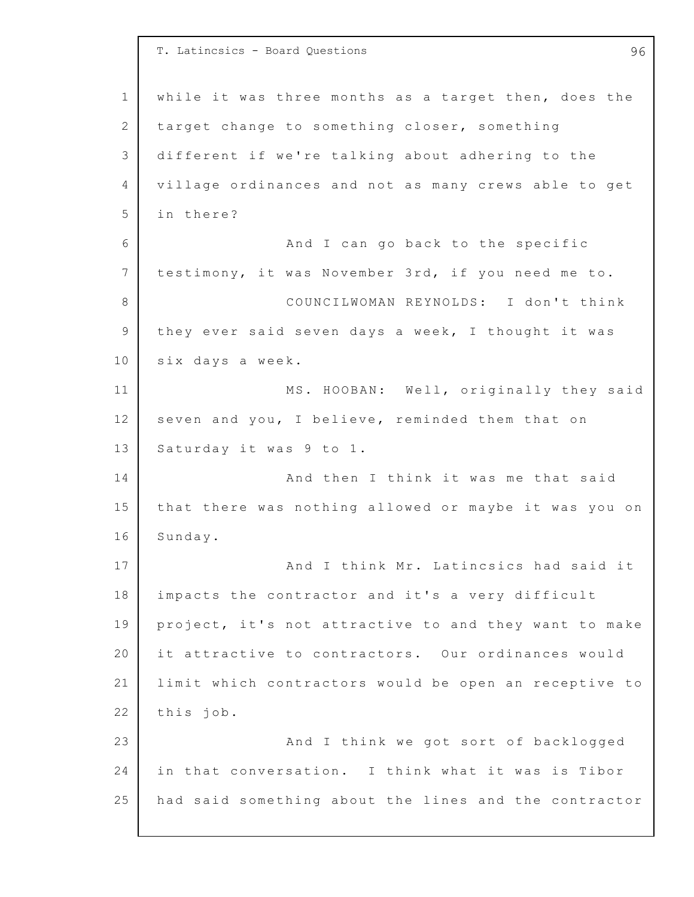1 2 3 4 5 6 7 8 9 10 11 12 13 14 15 16 17 18 19 20 21 22 23 24 25 T. Latincsics - Board Questions 96 while it was three months as a target then, does the target change to something closer, something different if we're talking about adhering to the village ordinances and not as many crews able to get in there? And I can go back to the specific testimony, it was November 3rd, if you need me to. COUNCILWOMAN REYNOLDS: I don't think they ever said seven days a week, I thought it was six days a week. MS. HOOBAN: Well, originally they said seven and you, I believe, reminded them that on Saturday it was 9 to 1. And then I think it was me that said that there was nothing allowed or maybe it was you on Sunday. And I think Mr. Latincsics had said it impacts the contractor and it's a very difficult project, it's not attractive to and they want to make it attractive to contractors. Our ordinances would limit which contractors would be open an receptive to this job. And I think we got sort of backlogged in that conversation. I think what it was is Tibor had said something about the lines and the contractor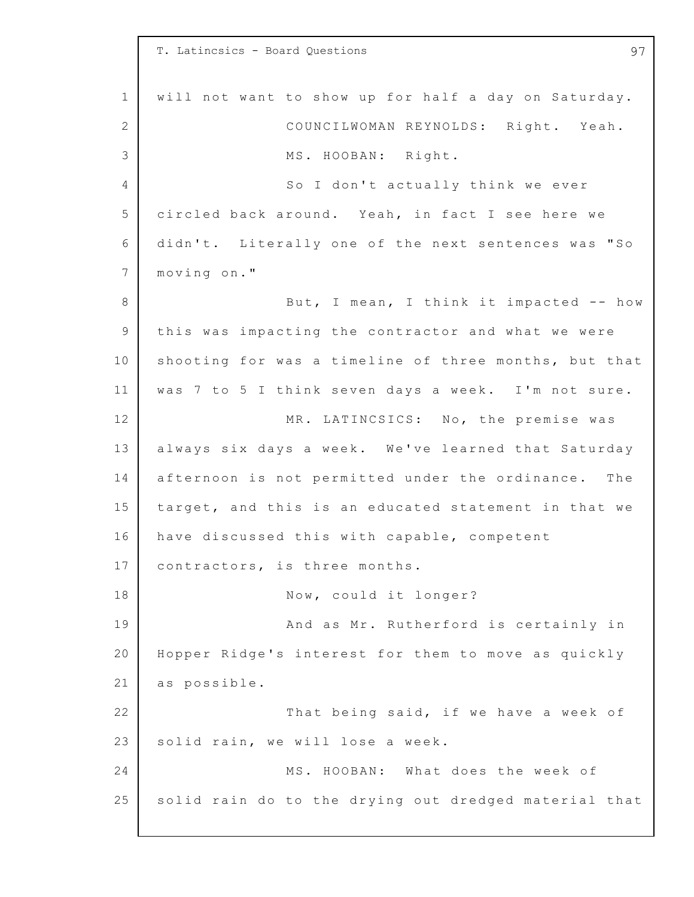1 2 3 4 5 6 7 8 9 10 11 12 13 14 15 16 17 18 19 20 21 22 23 24 25 T. Latincsics - Board Questions 97 will not want to show up for half a day on Saturday. COUNCILWOMAN REYNOLDS: Right. Yeah. MS. HOOBAN: Right. So I don't actually think we ever circled back around. Yeah, in fact I see here we didn't. Literally one of the next sentences was "So moving on." But, I mean, I think it impacted  $-$ - how this was impacting the contractor and what we were shooting for was a timeline of three months, but that was 7 to 5 I think seven days a week. I'm not sure. MR. LATINCSICS: No, the premise was always six days a week. We've learned that Saturday afternoon is not permitted under the ordinance. The target, and this is an educated statement in that we have discussed this with capable, competent contractors, is three months. Now, could it longer? And as Mr. Rutherford is certainly in Hopper Ridge's interest for them to move as quickly as possible. That being said, if we have a week of solid rain, we will lose a week. MS. HOOBAN: What does the week of solid rain do to the drying out dredged material that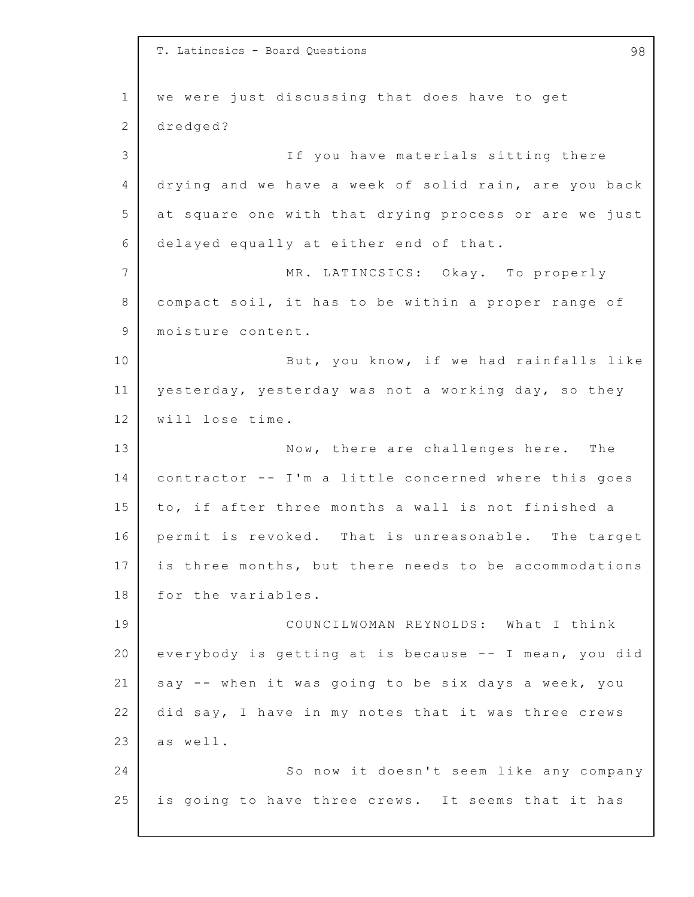1 2 3 4 5 6 7 8 9 10 11 12 13 14 15 16 17 18 19 20 21 22 23 24 25 T. Latincsics - Board Questions 98 we were just discussing that does have to get dredged? If you have materials sitting there drying and we have a week of solid rain, are you back at square one with that drying process or are we just delayed equally at either end of that. MR. LATINCSICS: Okay. To properly compact soil, it has to be within a proper range of moisture content. But, you know, if we had rainfalls like yesterday, yesterday was not a working day, so they will lose time. Now, there are challenges here. The contractor -- I'm a little concerned where this goes to, if after three months a wall is not finished a permit is revoked. That is unreasonable. The target is three months, but there needs to be accommodations for the variables. COUNCILWOMAN REYNOLDS: What I think everybody is getting at is because  $--$  I mean, you did say -- when it was going to be six days a week, you did say, I have in my notes that it was three crews as well. So now it doesn't seem like any company is going to have three crews. It seems that it has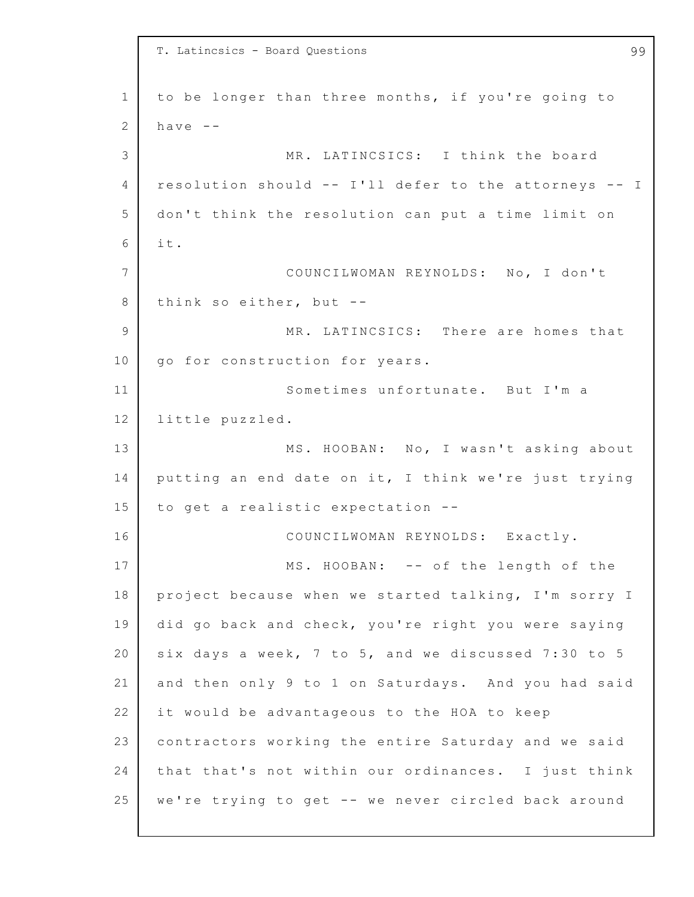1 2 3 4 5 6 7 8 9 10 11 12 13 14 15 16 17 18 19 20 21 22 23 24 25 T. Latincsics - Board Questions 99 to be longer than three months, if you're going to have  $--$ MR. LATINCSICS: I think the board resolution should  $--$  I'll defer to the attorneys  $--$  I don't think the resolution can put a time limit on i t. COUNCILWOMAN REYNOLDS: No, I don't think so either, but  $-$ -MR. LATINCSICS: There are homes that go for construction for years. Sometimes unfortunate. But I'm a little puzzled. MS. HOOBAN: No, I wasn't asking about putting an end date on it, I think we're just trying to get a realistic expectation --COUNCILWOMAN REYNOLDS: Exactly. MS. HOOBAN: -- of the length of the project because when we started talking, I'm sorry I did go back and check, you're right you were saying six days a week,  $7$  to  $5$ , and we discussed  $7:30$  to  $5$ and then only 9 to 1 on Saturdays. And you had said it would be advantageous to the HOA to keep contractors working the entire Saturday and we said that that's not within our ordinances. I just think we're trying to get -- we never circled back around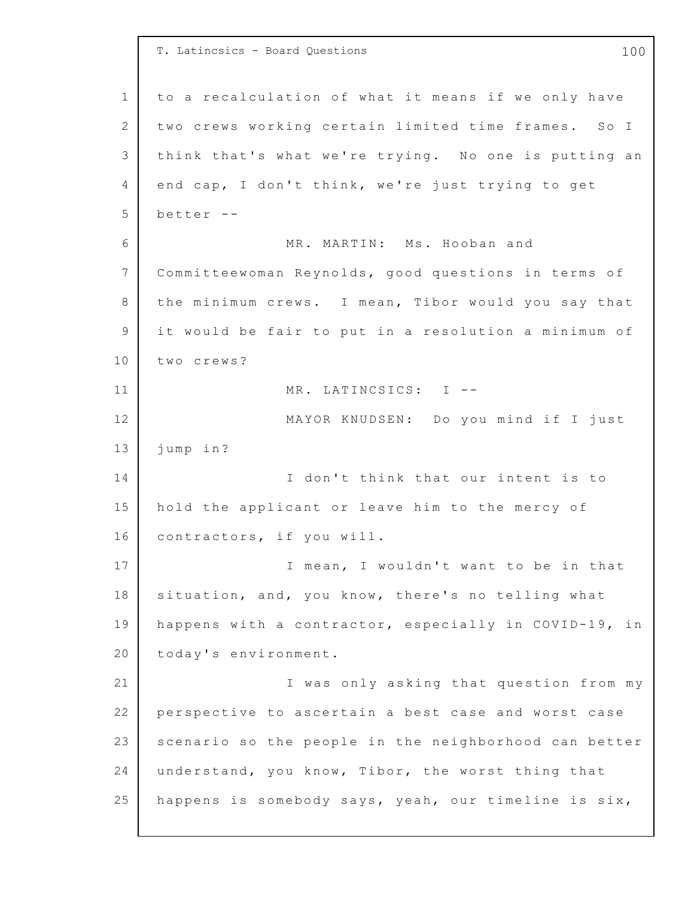1 2 3 4 5 6 7 8 9 10 11 12 13 14 15 16 17 18 19 20 21 22 23 24 25 T. Latincsics - Board Questions 100 to a recalculation of what it means if we only have two crews working certain limited time frames. So I think that's what we're trying. No one is putting an end cap, I don't think, we're just trying to get better -- MR. MARTIN: Ms. Hooban and Committeewoman Reynolds, good questions in terms of the minimum crews. I mean, Tibor would you say that it would be fair to put in a resolution a minimum of two crews? MR. LATINCSICS: I --MAYOR KNUDSEN: Do you mind if I just jump in? I don't think that our intent is to hold the applicant or leave him to the mercy of contractors, if you will. I mean, I wouldn't want to be in that situation, and, you know, there's no telling what happens with a contractor, especially in COVID-19, in today's environment. I was only asking that question from my perspective to ascertain a best case and worst case scenario so the people in the neighborhood can better understand, you know, Tibor, the worst thing that happens is somebody says, yeah, our timeline is six,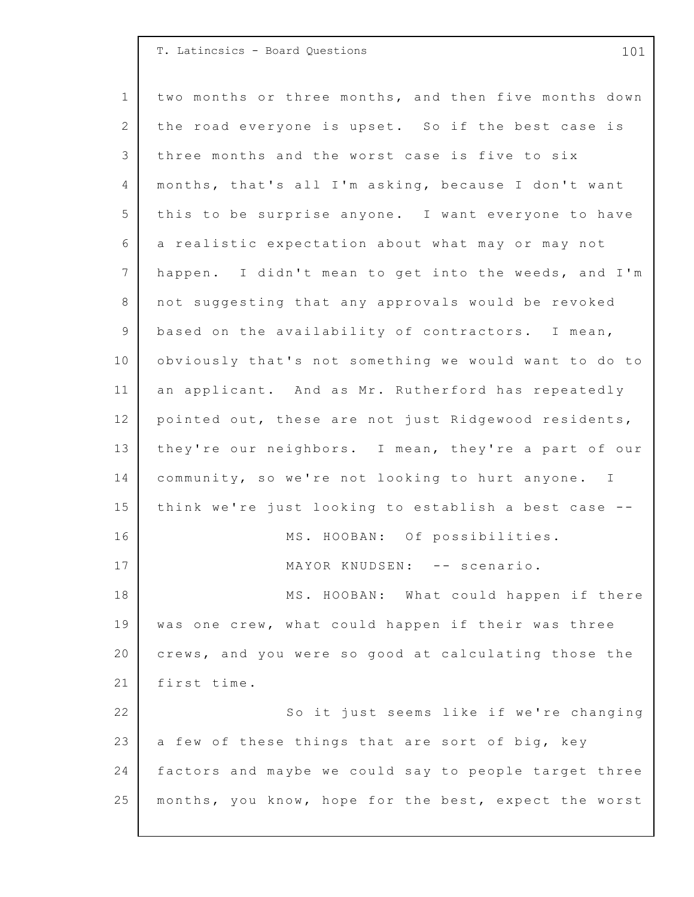|                 | T. Latincsics - Board Questions<br>101                |
|-----------------|-------------------------------------------------------|
| $\mathbf{1}$    | two months or three months, and then five months down |
| 2               | the road everyone is upset. So if the best case is    |
| 3               | three months and the worst case is five to six        |
| 4               | months, that's all I'm asking, because I don't want   |
| 5               | this to be surprise anyone. I want everyone to have   |
| 6               | a realistic expectation about what may or may not     |
| $7\phantom{.0}$ | happen. I didn't mean to get into the weeds, and I'm  |
| 8               | not suggesting that any approvals would be revoked    |
| $\overline{9}$  | based on the availability of contractors. I mean,     |
| 10              | obviously that's not something we would want to do to |
| 11              | an applicant. And as Mr. Rutherford has repeatedly    |
| 12              | pointed out, these are not just Ridgewood residents,  |
| 13              | they're our neighbors. I mean, they're a part of our  |
| 14              | community, so we're not looking to hurt anyone. I     |
| 15              | think we're just looking to establish a best case --  |
| 16              | MS. HOOBAN: Of possibilities.                         |
| 17              | MAYOR KNUDSEN: -- scenario.                           |
| 18              | MS. HOOBAN: What could happen if there                |
| 19              | was one crew, what could happen if their was three    |
| 20              | crews, and you were so good at calculating those the  |
| 21              | first time.                                           |
| 22              | So it just seems like if we're changing               |
| 23              | a few of these things that are sort of big, key       |
| 24              | factors and maybe we could say to people target three |
| 25              | months, you know, hope for the best, expect the worst |
|                 |                                                       |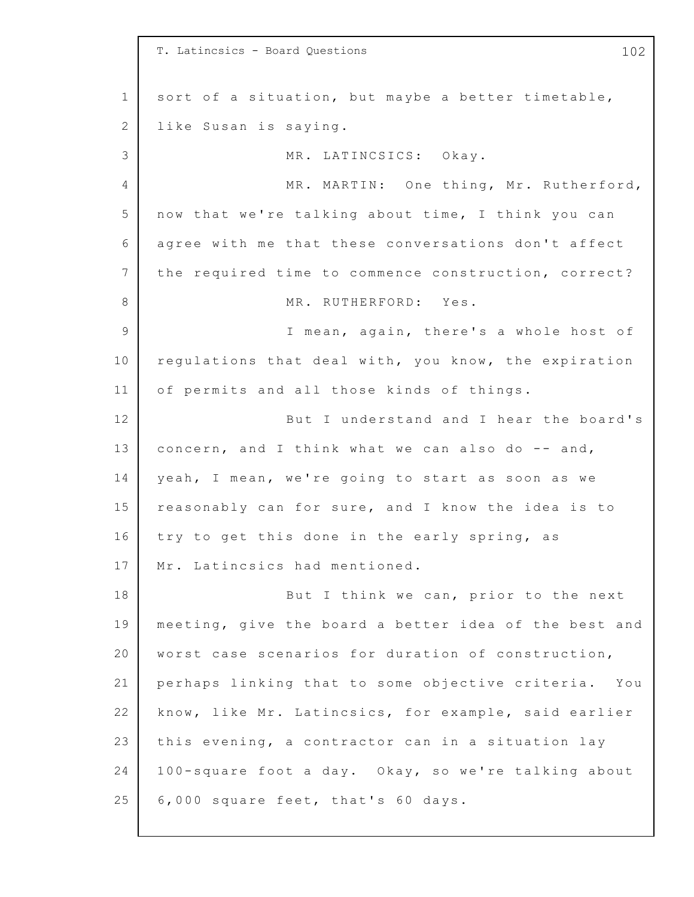|              | T. Latincsics - Board Questions<br>102                |
|--------------|-------------------------------------------------------|
| $\mathbf 1$  | sort of a situation, but maybe a better timetable,    |
| $\mathbf{2}$ | like Susan is saying.                                 |
| 3            | MR. LATINCSICS: Okay.                                 |
| 4            | MR. MARTIN: One thing, Mr. Rutherford,                |
| 5            | now that we're talking about time, I think you can    |
| 6            | agree with me that these conversations don't affect   |
| 7            | the required time to commence construction, correct?  |
| 8            | MR. RUTHERFORD: Yes.                                  |
| 9            | I mean, again, there's a whole host of                |
| 10           | regulations that deal with, you know, the expiration  |
| 11           | of permits and all those kinds of things.             |
| 12           | But I understand and I hear the board's               |
| 13           | concern, and I think what we can also do -- and,      |
| 14           | yeah, I mean, we're going to start as soon as we      |
| 15           | reasonably can for sure, and I know the idea is to    |
| 16           | try to get this done in the early spring, as          |
| 17           | Mr. Latincsics had mentioned.                         |
| 18           | But I think we can, prior to the next                 |
| 19           | meeting, give the board a better idea of the best and |
| 20           | worst case scenarios for duration of construction,    |
| 21           | perhaps linking that to some objective criteria. You  |
| 22           | know, like Mr. Latincsics, for example, said earlier  |
| 23           | this evening, a contractor can in a situation lay     |
| 24           | 100-square foot a day. Okay, so we're talking about   |
| 25           | 6,000 square feet, that's 60 days.                    |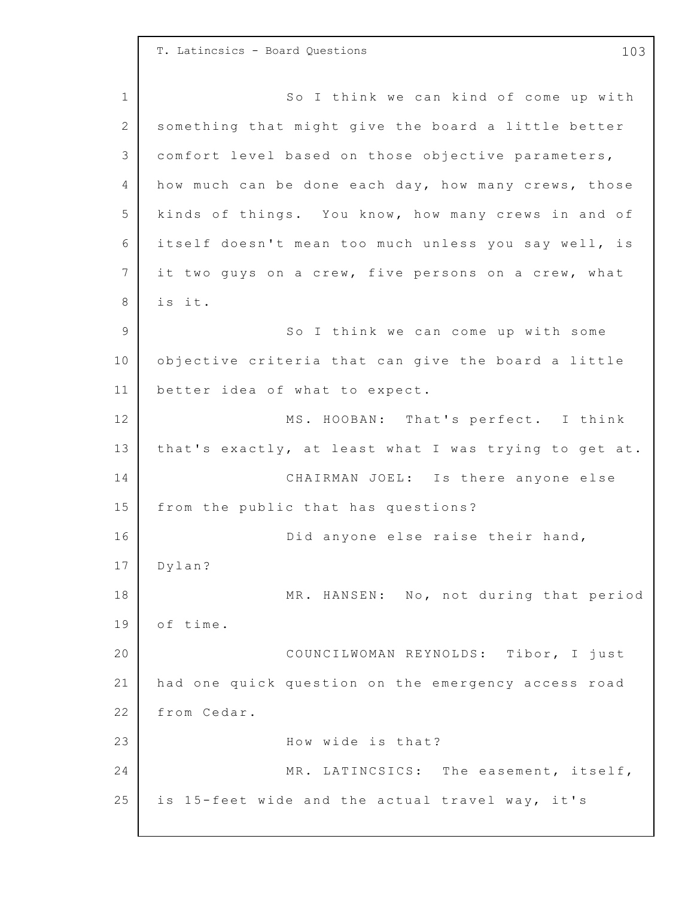T. Latincsics - Board Questions 103

1 2 3 4 5 6 7 8 9 10 11 12 13 14 15 16 17 18 19 20 21 22 23 24 25 So I think we can kind of come up with something that might give the board a little better comfort level based on those objective parameters, how much can be done each day, how many crews, those kinds of things. You know, how many crews in and of itself doesn't mean too much unless you say well, is it two guys on a crew, five persons on a crew, what is it. So I think we can come up with some objective criteria that can give the board a little better idea of what to expect. MS. HOOBAN: That's perfect. I think that's exactly, at least what I was trying to get at. CHAIRMAN JOEL: Is there anyone else from the public that has questions? Did anyone else raise their hand, Dylan? MR. HANSEN: No, not during that period of time. COUNCILWOMAN REYNOLDS: Tibor, I just had one quick question on the emergency access road from Cedar. How wide is that? MR. LATINCSICS: The easement, itself, is 15-feet wide and the actual travel way, it's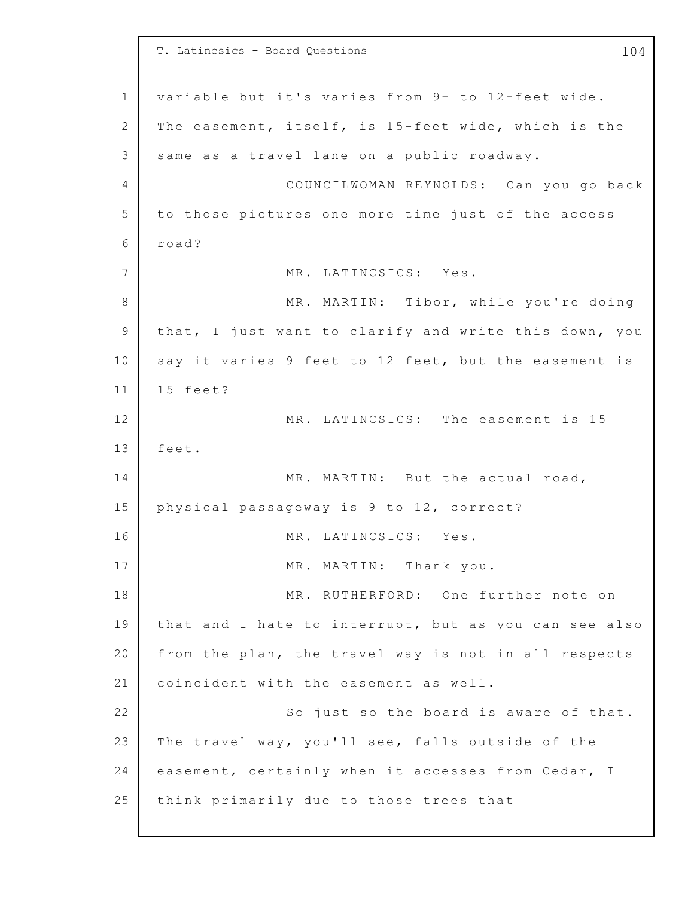1 2 3 4 5 6 7 8 9 10 11 12 13 14 15 16 17 18 19 20 21 22 23 24 25 T. Latincsics - Board Questions 104 variable but it's varies from 9- to 12-feet wide. The easement, itself, is 15-feet wide, which is the same as a travel lane on a public roadway. COUNCILWOMAN REYNOLDS: Can you go back to those pictures one more time just of the access road? MR. LATINCSICS: Yes. MR. MARTIN: Tibor, while you're doing that, I just want to clarify and write this down, you say it varies 9 feet to 12 feet, but the easement is 15 feet? MR. LATINCSICS: The easement is 15 feet. MR. MARTIN: But the actual road, physical passageway is 9 to 12, correct? MR. LATINCSICS: Yes. MR. MARTIN: Thank you. MR. RUTHERFORD: One further note on that and I hate to interrupt, but as you can see also from the plan, the travel way is not in all respects coincident with the easement as well. So just so the board is aware of that. The travel way, you'll see, falls outside of the easement, certainly when it accesses from Cedar, I think primarily due to those trees that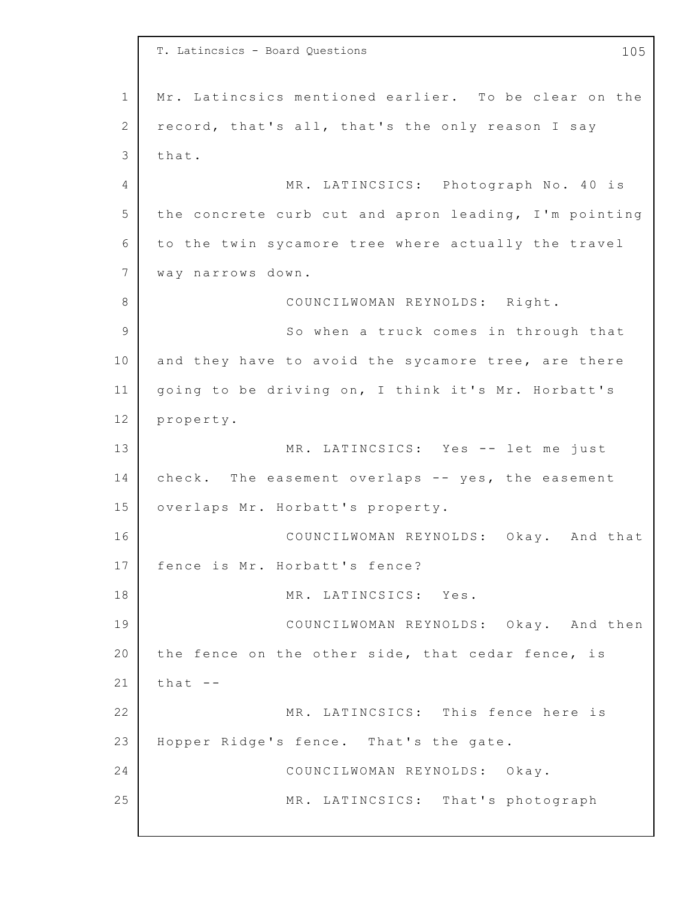1 2 3 4 5 6 7 8 9 10 11 12 13 14 15 16 17 18 19 20 21 22 23 24 25 T. Latincsics - Board Questions 105 Mr. Latincsics mentioned earlier. To be clear on the record, that's all, that's the only reason I say that. MR. LATINCSICS: Photograph No. 40 is the concrete curb cut and apron leading, I'm pointing to the twin sycamore tree where actually the travel way narrows down. COUNCILWOMAN REYNOLDS: Right. So when a truck comes in through that and they have to avoid the sycamore tree, are there going to be driving on, I think it's Mr. Horbatt's property. MR. LATINCSICS: Yes -- let me just check. The easement overlaps -- yes, the easement overlaps Mr. Horbatt's property. COUNCILWOMAN REYNOLDS: Okay. And that fence is Mr. Horbatt's fence? MR. LATINCSICS: Yes. COUNCILWOMAN REYNOLDS: Okay. And then the fence on the other side, that cedar fence, is that -- MR. LATINCSICS: This fence here is Hopper Ridge's fence. That's the gate. COUNCILWOMAN REYNOLDS: Okay. MR. LATINCSICS: That's photograph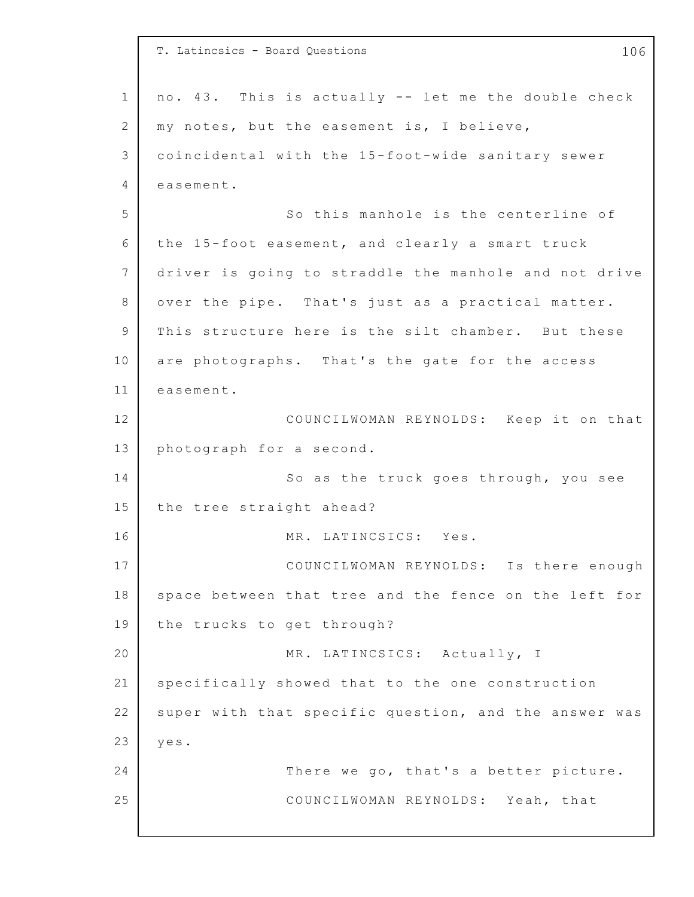|                | T. Latincsics - Board Questions<br>106                |
|----------------|-------------------------------------------------------|
| $\mathbf 1$    | no. 43. This is actually -- let me the double check   |
|                |                                                       |
| 2              | my notes, but the easement is, I believe,             |
| 3              | coincidental with the 15-foot-wide sanitary sewer     |
| 4              | easement.                                             |
| 5              | So this manhole is the centerline of                  |
| 6              | the 15-foot easement, and clearly a smart truck       |
| $\overline{7}$ | driver is going to straddle the manhole and not drive |
| 8              | over the pipe. That's just as a practical matter.     |
| 9              | This structure here is the silt chamber. But these    |
| 10             | are photographs. That's the gate for the access       |
| 11             | easement.                                             |
| 12             | COUNCILWOMAN REYNOLDS: Keep it on that                |
| 13             | photograph for a second.                              |
| 14             | So as the truck goes through, you see                 |
| 15             | the tree straight ahead?                              |
| 16             | MR. LATINCSICS: Yes.                                  |
| 17             | COUNCILWOMAN REYNOLDS: Is there enough                |
| 18             | space between that tree and the fence on the left for |
| 19             | the trucks to get through?                            |
| 20             | MR. LATINCSICS: Actually, I                           |
| 21             | specifically showed that to the one construction      |
| 22             | super with that specific question, and the answer was |
| 23             | yes.                                                  |
| 24             | There we go, that's a better picture.                 |
| 25             | COUNCILWOMAN REYNOLDS: Yeah, that                     |
|                |                                                       |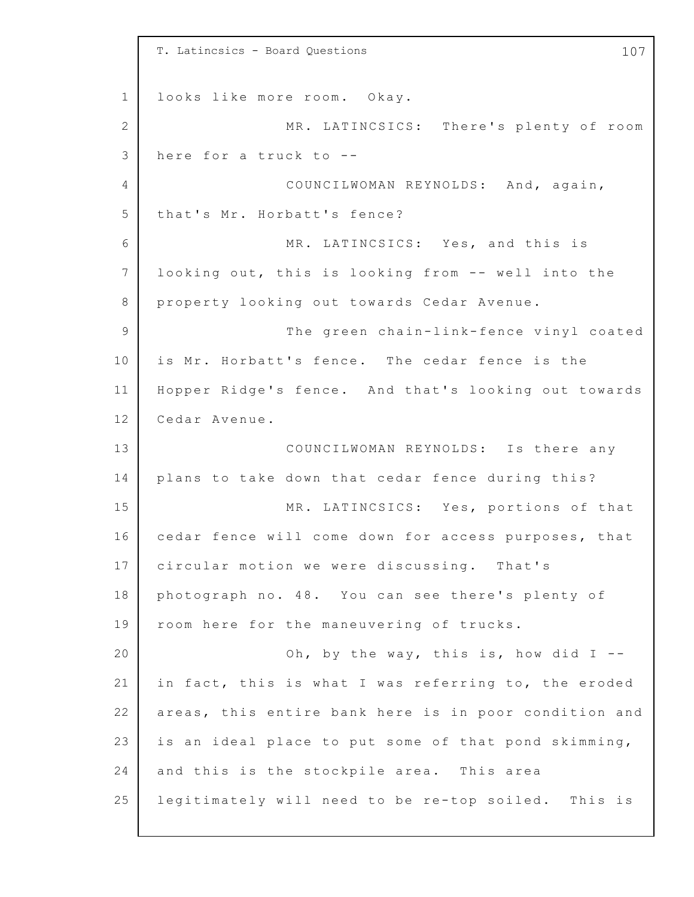1 2 3 4 5 6 7 8 9 10 11 12 13 14 15 16 17 18 19 20 21 22 23 24 25 T. Latincsics - Board Questions 107 looks like more room. Okay. MR. LATINCSICS: There's plenty of room here for a truck to --COUNCILWOMAN REYNOLDS: And, again, that's Mr. Horbatt's fence? MR. LATINCSICS: Yes, and this is looking out, this is looking from -- well into the property looking out towards Cedar Avenue. The green chain-link-fence vinyl coated is Mr. Horbatt's fence. The cedar fence is the Hopper Ridge's fence. And that's looking out towards Cedar Avenue. COUNCILWOMAN REYNOLDS: Is there any plans to take down that cedar fence during this? MR. LATINCSICS: Yes, portions of that cedar fence will come down for access purposes, that circular motion we were discussing. That's photograph no. 48. You can see there's plenty of room here for the maneuvering of trucks. Oh, by the way, this is, how did  $I$  -in fact, this is what I was referring to, the eroded areas, this entire bank here is in poor condition and is an ideal place to put some of that pond skimming, and this is the stockpile area. This area legitimately will need to be re-top soiled. This is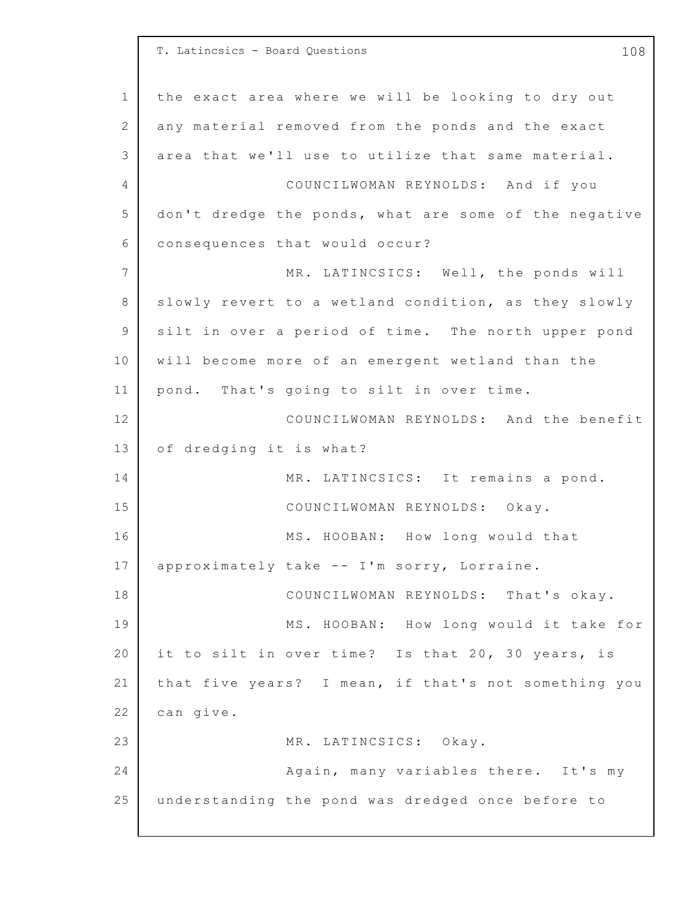1 2 3 4 5 6 7 8 9 10 11 12 13 14 15 16 17 18 19 20 21 22 23 24 25 T. Latincsics - Board Questions 108 the exact area where we will be looking to dry out any material removed from the ponds and the exact area that we'll use to utilize that same material. COUNCILWOMAN REYNOLDS: And if you don't dredge the ponds, what are some of the negative consequences that would occur? MR. LATINCSICS: Well, the ponds will slowly revert to a wetland condition, as they slowly silt in over a period of time. The north upper pond will become more of an emergent wetland than the pond. That's going to silt in over time. COUNCILWOMAN REYNOLDS: And the benefit of dredging it is what? MR. LATINCSICS: It remains a pond. COUNCILWOMAN REYNOLDS: Okay. MS. HOOBAN: How long would that approximately take -- I'm sorry, Lorraine. COUNCILWOMAN REYNOLDS: That's okay. MS. HOOBAN: How long would it take for it to silt in over time? Is that 20, 30 years, is that five years? I mean, if that's not something you can give. MR. LATINCSICS: Okay. Again, many variables there. It's my understanding the pond was dredged once before to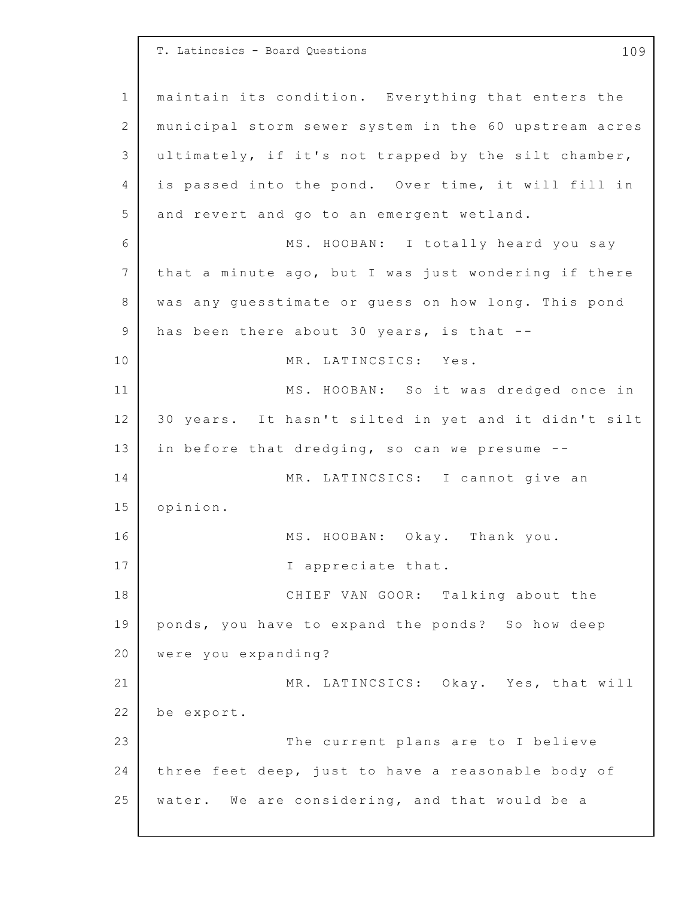1 2 3 4 5 6 7 8 9 10 11 12 13 14 15 16 17 18 19 20 21 22 23 24 25 T. Latincsics - Board Questions 109 maintain its condition. Everything that enters the municipal storm sewer system in the 60 upstream acres ultimately, if it's not trapped by the silt chamber, is passed into the pond. Over time, it will fill in and revert and go to an emergent wetland. MS. HOOBAN: I totally heard you say that a minute ago, but I was just wondering if there was any quesstimate or quess on how long. This pond has been there about 30 years, is that  $--$ MR. LATINCSICS: Yes. MS. HOOBAN: So it was dredged once in 30 years. It hasn't silted in yet and it didn't silt in before that dredging, so can we presume  $-$ -MR. LATINCSICS: I cannot give an opinion. MS. HOOBAN: Okay. Thank you. I appreciate that. CHIEF VAN GOOR: Talking about the ponds, you have to expand the ponds? So how deep were you expanding? MR. LATINCSICS: Okay. Yes, that will be export. The current plans are to I believe three feet deep, just to have a reasonable body of water. We are considering, and that would be a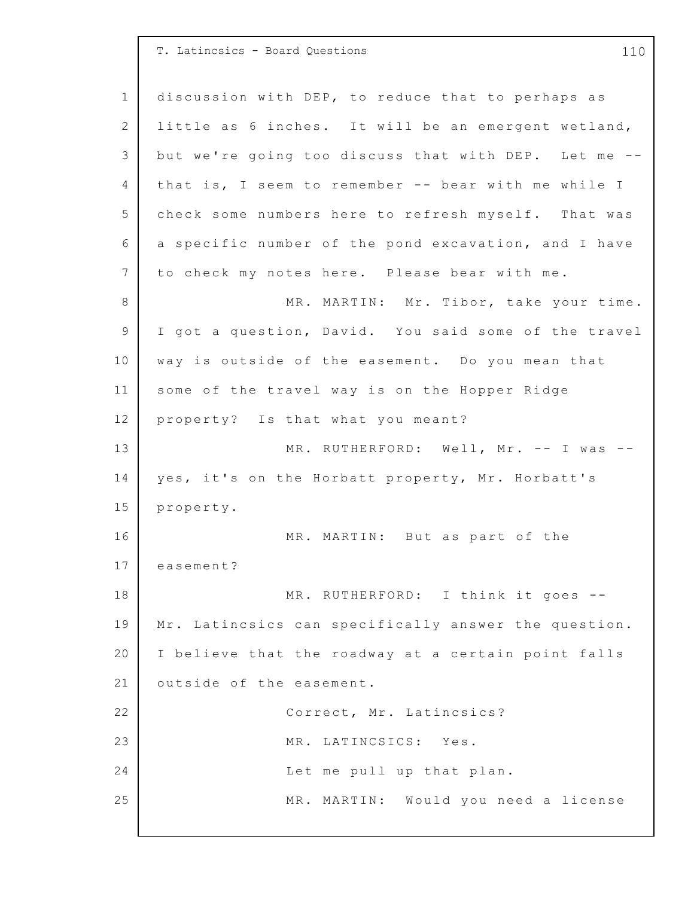1 2 3 4 5 6 7 8 9 10 11 12 13 14 15 16 17 18 19 20 21 22 23 24 25 T. Latincsics - Board Questions 110 discussion with DEP, to reduce that to perhaps as little as  $6$  inches. It will be an emergent wetland, but we're going too discuss that with DEP. Let me -that is, I seem to remember -- bear with me while I check some numbers here to refresh myself. That was a specific number of the pond excavation, and I have to check my notes here. Please bear with me. MR. MARTIN: Mr. Tibor, take your time. I got a question, David. You said some of the travel way is outside of the easement. Do you mean that some of the travel way is on the Hopper Ridge property? Is that what you meant? MR. RUTHERFORD: Well, Mr. -- I was -yes, it's on the Horbatt property, Mr. Horbatt's property. MR. MARTIN: But as part of the easement? MR. RUTHERFORD: I think it goes --Mr. Latincsics can specifically answer the question. I believe that the roadway at a certain point falls outside of the easement. Correct, Mr. Latincsics? MR. LATINCSICS: Yes. Let me pull up that plan. MR. MARTIN: Would you need a license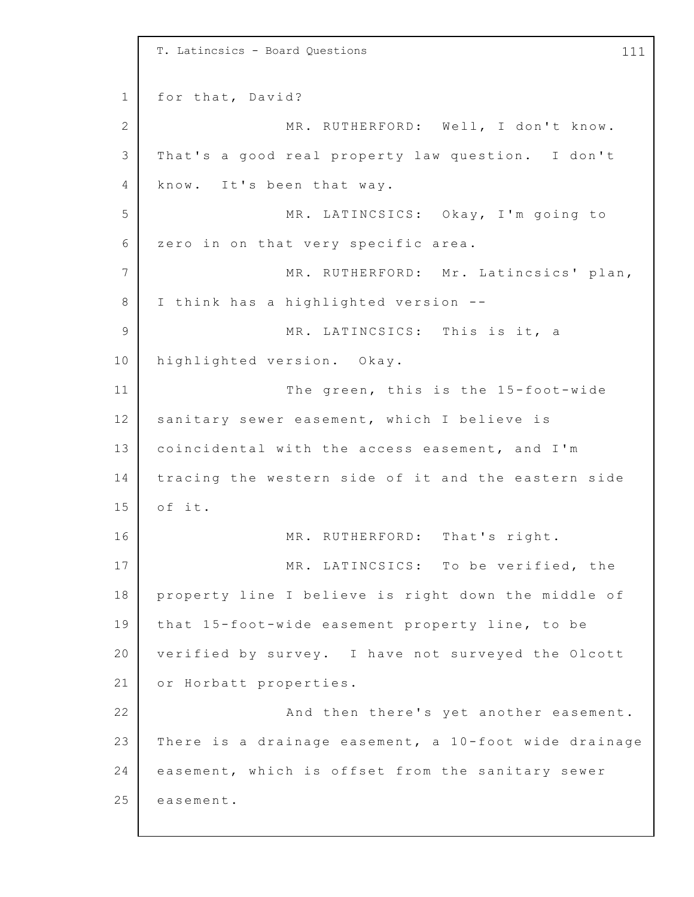1 2 3 4 5 6 7 8 9 10 11 12 13 14 15 16 17 18 19 20 21 22 23 24 25 T. Latincsics - Board Questions 111 for that, David? MR. RUTHERFORD: Well, I don't know. That's a good real property law question. I don't know. It's been that way. MR. LATINCSICS: Okay, I'm going to zero in on that very specific area. MR. RUTHERFORD: Mr. Latincsics' plan, I think has a highlighted version -- MR. LATINCSICS: This is it, a highlighted version. Okay. The green, this is the  $15$ -foot-wide sanitary sewer easement, which I believe is coincidental with the access easement, and I'm tracing the western side of it and the eastern side of it. MR. RUTHERFORD: That's right. MR. LATINCSICS: To be verified, the property line I believe is right down the middle of that 15-foot-wide easement property line, to be verified by survey. I have not surveyed the Olcott or Horbatt properties. And then there's yet another easement. There is a drainage easement, a  $10$ -foot wide drainage easement, which is offset from the sanitary sewer easement.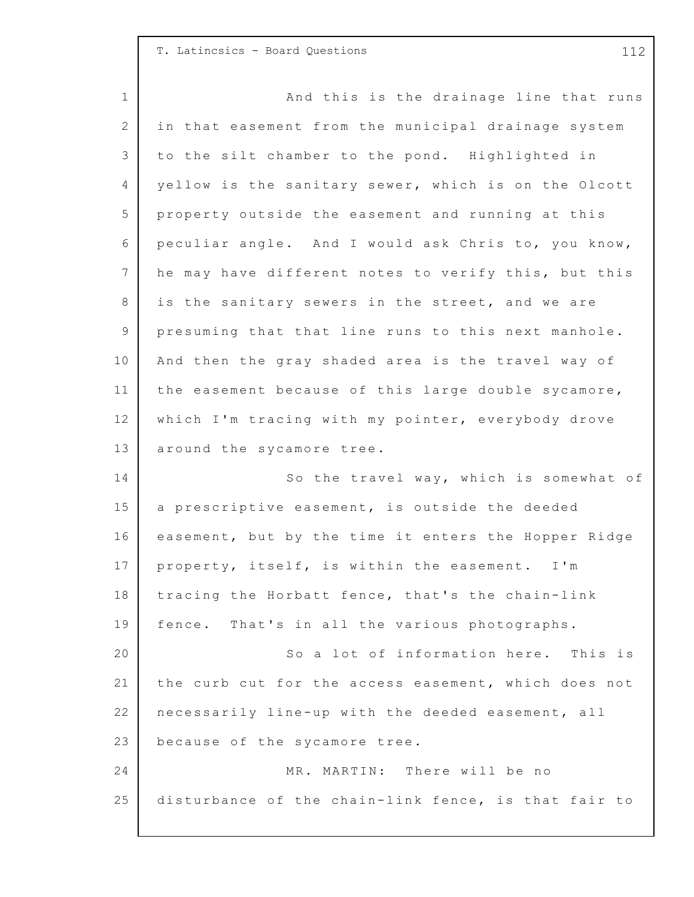## T. Latincsics - Board Questions 112

1 2 3 4 5 6 7 8 9 10 11 12 13 14 15 16 17 18 19 20 21 22 23 24 25 And this is the drainage line that runs in that easement from the municipal drainage system to the silt chamber to the pond. Highlighted in yellow is the sanitary sewer, which is on the Olcott property outside the easement and running at this peculiar angle. And I would ask Chris to, you know, he may have different notes to verify this, but this is the sanitary sewers in the street, and we are presuming that that line runs to this next manhole. And then the gray shaded area is the travel way of the easement because of this large double sycamore, which I'm tracing with my pointer, everybody drove around the sycamore tree. So the travel way, which is somewhat of a prescriptive easement, is outside the deeded easement, but by the time it enters the Hopper Ridge property, itself, is within the easement. I'm tracing the Horbatt fence, that's the chain-link fence. That's in all the various photographs. So a lot of information here. This is the curb cut for the access easement, which does not necessarily line-up with the deeded easement, all because of the sycamore tree. MR. MARTIN: There will be no disturbance of the chain-link fence, is that fair to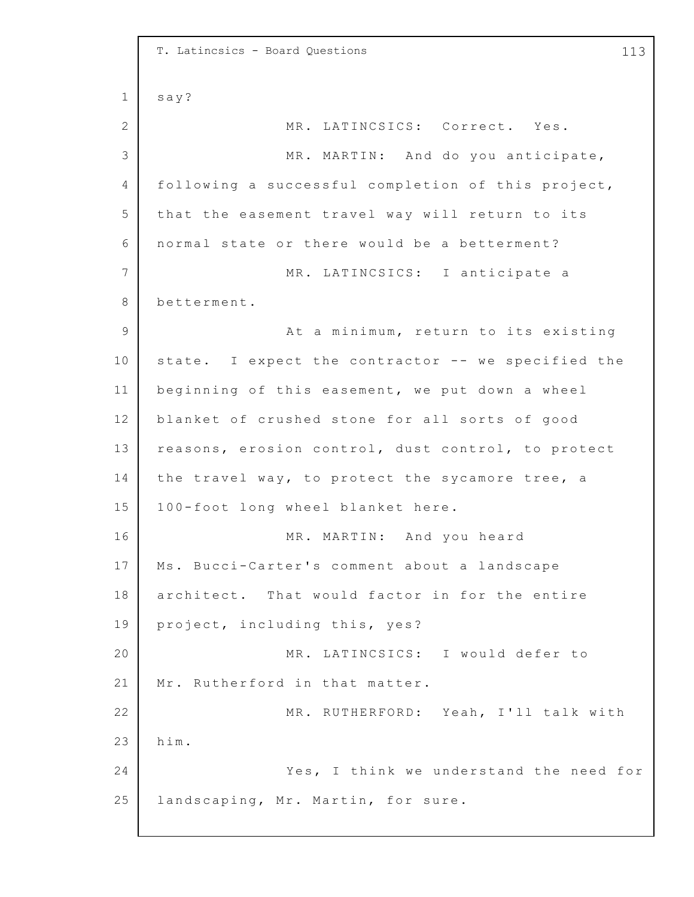1 2 3 4 5 6 7 8 9 10 11 12 13 14 15 16 17 18 19 20 21 22 23 24 25 T. Latincsics - Board Questions 113 say? MR. LATINCSICS: Correct. Yes. MR. MARTIN: And do you anticipate, following a successful completion of this project, that the easement travel way will return to its normal state or there would be a betterment? MR. LATINCSICS: I anticipate a betterment. At a minimum, return to its existing state. I expect the contractor -- we specified the beginning of this easement, we put down a wheel blanket of crushed stone for all sorts of good reasons, erosion control, dust control, to protect the travel way, to protect the sycamore tree, a 100-foot long wheel blanket here. MR. MARTIN: And you heard Ms. Bucci-Carter's comment about a landscape architect. That would factor in for the entire project, including this, yes? MR. LATINCSICS: I would defer to Mr. Rutherford in that matter. MR. RUTHERFORD: Yeah, I'll talk with him. Yes, I think we understand the need for landscaping, Mr. Martin, for sure.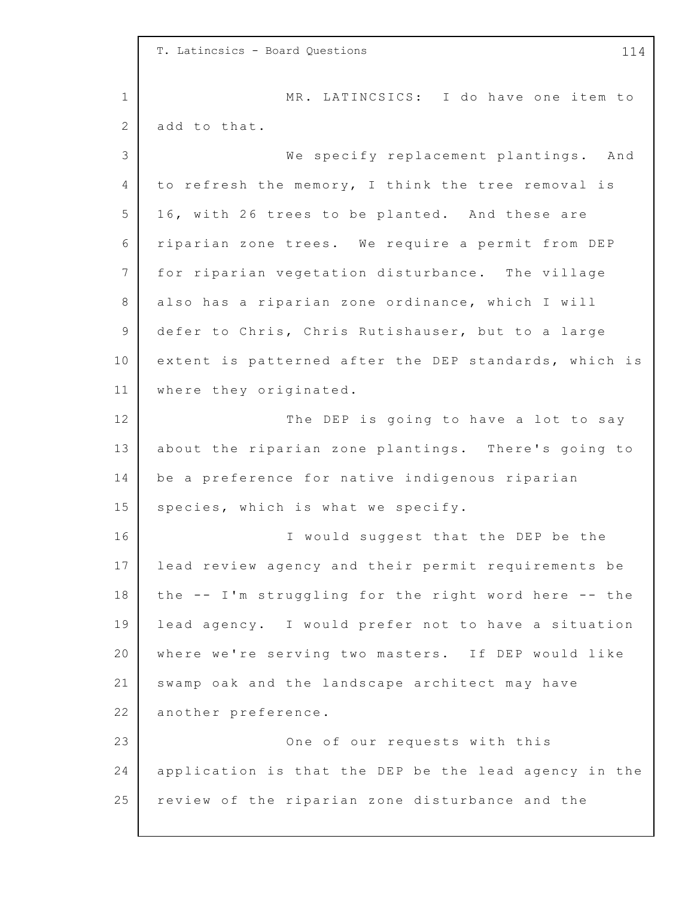1 2 3 4 5 6 7 8 9 10 11 12 13 14 15 16 17 18 19 20 21 22 23 24 25 T. Latincsics - Board Questions 114 MR. LATINCSICS: I do have one item to add to that. We specify replacement plantings. And to refresh the memory, I think the tree removal is 16, with 26 trees to be planted. And these are riparian zone trees. We require a permit from DEP for riparian vegetation disturbance. The village also has a riparian zone ordinance, which I will defer to Chris, Chris Rutishauser, but to a large extent is patterned after the DEP standards, which is where they originated. The DEP is going to have a lot to say about the riparian zone plantings. There's going to be a preference for native indigenous riparian species, which is what we specify. I would suggest that the DEP be the lead review agency and their permit requirements be the -- I'm struggling for the right word here -- the lead agency. I would prefer not to have a situation where we're serving two masters. If DEP would like swamp oak and the landscape architect may have another preference. One of our requests with this application is that the DEP be the lead agency in the review of the riparian zone disturbance and the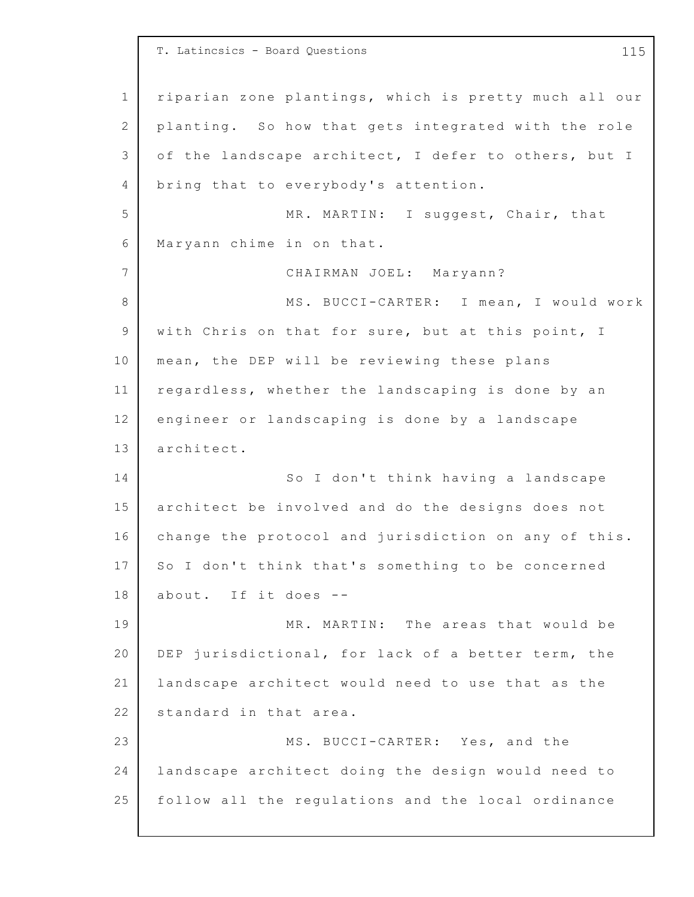1 2 3 4 5 6 7 8 9 10 11 12 13 14 15 16 17 18 19 20 21 22 23 24 25 T. Latincsics - Board Questions 115 riparian zone plantings, which is pretty much all our planting. So how that gets integrated with the role of the landscape architect, I defer to others, but I bring that to everybody's attention. MR. MARTIN: I suggest, Chair, that Maryann chime in on that. CHAIRMAN JOEL: Maryann? MS. BUCCI-CARTER: I mean, I would work with Chris on that for sure, but at this point, I mean, the DEP will be reviewing these plans regardless, whether the landscaping is done by an engineer or landscaping is done by a landscape architect. So I don't think having a landscape architect be involved and do the designs does not change the protocol and jurisdiction on any of this. So I don't think that's something to be concerned about. If it does  $-$ -MR. MARTIN: The areas that would be DEP jurisdictional, for lack of a better term, the landscape architect would need to use that as the standard in that area. MS. BUCCI-CARTER: Yes, and the landscape architect doing the design would need to follow all the regulations and the local ordinance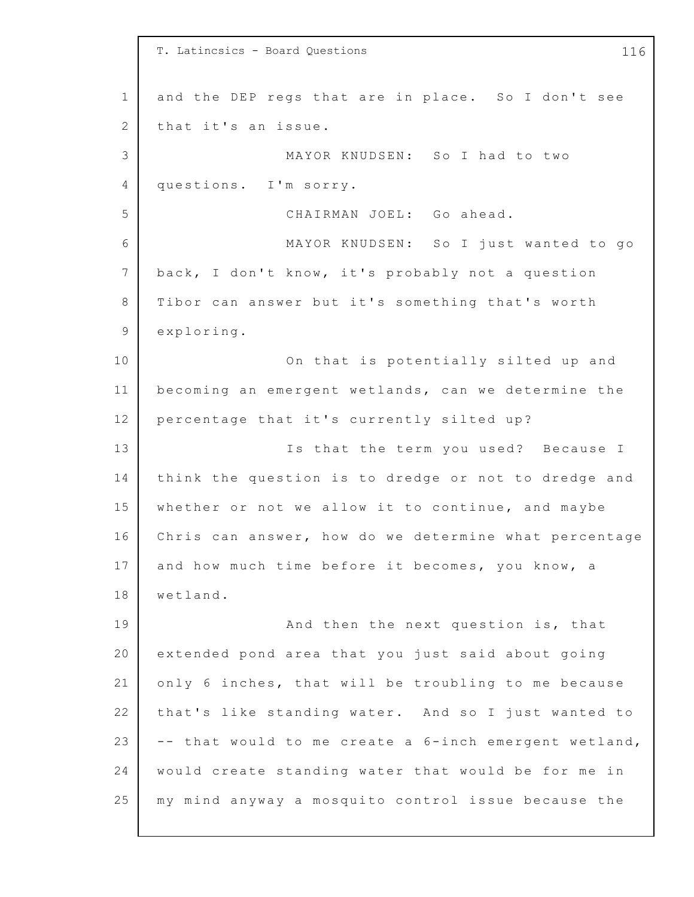1 2 3 4 5 6 7 8 9 10 11 12 13 14 15 16 17 18 19 20 21 22 23 24 25 T. Latincsics - Board Questions 116 and the DEP regs that are in place. So I don't see that it's an issue. MAYOR KNUDSEN: So I had to two questions. I'm sorry. CHAIRMAN JOEL: Go ahead. MAYOR KNUDSEN: So I just wanted to go back, I don't know, it's probably not a question Tibor can answer but it's something that's worth exploring. On that is potentially silted up and becoming an emergent wetlands, can we determine the percentage that it's currently silted up? Is that the term you used? Because I think the question is to dredge or not to dredge and whether or not we allow it to continue, and maybe Chris can answer, how do we determine what percentage and how much time before it becomes, you know, a wetland. And then the next question is, that extended pond area that you just said about going only 6 inches, that will be troubling to me because that's like standing water. And so I just wanted to  $--$  that would to me create a  $6$ -inch emergent wetland, would create standing water that would be for me in my mind anyway a mosquito control issue because the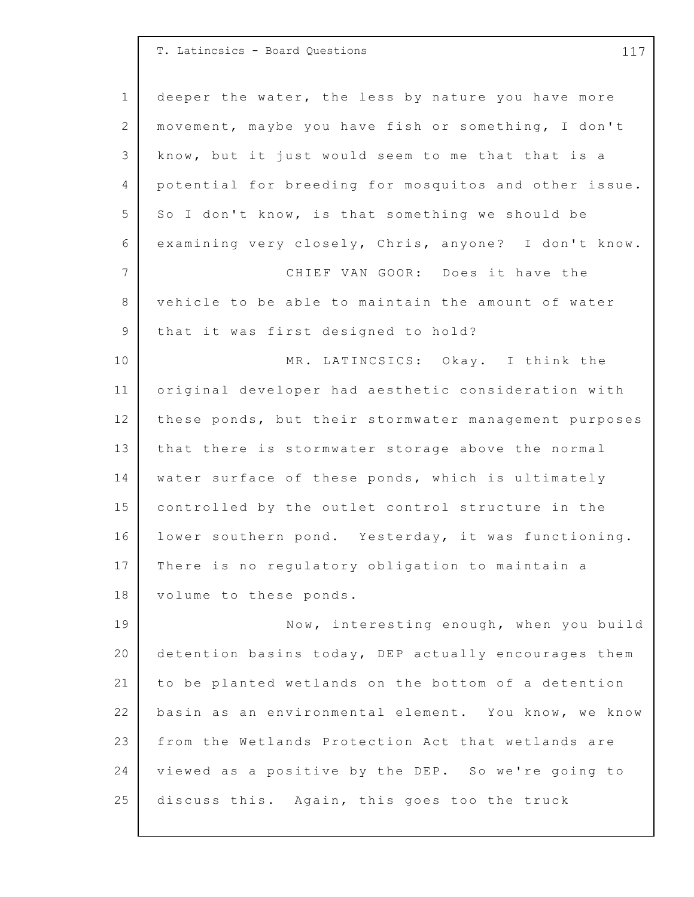| T. Latincsics - Board Questions |  |  |  |  |
|---------------------------------|--|--|--|--|
|---------------------------------|--|--|--|--|

25

1 2 3 4 5 6 7 8 9 10 11 12 13 14 15 16 17 18 19 20 21 22 23 24 deeper the water, the less by nature you have more movement, maybe you have fish or something, I don't know, but it just would seem to me that that is a potential for breeding for mosquitos and other issue. So I don't know, is that something we should be examining very closely, Chris, anyone? I don't know. CHIEF VAN GOOR: Does it have the vehicle to be able to maintain the amount of water that it was first designed to hold? MR. LATINCSICS: Okay. I think the original developer had aesthetic consideration with these ponds, but their stormwater management purposes that there is stormwater storage above the normal water surface of these ponds, which is ultimately controlled by the outlet control structure in the lower southern pond. Yesterday, it was functioning. There is no regulatory obligation to maintain a volume to these ponds. Now, interesting enough, when you build detention basins today, DEP actually encourages them to be planted wetlands on the bottom of a detention basin as an environmental element. You know, we know from the Wetlands Protection Act that wetlands are viewed as a positive by the DEP. So we're going to

discuss this. Again, this goes too the truck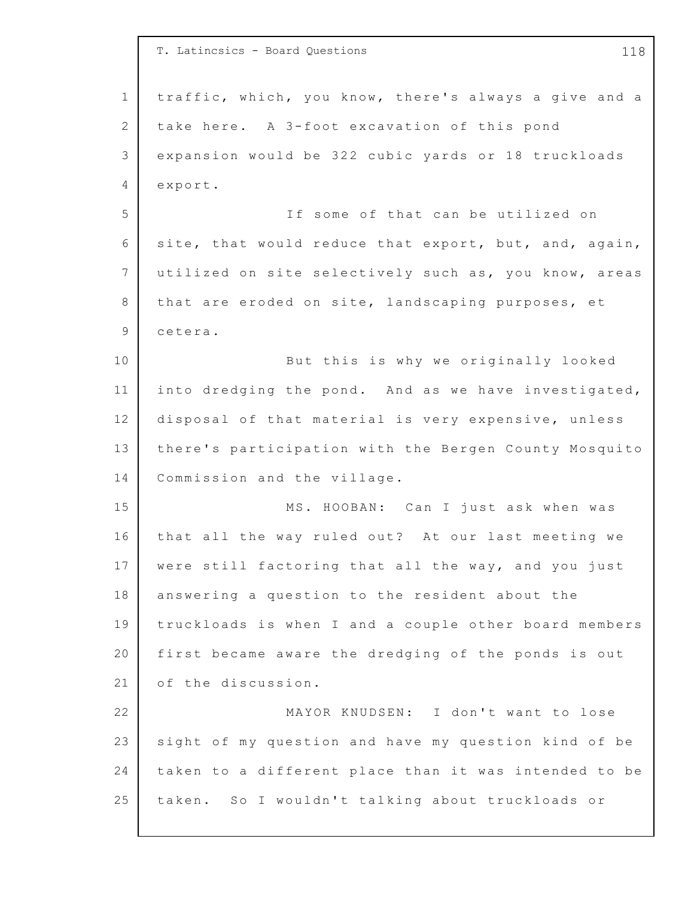|             | T. Latincsics - Board Questions<br>118                |
|-------------|-------------------------------------------------------|
| $\mathbf 1$ | traffic, which, you know, there's always a give and a |
| 2           | take here. A 3-foot excavation of this pond           |
| 3           | expansion would be 322 cubic yards or 18 truckloads   |
| 4           | export.                                               |
| 5           | If some of that can be utilized on                    |
| 6           | site, that would reduce that export, but, and, again, |
| 7           | utilized on site selectively such as, you know, areas |
| 8           | that are eroded on site, landscaping purposes, et     |
| 9           | cetera.                                               |
| 10          | But this is why we originally looked                  |
| 11          | into dredging the pond. And as we have investigated,  |
| 12          | disposal of that material is very expensive, unless   |
| 13          | there's participation with the Bergen County Mosquito |
| 14          | Commission and the village.                           |
| 15          | MS. HOOBAN: Can I just ask when was                   |
| 16          | that all the way ruled out? At our last meeting we    |
| 17          | were still factoring that all the way, and you just   |
| 18          | answering a question to the resident about the        |
| 19          | truckloads is when I and a couple other board members |
| 20          | first became aware the dredging of the ponds is out   |
| 21          | of the discussion.                                    |
| 22          | MAYOR KNUDSEN: I don't want to lose                   |
| 23          | sight of my question and have my question kind of be  |
| 24          | taken to a different place than it was intended to be |
| 25          | taken. So I wouldn't talking about truckloads or      |
|             |                                                       |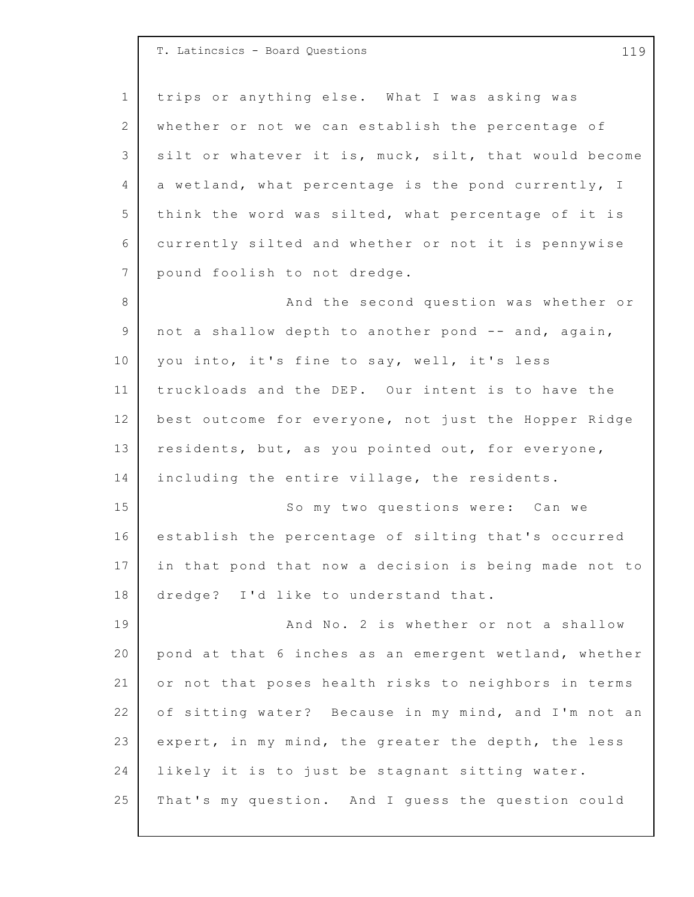|              | T. Latincsics - Board Questions<br>119                |
|--------------|-------------------------------------------------------|
| $\mathbf 1$  | trips or anything else. What I was asking was         |
| $\mathbf{2}$ | whether or not we can establish the percentage of     |
| 3            | silt or whatever it is, muck, silt, that would become |
| 4            | a wetland, what percentage is the pond currently, I   |
| 5            | think the word was silted, what percentage of it is   |
| 6            | currently silted and whether or not it is pennywise   |
| 7            | pound foolish to not dredge.                          |
| 8            | And the second question was whether or                |
| 9            | not a shallow depth to another pond -- and, again,    |
| 10           | you into, it's fine to say, well, it's less           |
| 11           | truckloads and the DEP. Our intent is to have the     |
| 12           | best outcome for everyone, not just the Hopper Ridge  |
| 13           | residents, but, as you pointed out, for everyone,     |
| 14           | including the entire village, the residents.          |
| 15           | So my two questions were: Can we                      |
| 16           | establish the percentage of silting that's occurred   |
| 17           | in that pond that now a decision is being made not to |
| 18           | dredge? I'd like to understand that.                  |
| 19           | And No. 2 is whether or not a shallow                 |
| 20           | pond at that 6 inches as an emergent wetland, whether |
| 21           | or not that poses health risks to neighbors in terms  |
| 22           | of sitting water? Because in my mind, and I'm not an  |
| 23           | expert, in my mind, the greater the depth, the less   |
| 24           | likely it is to just be stagnant sitting water.       |
| 25           | That's my question. And I guess the question could    |

 $\Gamma$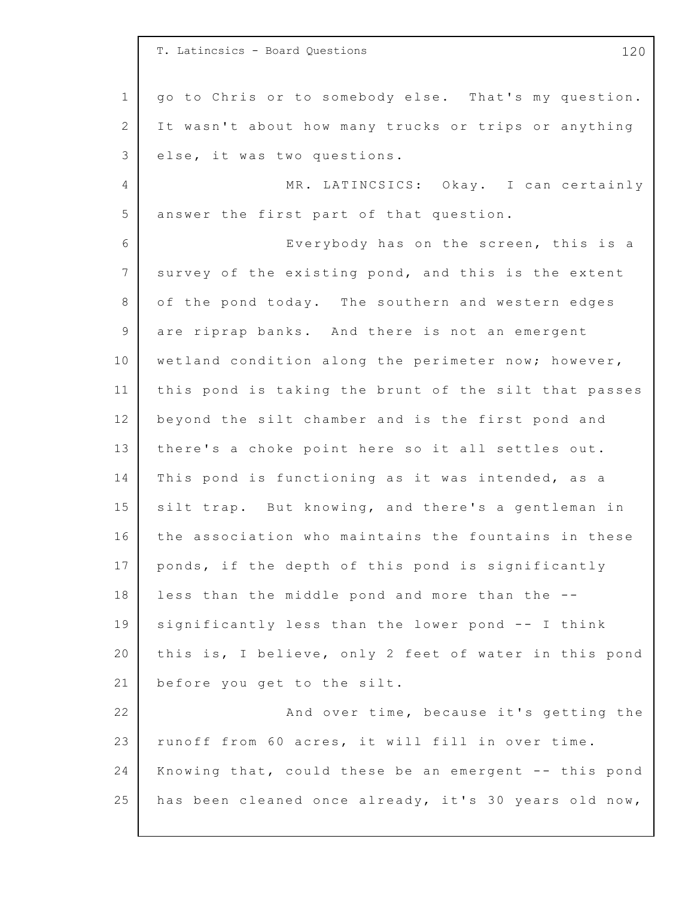|                 | T. Latincsics - Board Questions<br>120                |
|-----------------|-------------------------------------------------------|
| $\mathbf{1}$    | go to Chris or to somebody else. That's my question.  |
| 2               | It wasn't about how many trucks or trips or anything  |
| 3               | else, it was two questions.                           |
| 4               | MR. LATINCSICS: Okay. I can certainly                 |
| 5               | answer the first part of that question.               |
| 6               | Everybody has on the screen, this is a                |
| $7\phantom{.0}$ | survey of the existing pond, and this is the extent   |
| 8               | of the pond today. The southern and western edges     |
| 9               | are riprap banks. And there is not an emergent        |
| 10              | wetland condition along the perimeter now; however,   |
| 11              | this pond is taking the brunt of the silt that passes |
| 12              | beyond the silt chamber and is the first pond and     |
| 13              | there's a choke point here so it all settles out.     |
| 14              | This pond is functioning as it was intended, as a     |
| 15              | silt trap. But knowing, and there's a gentleman in    |
| 16              | the association who maintains the fountains in these  |
| 17              | ponds, if the depth of this pond is significantly     |
| 18              | less than the middle pond and more than the --        |
| 19              | significantly less than the lower pond -- I think     |
| 20              | this is, I believe, only 2 feet of water in this pond |
| 21              | before you get to the silt.                           |
| 22              | And over time, because it's getting the               |
| 23              | runoff from 60 acres, it will fill in over time.      |
| 24              | Knowing that, could these be an emergent -- this pond |
| 25              | has been cleaned once already, it's 30 years old now, |
|                 |                                                       |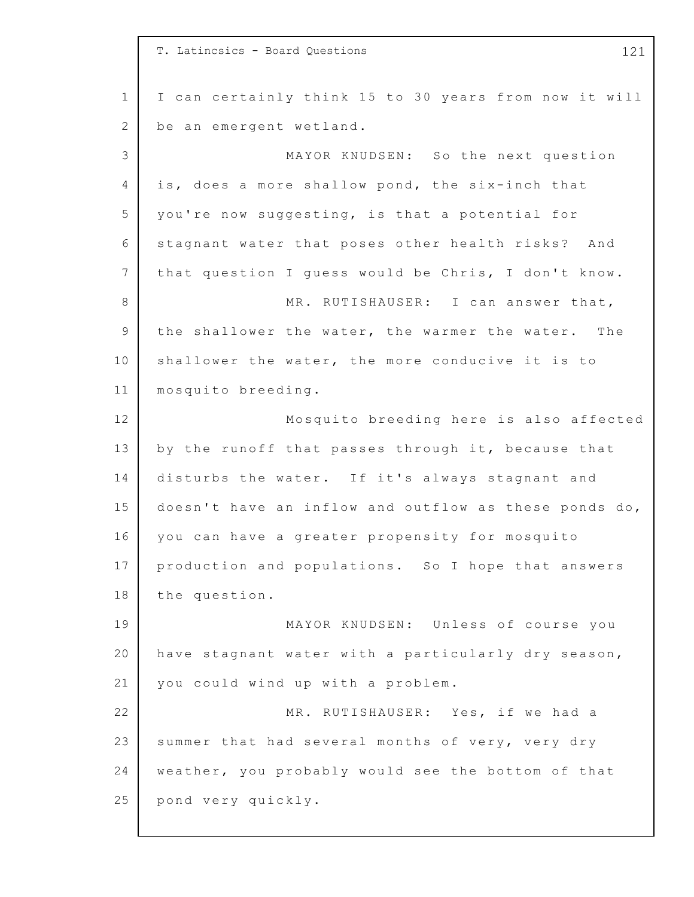1 2 3 4 5 6 7 8 9 10 11 12 13 14 15 16 17 18 19 20 21 22 23 24 25 T. Latincsics - Board Questions 121 I can certainly think 15 to 30 years from now it will be an emergent wetland. MAYOR KNUDSEN: So the next question is, does a more shallow pond, the six-inch that you're now suggesting, is that a potential for stagnant water that poses other health risks? And that question I quess would be Chris, I don't know. MR. RUTISHAUSER: I can answer that, the shallower the water, the warmer the water. The shallower the water, the more conducive it is to mosquito breeding. Mosquito breeding here is also affected by the runoff that passes through it, because that disturbs the water. If it's always stagnant and doesn't have an inflow and outflow as these ponds do, you can have a greater propensity for mosquito production and populations. So I hope that answers the question. MAYOR KNUDSEN: Unless of course you have stagnant water with a particularly dry season, you could wind up with a problem. MR. RUTISHAUSER: Yes, if we had a summer that had several months of very, very dry weather, you probably would see the bottom of that pond very quickly.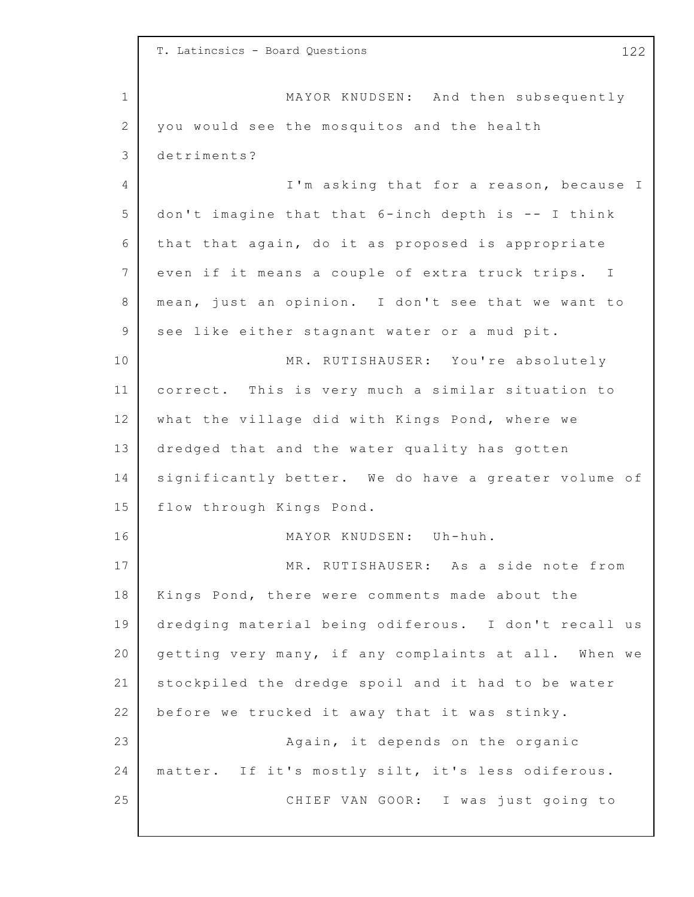|             | T. Latincsics - Board Questions<br>122               |
|-------------|------------------------------------------------------|
| $\mathbf 1$ | MAYOR KNUDSEN: And then subsequently                 |
| 2           | you would see the mosquitos and the health           |
| 3           | detriments?                                          |
| 4           | I'm asking that for a reason, because I              |
| 5           | don't imagine that that 6-inch depth is -- I think   |
| 6           | that that again, do it as proposed is appropriate    |
| 7           | even if it means a couple of extra truck trips. I    |
| 8           | mean, just an opinion. I don't see that we want to   |
| 9           | see like either stagnant water or a mud pit.         |
| 10          | MR. RUTISHAUSER: You're absolutely                   |
| 11          | correct. This is very much a similar situation to    |
| 12          | what the village did with Kings Pond, where we       |
| 13          | dredged that and the water quality has gotten        |
| 14          | significantly better. We do have a greater volume of |
| 15          | flow through Kings Pond.                             |
| 16          | MAYOR KNUDSEN: Uh-huh.                               |
| 17          | MR. RUTISHAUSER: As a side note from                 |
| 18          | Kings Pond, there were comments made about the       |
| 19          | dredging material being odiferous. I don't recall us |
| 20          | getting very many, if any complaints at all. When we |
| 21          | stockpiled the dredge spoil and it had to be water   |
| 22          | before we trucked it away that it was stinky.        |
| 23          | Again, it depends on the organic                     |
| 24          | matter. If it's mostly silt, it's less odiferous.    |
| 25          | CHIEF VAN GOOR: I was just going to                  |
|             |                                                      |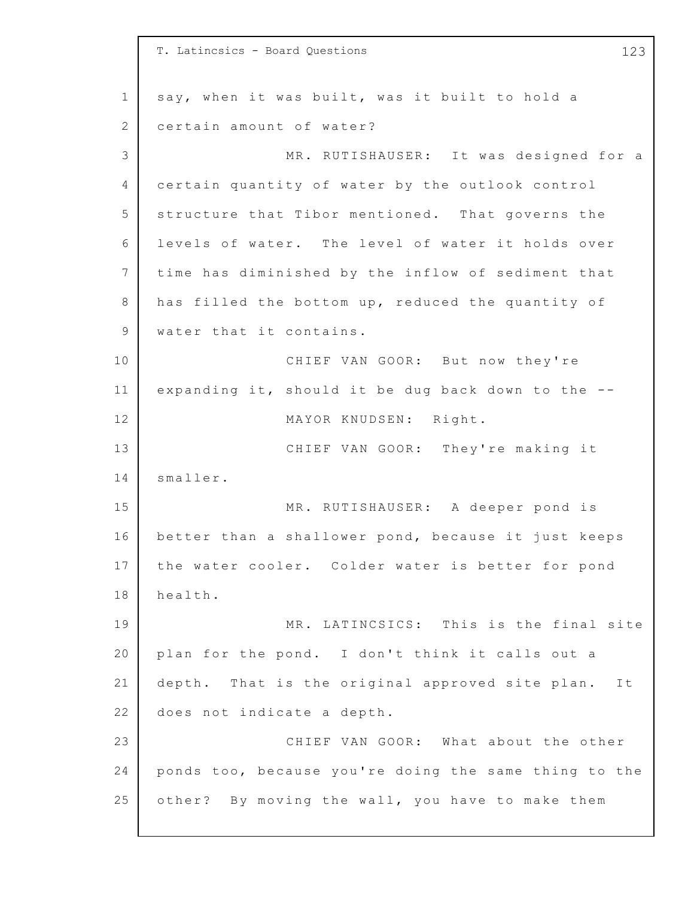1 2 3 4 5 6 7 8 9 10 11 12 13 14 15 16 17 18 19 20 21 22 23 24 25 T. Latincsics - Board Questions 123 say, when it was built, was it built to hold a certain amount of water? MR. RUTISHAUSER: It was designed for a certain quantity of water by the outlook control structure that Tibor mentioned. That governs the levels of water. The level of water it holds over time has diminished by the inflow of sediment that has filled the bottom up, reduced the quantity of water that it contains. CHIEF VAN GOOR: But now they're expanding it, should it be dug back down to the  $-$ -MAYOR KNUDSEN: Right. CHIEF VAN GOOR: They're making it smaller. MR. RUTISHAUSER: A deeper pond is better than a shallower pond, because it just keeps the water cooler. Colder water is better for pond health. MR. LATINCSICS: This is the final site plan for the pond. I don't think it calls out a depth. That is the original approved site plan. It does not indicate a depth. CHIEF VAN GOOR: What about the other ponds too, because you're doing the same thing to the other? By moving the wall, you have to make them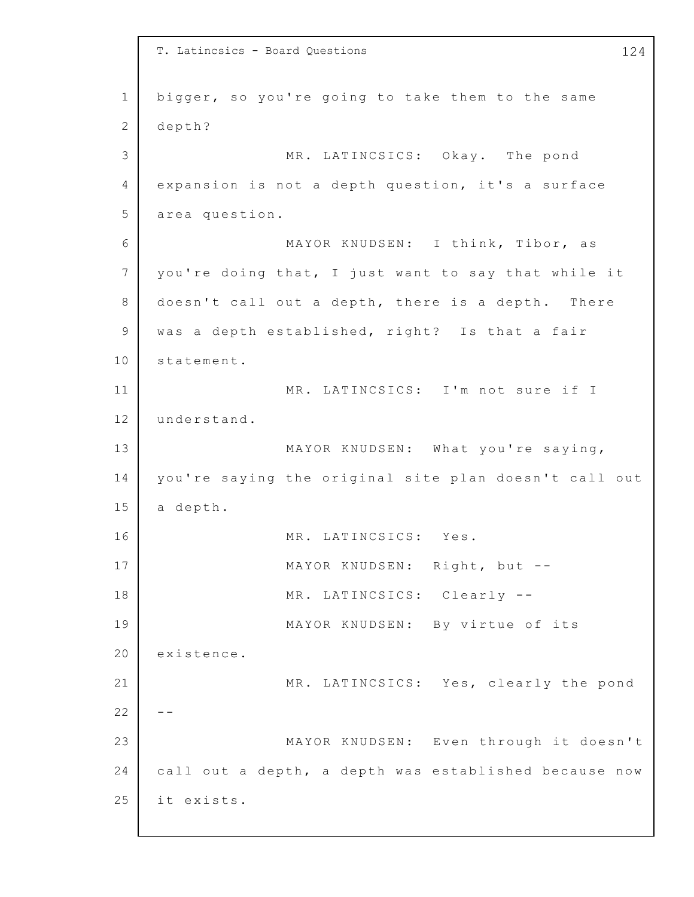1 2 3 4 5 6 7 8 9 10 11 12 13 14 15 16 17 18 19 20 21 22 23 24 25 T. Latincsics - Board Questions 124 bigger, so you're going to take them to the same depth? MR. LATINCSICS: Okay. The pond expansion is not a depth question, it's a surface area question. MAYOR KNUDSEN: I think, Tibor, as you're doing that, I just want to say that while it doesn't call out a depth, there is a depth. There was a depth established, right? Is that a fair statement. MR. LATINCSICS: I'm not sure if I understand. MAYOR KNUDSEN: What you're saying, you're saying the original site plan doesn't call out a depth. MR. LATINCSICS: Yes. MAYOR KNUDSEN: Right, but -- MR. LATINCSICS: Clearly --MAYOR KNUDSEN: By virtue of its existence. MR. LATINCSICS: Yes, clearly the pond  $- -$ MAYOR KNUDSEN: Even through it doesn't call out a depth, a depth was established because now it exists.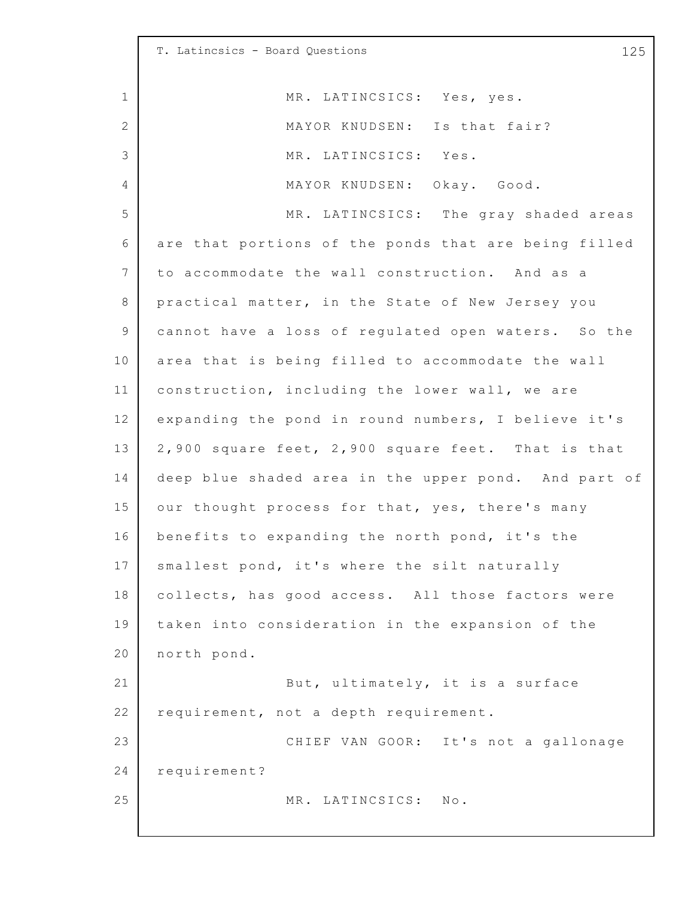1 2 3 4 5 6 7 8 9 10 11 12 13 14 15 16 17 18 19 20 21 22 23 24 25 T. Latincsics - Board Questions 125 MR. LATINCSICS: Yes, yes. MAYOR KNUDSEN: Is that fair? MR. LATINCSICS: Yes. MAYOR KNUDSEN: Okay. Good. MR. LATINCSICS: The gray shaded areas are that portions of the ponds that are being filled to accommodate the wall construction. And as a practical matter, in the State of New Jersey you cannot have a loss of regulated open waters. So the area that is being filled to accommodate the wall construction, including the lower wall, we are expanding the pond in round numbers, I believe it's  $2,900$  square feet,  $2,900$  square feet. That is that deep blue shaded area in the upper pond. And part of our thought process for that, yes, there's many benefits to expanding the north pond, it's the smallest pond, it's where the silt naturally collects, has good access. All those factors were taken into consideration in the expansion of the north pond. But, ultimately, it is a surface requirement, not a depth requirement. CHIEF VAN GOOR: It's not a gallonage requirement? MR. LATINCSICS: No.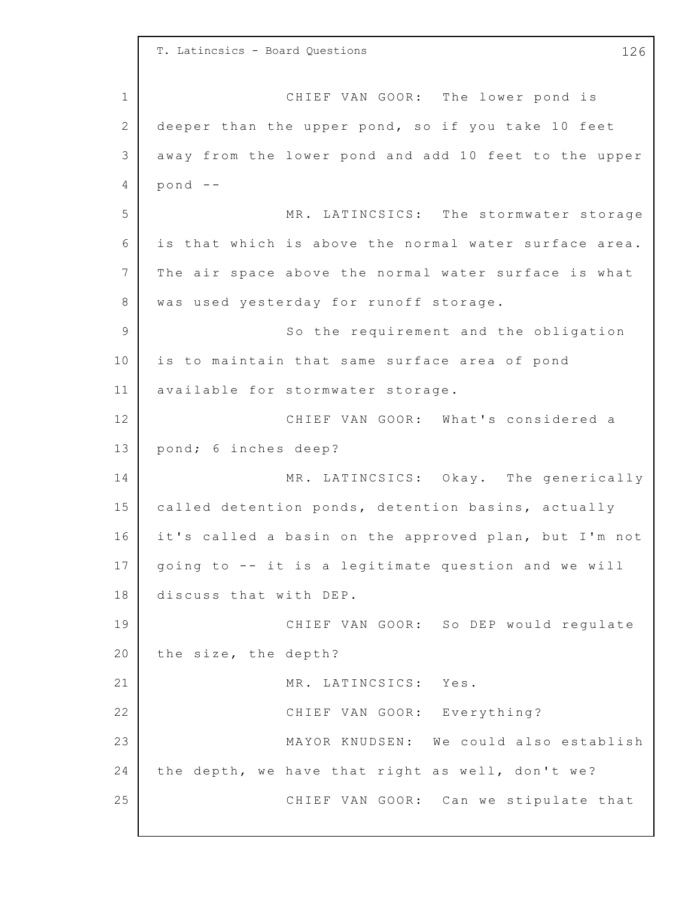1 2 3 4 5 6 7 8 9 10 11 12 13 14 15 16 17 18 19 20 21 22 23 24 25 T. Latincsics - Board Questions 126 CHIEF VAN GOOR: The lower pond is deeper than the upper pond, so if you take 10 feet away from the lower pond and add 10 feet to the upper pond -- MR. LATINCSICS: The stormwater storage is that which is above the normal water surface area. The air space above the normal water surface is what was used yesterday for runoff storage. So the requirement and the obligation is to maintain that same surface area of pond available for stormwater storage. CHIEF VAN GOOR: What's considered a pond; 6 inches deep? MR. LATINCSICS: Okay. The generically called detention ponds, detention basins, actually it's called a basin on the approved plan, but I'm not going to -- it is a legitimate question and we will discuss that with DEP. CHIEF VAN GOOR: So DEP would requlate the size, the depth? MR. LATINCSICS: Yes. CHIEF VAN GOOR: Everything? MAYOR KNUDSEN: We could also establish the depth, we have that right as well, don't we? CHIEF VAN GOOR: Can we stipulate that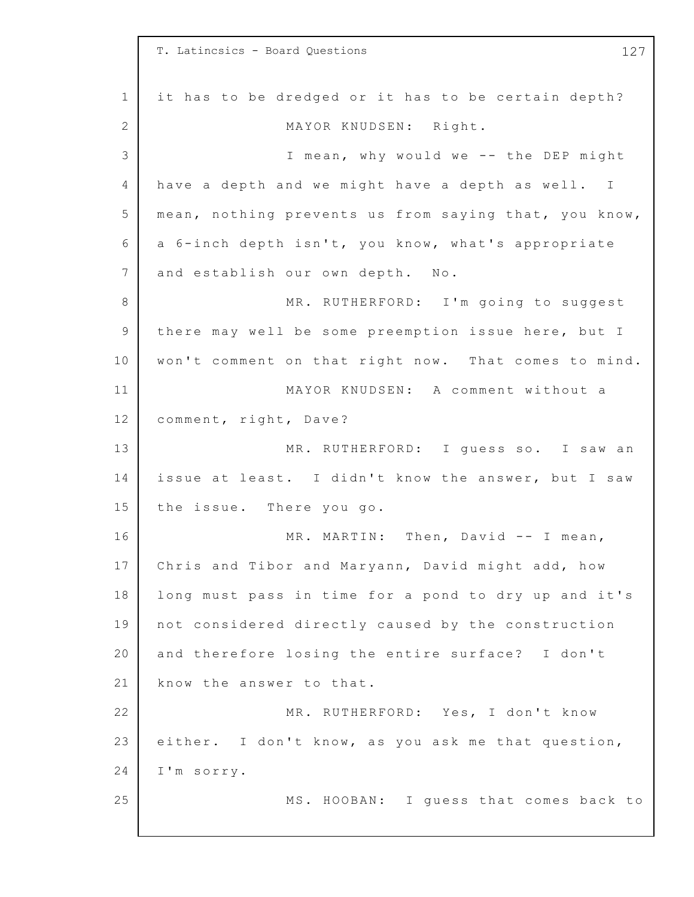|             | T. Latincsics - Board Questions<br>127                |
|-------------|-------------------------------------------------------|
| $\mathbf 1$ | it has to be dredged or it has to be certain depth?   |
| 2           | MAYOR KNUDSEN: Right.                                 |
| 3           | I mean, why would we -- the DEP might                 |
| 4           | have a depth and we might have a depth as well. I     |
| 5           | mean, nothing prevents us from saying that, you know, |
| 6           | a 6-inch depth isn't, you know, what's appropriate    |
| 7           | and establish our own depth. No.                      |
| 8           | MR. RUTHERFORD: I'm going to suggest                  |
| 9           | there may well be some preemption issue here, but I   |
| 10          | won't comment on that right now. That comes to mind.  |
| 11          | MAYOR KNUDSEN: A comment without a                    |
| 12          | comment, right, Dave?                                 |
| 13          | MR. RUTHERFORD: I guess so. I saw an                  |
| 14          | issue at least. I didn't know the answer, but I saw   |
| 15          | the issue. There you go.                              |
| 16          | MR. MARTIN: Then, David -- I mean,                    |
| 17          | Chris and Tibor and Maryann, David might add, how     |
| 18          | long must pass in time for a pond to dry up and it's  |
| 19          | not considered directly caused by the construction    |
| 20          | and therefore losing the entire surface? I don't      |
| 21          | know the answer to that.                              |
| 22          | MR. RUTHERFORD: Yes, I don't know                     |
| 23          | either. I don't know, as you ask me that question,    |
| 24          | I'm sorry.                                            |
| 25          | MS. HOOBAN: I guess that comes back to                |
|             |                                                       |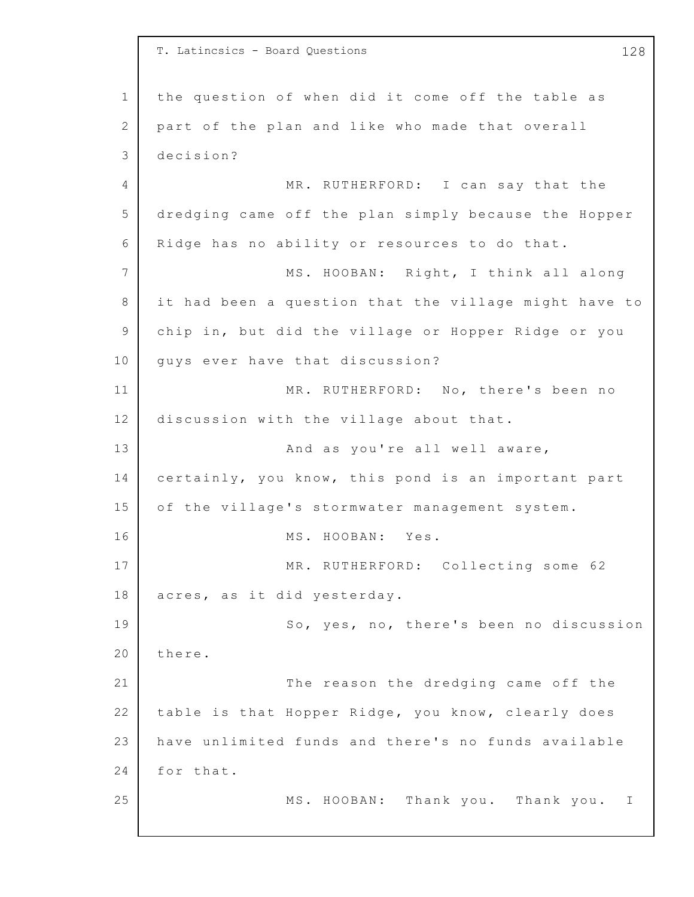1 2 3 4 5 6 7 8 9 10 11 12 13 14 15 16 17 18 19 20 21 22 23 24 25 T. Latincsics - Board Questions 128 the question of when did it come off the table as part of the plan and like who made that overall decision? MR. RUTHERFORD: I can say that the dredging came off the plan simply because the Hopper Ridge has no ability or resources to do that. MS. HOOBAN: Right, I think all along it had been a question that the village might have to chip in, but did the village or Hopper Ridge or you guys ever have that discussion? MR. RUTHERFORD: No, there's been no discussion with the village about that. And as you're all well aware, certainly, you know, this pond is an important part of the village's stormwater management system. MS. HOOBAN: Yes. MR. RUTHERFORD: Collecting some 62 acres, as it did yesterday. So, yes, no, there's been no discussion there. The reason the dredging came off the table is that Hopper Ridge, you know, clearly does have unlimited funds and there's no funds available for that. MS. HOOBAN: Thank you. Thank you. I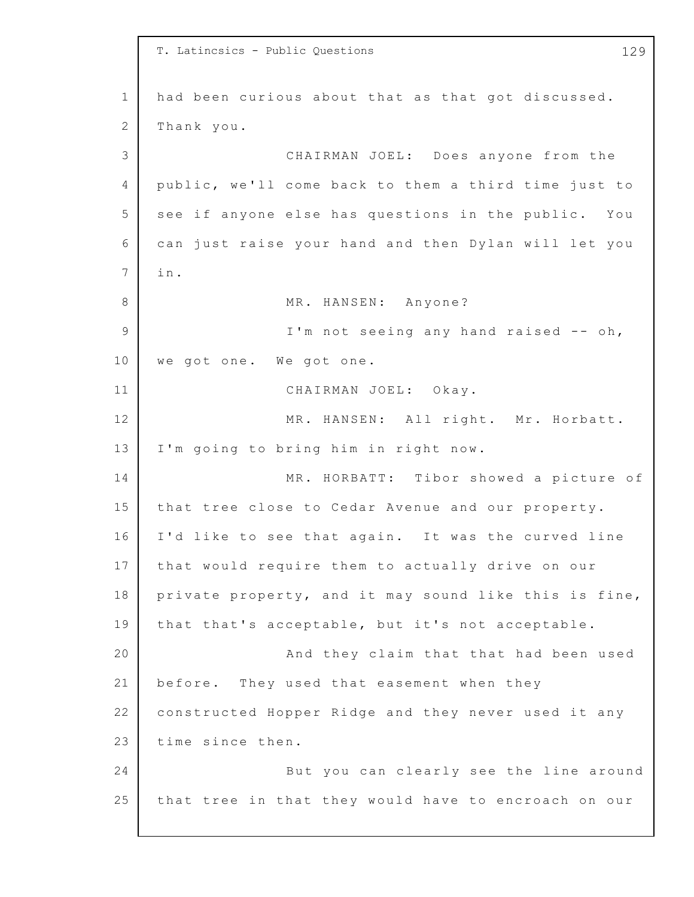1 2 3 4 5 6 7 8 9 10 11 12 13 14 15 16 17 18 19 20 21 22 23 24 25 T. Latincsics - Public Questions 129 had been curious about that as that got discussed. Thank you. CHAIRMAN JOEL: Does anyone from the public, we'll come back to them a third time just to see if anyone else has questions in the public. You can just raise your hand and then Dylan will let you i n. MR. HANSEN: Anyone? I'm not seeing any hand raised -- oh, we got one. We got one. CHAIRMAN JOEL: Okay. MR. HANSEN: All right. Mr. Horbatt. I'm going to bring him in right now. MR. HORBATT: Tibor showed a picture of that tree close to Cedar Avenue and our property. I'd like to see that again. It was the curved line that would require them to actually drive on our private property, and it may sound like this is fine, that that's acceptable, but it's not acceptable. And they claim that that had been used before. They used that easement when they constructed Hopper Ridge and they never used it any time since then. But you can clearly see the line around that tree in that they would have to encroach on our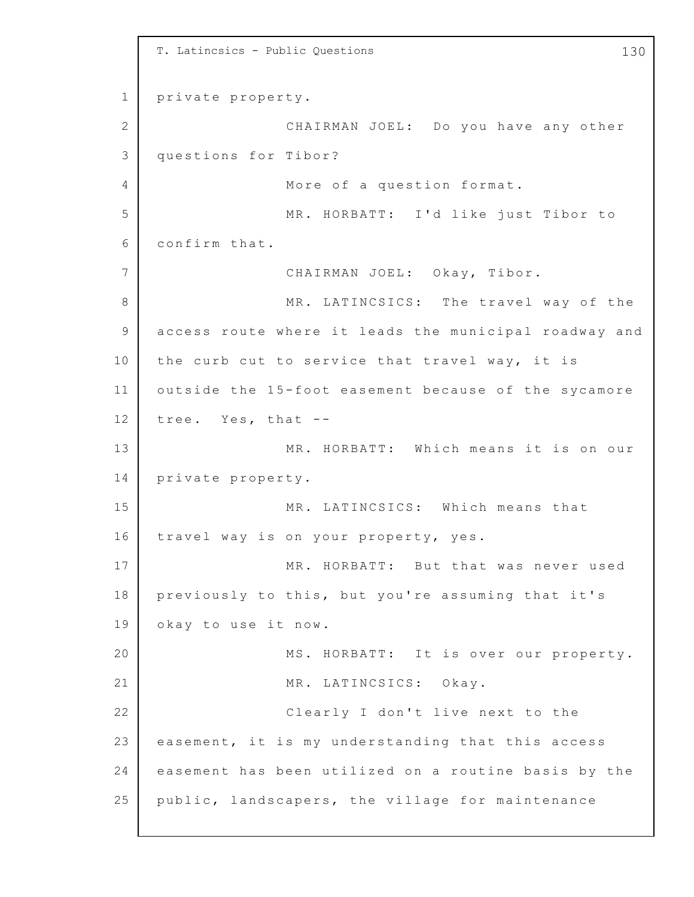```
1
2
3
4
5
6
7
8
9
10
11
12
13
14
15
16
17
18
19
20
21
22
23
24
25
    T. Latincsics - Public Questions 130
    private property.
                  CHAIRMAN JOEL: Do you have any other
    questions for Tibor?
                  More of a question format.
                  MR. HORBATT: I'd like just Tibor to
    confirm that.
                  CHAIRMAN JOEL: Okay, Tibor.
                  MR. LATINCSICS: The travel way of the
    access route where it leads the municipal roadway and
    the curb cut to service that travel way, it is
    outside the 15-foot easement because of the sycamore
    tree. Yes, that --
                  MR. HORBATT: Which means it is on our
    private property.
                  MR. LATINCSICS: Which means that
    travel way is on your property, yes.
                  MR. HORBATT: But that was never used
    previously to this, but you're assuming that it's
    okay to use it now.
                  MS. HORBATT: It is over our property.
                  MR. LATINCSICS: Okay.
                  Clearly I don't live next to the
    easement, it is my understanding that this access
    easement has been utilized on a routine basis by the
    public, landscapers, the village for maintenance
```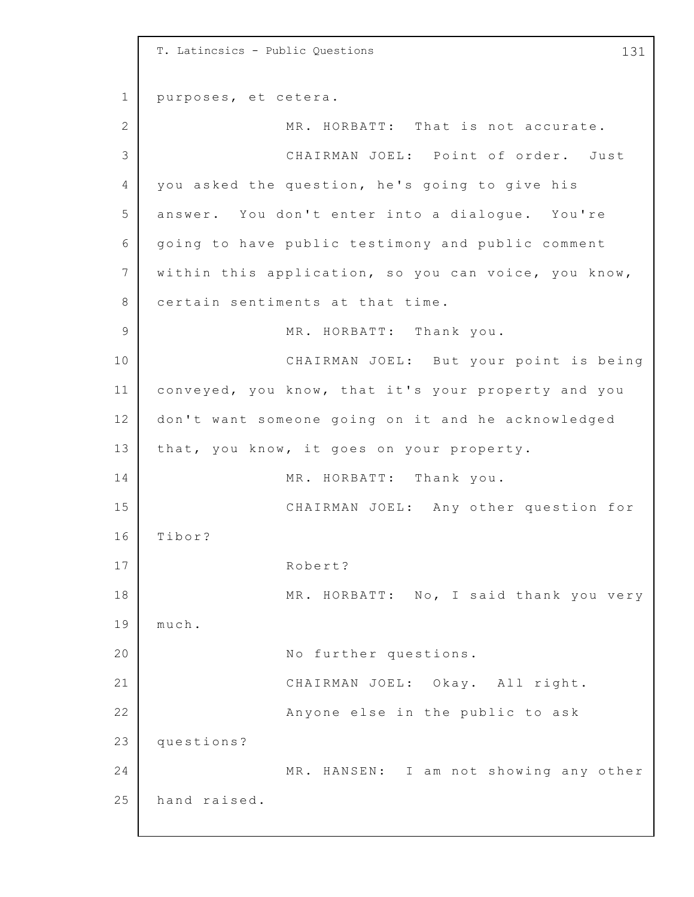1 2 3 4 5 6 7 8 9 10 11 12 13 14 15 16 17 18 19 20 21 22 23 24 25 T. Latincsics - Public Questions 131 purposes, et cetera. MR. HORBATT: That is not accurate. CHAIRMAN JOEL: Point of order. Just you asked the question, he's going to give his answer. You don't enter into a dialogue. You're going to have public testimony and public comment within this application, so you can voice, you know, certain sentiments at that time. MR. HORBATT: Thank you. CHAIRMAN JOEL: But your point is being conveyed, you know, that it's your property and you don't want someone going on it and he acknowledged that, you know, it goes on your property. MR. HORBATT: Thank you. CHAIRMAN JOEL: Any other question for Tibor? Robert? MR. HORBATT: No, I said thank you very much. No further questions. CHAIRMAN JOEL: Okay. All right. Anyone else in the public to ask questions? MR. HANSEN: I am not showing any other hand raised.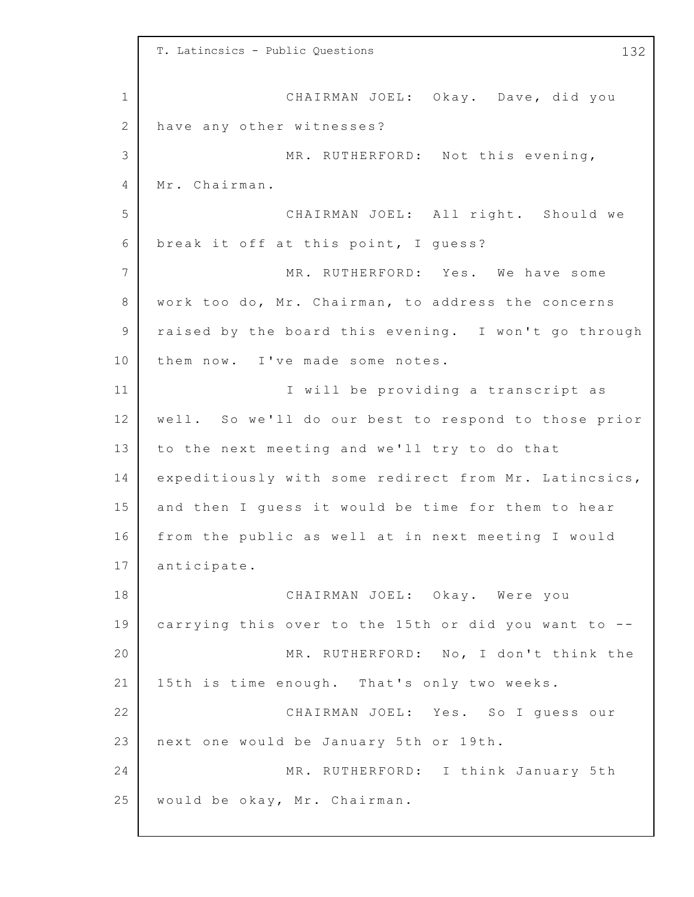1 2 3 4 5 6 7 8 9 10 11 12 13 14 15 16 17 18 19 20 21 22 23 24 25 T. Latincsics - Public Questions 132 CHAIRMAN JOEL: Okay. Dave, did you have any other witnesses? MR. RUTHERFORD: Not this evening, Mr. Chairman. CHAIRMAN JOEL: All right. Should we break it off at this point, I quess? MR. RUTHERFORD: Yes. We have some work too do, Mr. Chairman, to address the concerns raised by the board this evening. I won't go through them now. I've made some notes. I will be providing a transcript as well. So we'll do our best to respond to those prior to the next meeting and we'll try to do that expeditiously with some redirect from Mr. Latincsics, and then I guess it would be time for them to hear from the public as well at in next meeting I would anticipate. CHAIRMAN JOEL: Okay. Were you carrying this over to the 15th or did you want to --MR. RUTHERFORD: No, I don't think the 15th is time enough. That's only two weeks. CHAIRMAN JOEL: Yes. So I guess our next one would be January 5th or 19th. MR. RUTHERFORD: I think January 5th would be okay, Mr. Chairman.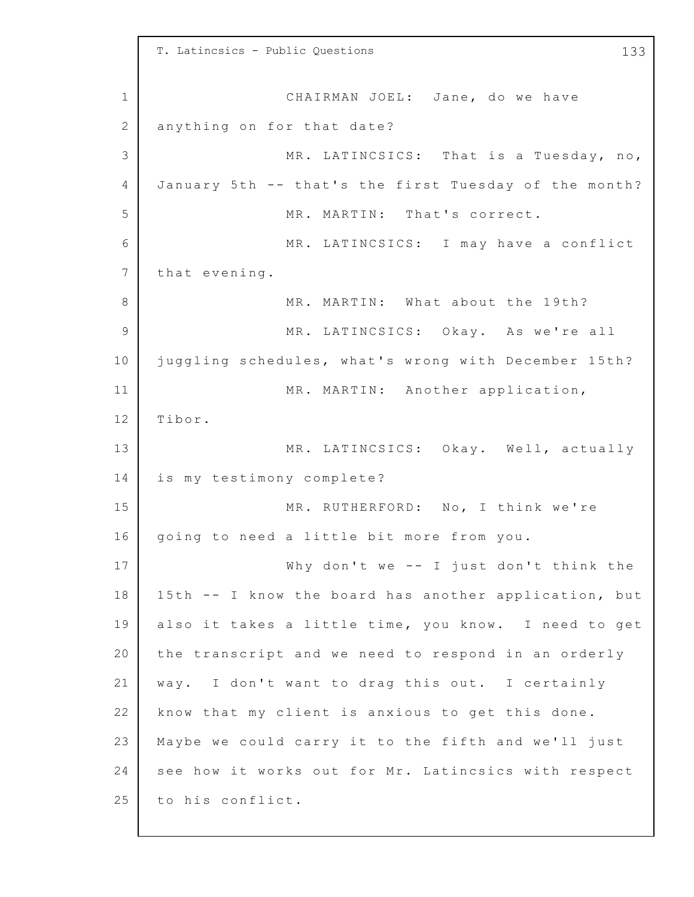1 2 3 4 5 6 7 8 9 10 11 12 13 14 15 16 17 18 19 20 21 22 23 24 25 T. Latincsics - Public Questions 133 CHAIRMAN JOEL: Jane, do we have anything on for that date? MR. LATINCSICS: That is a Tuesday, no, January 5th -- that's the first Tuesday of the month? MR. MARTIN: That's correct. MR. LATINCSICS: I may have a conflict that evening. MR. MARTIN: What about the 19th? MR. LATINCSICS: Okay. As we're all juggling schedules, what's wrong with December 15th? MR. MARTIN: Another application, Tibor. MR. LATINCSICS: Okay. Well, actually is my testimony complete? MR. RUTHERFORD: No, I think we're going to need a little bit more from you. Why don't we  $--$  I just don't think the 15th -- I know the board has another application, but also it takes a little time, you know. I need to get the transcript and we need to respond in an orderly way. I don't want to drag this out. I certainly know that my client is anxious to get this done. Maybe we could carry it to the fifth and we'll just see how it works out for Mr. Latincsics with respect to his conflict.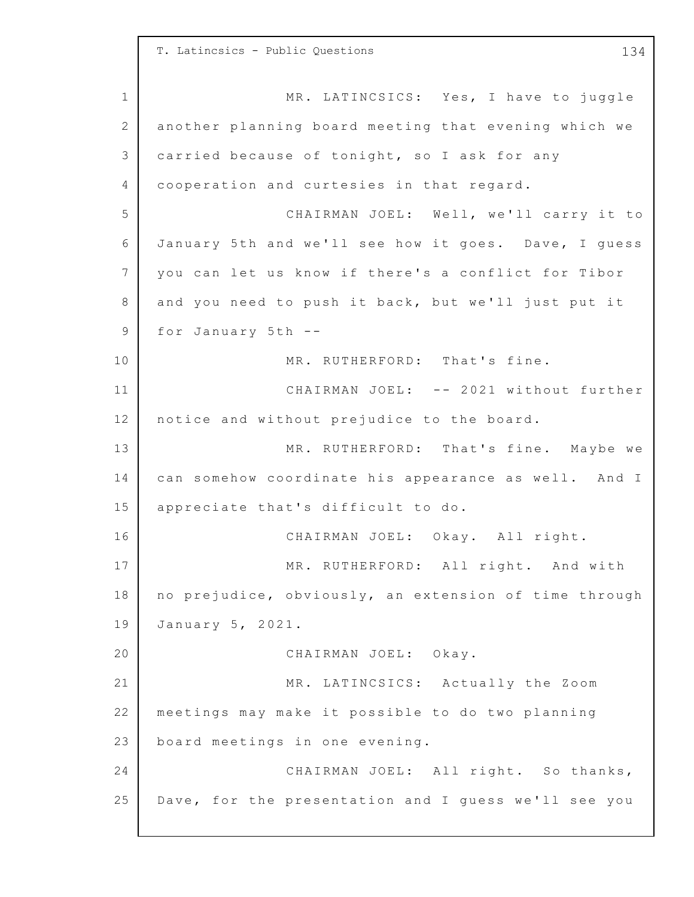1 2 3 4 5 6 7 8 9 10 11 12 13 14 15 16 17 18 19 20 21 22 23 24 25 T. Latincsics - Public Questions 134 MR. LATINCSICS: Yes, I have to juggle another planning board meeting that evening which we carried because of tonight, so I ask for any cooperation and curtesies in that regard. CHAIRMAN JOEL: Well, we'll carry it to January 5th and we'll see how it goes. Dave, I quess you can let us know if there's a conflict for Tibor and you need to push it back, but we'll just put it for January  $5th$  --MR. RUTHERFORD: That's fine. CHAIRMAN JOEL: -- 2021 without further notice and without prejudice to the board. MR. RUTHERFORD: That's fine. Maybe we can somehow coordinate his appearance as well. And I appreciate that's difficult to do. CHAIRMAN JOEL: Okay. All right. MR. RUTHERFORD: All right. And with no prejudice, obviously, an extension of time through January 5, 2021. CHAIRMAN JOEL: Okay. MR. LATINCSICS: Actually the Zoom meetings may make it possible to do two planning board meetings in one evening. CHAIRMAN JOEL: All right. So thanks, Dave, for the presentation and I guess we'll see you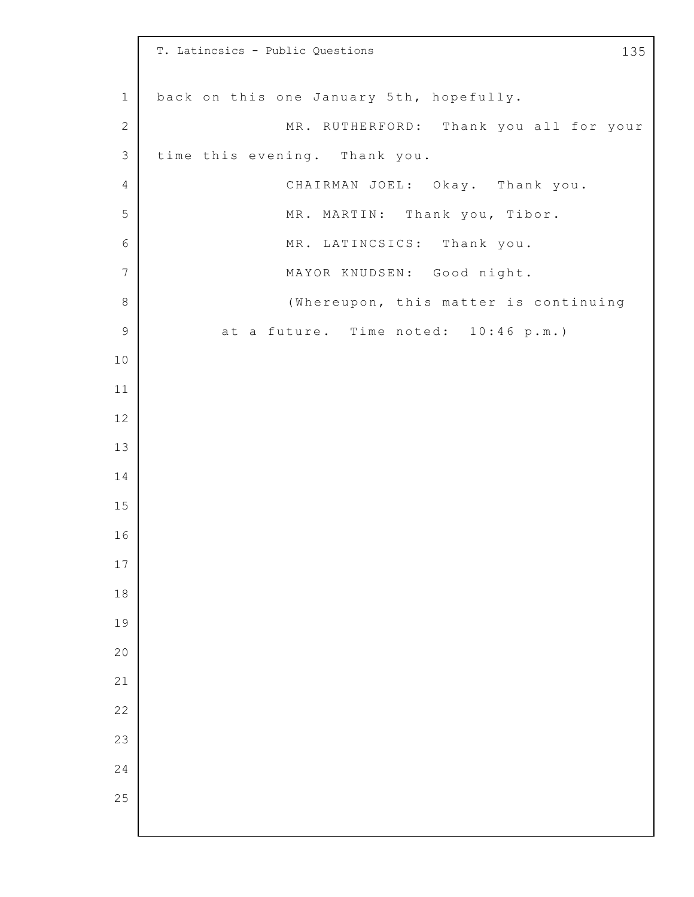|                | T. Latincsics - Public Questions<br>135  |
|----------------|------------------------------------------|
| $1\,$          | back on this one January 5th, hopefully. |
| $\sqrt{2}$     | MR. RUTHERFORD: Thank you all for your   |
| $\mathfrak{Z}$ | time this evening. Thank you.            |
| $\overline{4}$ | CHAIRMAN JOEL: Okay. Thank you.          |
| 5              | MR. MARTIN: Thank you, Tibor.            |
| 6              | MR. LATINCSICS: Thank you.               |
| $\overline{7}$ | MAYOR KNUDSEN: Good night.               |
| $\,8\,$        | (Whereupon, this matter is continuing    |
| $\mathsf 9$    | at a future. Time noted: 10:46 p.m.)     |
| 10             |                                          |
| 11             |                                          |
| $12$           |                                          |
| 13             |                                          |
| 14             |                                          |
| 15             |                                          |
| 16             |                                          |
| 17             |                                          |
| 18             |                                          |
| 19             |                                          |
| 20             |                                          |
| 21             |                                          |
| 22             |                                          |
| 23             |                                          |
| 24             |                                          |
| 25             |                                          |
|                |                                          |